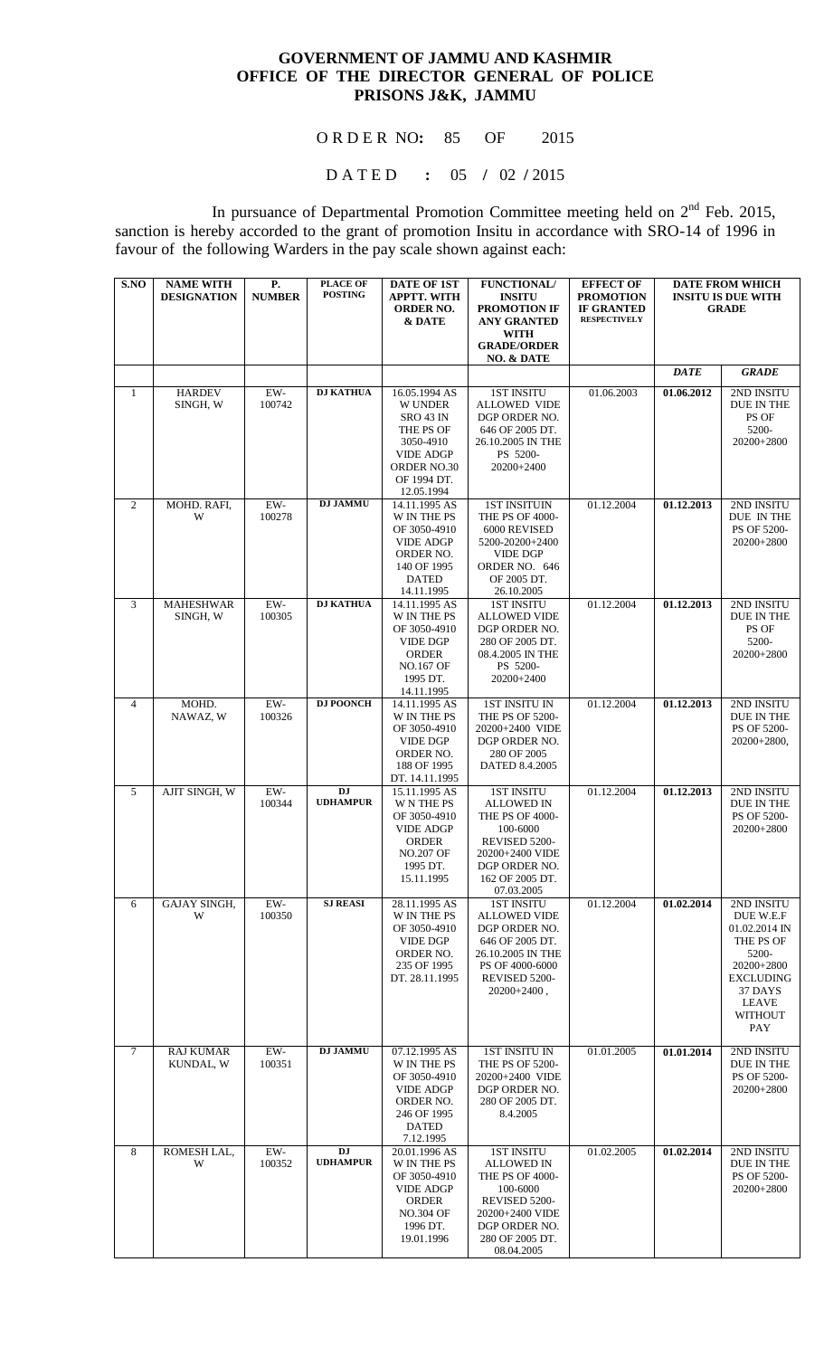## **GOVERNMENT OF JAMMU AND KASHMIR OFFICE OF THE DIRECTOR GENERAL OF POLICE PRISONS J&K, JAMMU**

O R D E R NO**:** 85 OF 2015

D A T E D **:** 05 **/** 02 **/** 2015

In pursuance of Departmental Promotion Committee meeting held on  $2<sup>nd</sup>$  Feb. 2015, sanction is hereby accorded to the grant of promotion Insitu in accordance with SRO-14 of 1996 in favour of the following Warders in the pay scale shown against each:

| S.NO           | <b>NAME WITH</b><br><b>DESIGNATION</b> | <b>P.</b><br><b>NUMBER</b> | <b>PLACE OF</b><br><b>POSTING</b> | <b>DATE OF 1ST</b><br><b>APPTT. WITH</b><br><b>ORDER NO.</b><br>& DATE                                                                        | <b>FUNCTIONAL/</b><br><b>INSITU</b><br><b>PROMOTION IF</b><br><b>ANY GRANTED</b><br><b>WITH</b><br><b>GRADE/ORDER</b><br>NO. & DATE                         | <b>EFFECT OF</b><br><b>PROMOTION</b><br><b>IF GRANTED</b><br><b>RESPECTIVELY</b> |             | <b>DATE FROM WHICH</b><br><b>INSITU IS DUE WITH</b><br><b>GRADE</b>                                                                           |
|----------------|----------------------------------------|----------------------------|-----------------------------------|-----------------------------------------------------------------------------------------------------------------------------------------------|-------------------------------------------------------------------------------------------------------------------------------------------------------------|----------------------------------------------------------------------------------|-------------|-----------------------------------------------------------------------------------------------------------------------------------------------|
|                |                                        |                            |                                   |                                                                                                                                               |                                                                                                                                                             |                                                                                  | <b>DATE</b> | <b>GRADE</b>                                                                                                                                  |
| $\mathbf{1}$   | <b>HARDEV</b><br>SINGH, W              | EW-<br>100742              | <b>DJ KATHUA</b>                  | 16.05.1994 AS<br><b>W UNDER</b><br><b>SRO 43 IN</b><br>THE PS OF<br>3050-4910<br><b>VIDE ADGP</b><br>ORDER NO.30<br>OF 1994 DT.<br>12.05.1994 | <b>1ST INSITU</b><br><b>ALLOWED VIDE</b><br>DGP ORDER NO.<br>646 OF 2005 DT.<br>26.10.2005 IN THE<br>PS 5200-<br>20200+2400                                 | 01.06.2003                                                                       | 01.06.2012  | 2ND INSITU<br>DUE IN THE<br>PS OF<br>5200-<br>20200+2800                                                                                      |
| $\overline{2}$ | MOHD. RAFI,<br>W                       | $EW-$<br>100278            | <b>DJ JAMMU</b>                   | 14.11.1995 AS<br>W IN THE PS<br>OF 3050-4910<br><b>VIDE ADGP</b><br>ORDER NO.<br>140 OF 1995<br><b>DATED</b><br>14.11.1995                    | <b>1ST INSITUIN</b><br>THE PS OF 4000-<br>6000 REVISED<br>5200-20200+2400<br><b>VIDE DGP</b><br>ORDER NO. 646<br>OF 2005 DT.<br>26.10.2005                  | 01.12.2004                                                                       | 01.12.2013  | 2ND INSITU<br>DUE IN THE<br>PS OF 5200-<br>20200+2800                                                                                         |
| 3              | <b>MAHESHWAR</b><br>SINGH, W           | $EW-$<br>100305            | <b>DJ KATHUA</b>                  | 14.11.1995 AS<br><b>W IN THE PS</b><br>OF 3050-4910<br><b>VIDE DGP</b><br><b>ORDER</b><br><b>NO.167 OF</b><br>1995 DT.<br>14.11.1995          | <b>1ST INSITU</b><br><b>ALLOWED VIDE</b><br>DGP ORDER NO.<br>280 OF 2005 DT.<br>08.4.2005 IN THE<br>PS 5200-<br>20200+2400                                  | 01.12.2004                                                                       | 01.12.2013  | 2ND INSITU<br>DUE IN THE<br>PS OF<br>5200-<br>20200+2800                                                                                      |
| 4              | MOHD.<br>NAWAZ, W                      | $EW-$<br>100326            | <b>DJ POONCH</b>                  | 14.11.1995 AS<br>W IN THE PS<br>OF 3050-4910<br><b>VIDE DGP</b><br>ORDER NO.<br>188 OF 1995<br>DT. 14.11.1995                                 | 1ST INSITU IN<br>THE PS OF 5200-<br>20200+2400 VIDE<br>DGP ORDER NO.<br>280 OF 2005<br>DATED 8.4.2005                                                       | 01.12.2004                                                                       | 01.12.2013  | 2ND INSITU<br>DUE IN THE<br>PS OF 5200-<br>$20200+2800,$                                                                                      |
| $\overline{5}$ | AJIT SINGH, W                          | EW-<br>100344              | <b>DJ</b><br><b>UDHAMPUR</b>      | 15.11.1995 AS<br><b>W N THE PS</b><br>OF 3050-4910<br><b>VIDE ADGP</b><br><b>ORDER</b><br><b>NO.207 OF</b><br>1995 DT.<br>15.11.1995          | <b>1ST INSITU</b><br><b>ALLOWED IN</b><br>THE PS OF 4000-<br>100-6000<br>REVISED 5200-<br>20200+2400 VIDE<br>DGP ORDER NO.<br>162 OF 2005 DT.<br>07.03.2005 | 01.12.2004                                                                       | 01.12.2013  | 2ND INSITU<br>DUE IN THE<br>PS OF 5200-<br>20200+2800                                                                                         |
| 6              | GAJAY SINGH,<br>W                      | $EW-$<br>100350            | <b>SJ REASI</b>                   | 28.11.1995 AS<br><b>W IN THE PS</b><br>OF 3050-4910<br><b>VIDE DGP</b><br>ORDER NO.<br>235 OF 1995<br>DT. 28.11.1995                          | <b>1ST INSITU</b><br><b>ALLOWED VIDE</b><br>DGP ORDER NO.<br>646 OF 2005 DT.<br>26.10.2005 IN THE<br>PS OF 4000-6000<br>REVISED 5200-<br>$20200+2400$ ,     | 01.12.2004                                                                       | 01.02.2014  | 2ND INSITU<br>DUE W.E.F<br>01.02.2014 IN<br>THE PS OF<br>5200-<br>20200+2800<br><b>EXCLUDING</b><br>37 DAYS<br>LEAVE<br><b>WITHOUT</b><br>PAY |
| $\tau$         | <b>RAJ KUMAR</b><br>KUNDAL, W          | $EW-$<br>100351            | <b>DJ JAMMU</b>                   | 07.12.1995 AS<br>W IN THE PS<br>OF 3050-4910<br><b>VIDE ADGP</b><br>ORDER NO.<br>246 OF 1995<br><b>DATED</b><br>7.12.1995                     | 1ST INSITU IN<br>THE PS OF 5200-<br>20200+2400 VIDE<br>DGP ORDER NO.<br>280 OF 2005 DT.<br>8.4.2005                                                         | 01.01.2005                                                                       | 01.01.2014  | 2ND INSITU<br>DUE IN THE<br>PS OF 5200-<br>20200+2800                                                                                         |
| 8              | ROMESH LAL,<br>W                       | EW-<br>100352              | DJ<br><b>UDHAMPUR</b>             | 20.01.1996 AS<br><b>W IN THE PS</b><br>OF 3050-4910<br><b>VIDE ADGP</b><br><b>ORDER</b><br><b>NO.304 OF</b><br>1996 DT.<br>19.01.1996         | <b>1ST INSITU</b><br><b>ALLOWED IN</b><br>THE PS OF 4000-<br>100-6000<br>REVISED 5200-<br>20200+2400 VIDE<br>DGP ORDER NO.<br>280 OF 2005 DT.<br>08.04.2005 | 01.02.2005                                                                       | 01.02.2014  | 2ND INSITU<br>DUE IN THE<br>PS OF 5200-<br>20200+2800                                                                                         |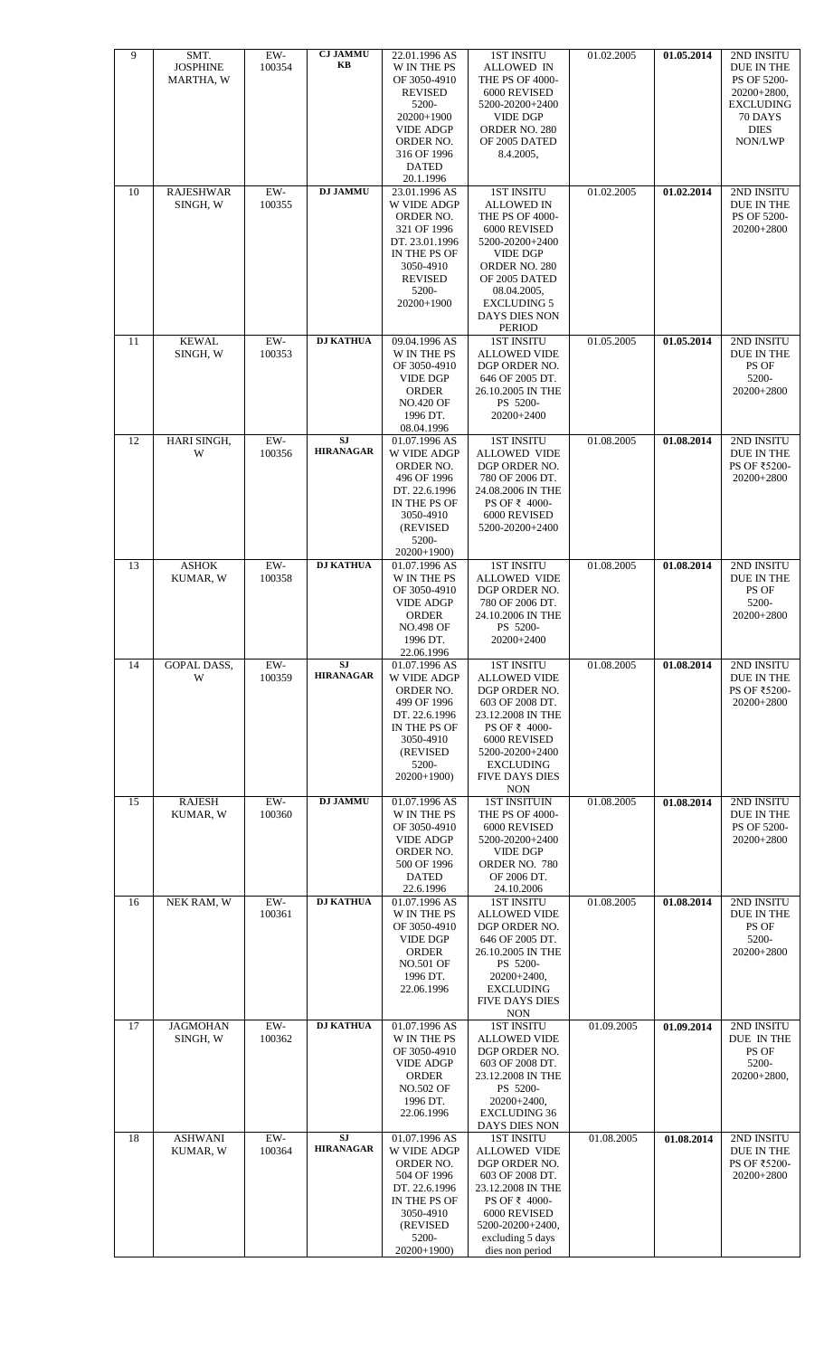| 18                                                                                                                                                                                            | 17                                                                                                                                                                   | 16                                                                                                                                                                                        | 15                                                                                                                                         | 14                                                                                                                                                                                                               | 13                                                                                                                             | 12                                                                                                                                                    | 11                                                                                                                                             | 10                                                                                                                                                                                                                       | 9                                                                                                                                                                  |
|-----------------------------------------------------------------------------------------------------------------------------------------------------------------------------------------------|----------------------------------------------------------------------------------------------------------------------------------------------------------------------|-------------------------------------------------------------------------------------------------------------------------------------------------------------------------------------------|--------------------------------------------------------------------------------------------------------------------------------------------|------------------------------------------------------------------------------------------------------------------------------------------------------------------------------------------------------------------|--------------------------------------------------------------------------------------------------------------------------------|-------------------------------------------------------------------------------------------------------------------------------------------------------|------------------------------------------------------------------------------------------------------------------------------------------------|--------------------------------------------------------------------------------------------------------------------------------------------------------------------------------------------------------------------------|--------------------------------------------------------------------------------------------------------------------------------------------------------------------|
| <b>ASHWANI</b><br>KUMAR, W                                                                                                                                                                    | <b>JAGMOHAN</b><br>SINGH, W                                                                                                                                          | NEK RAM, W                                                                                                                                                                                | <b>RAJESH</b><br>KUMAR, W                                                                                                                  | <b>GOPAL DASS,</b><br>W                                                                                                                                                                                          | <b>ASHOK</b><br>KUMAR, W                                                                                                       | HARI SINGH,<br>W                                                                                                                                      | <b>KEWAL</b><br>SINGH, W                                                                                                                       | <b>RAJESHWAR</b><br>SINGH, W                                                                                                                                                                                             | SMT.<br><b>JOSPHINE</b><br>MARTHA, W                                                                                                                               |
| $EW-$<br>100364                                                                                                                                                                               | $EW-$<br>100362                                                                                                                                                      | EW-<br>100361                                                                                                                                                                             | $EW-$<br>100360                                                                                                                            | EW-<br>100359                                                                                                                                                                                                    | $EW-$<br>100358                                                                                                                | 100356                                                                                                                                                | $EW-$<br>100353<br>$EW-$                                                                                                                       | $EW-$<br>100355                                                                                                                                                                                                          | EW-<br>100354                                                                                                                                                      |
| SJ<br><b>HIRANAGAR</b>                                                                                                                                                                        | <b>DJ KATHUA</b>                                                                                                                                                     | <b>DJ KATHUA</b>                                                                                                                                                                          | <b>DJ JAMMU</b>                                                                                                                            | SJ<br><b>HIRANAGAR</b>                                                                                                                                                                                           | <b>DJ KATHUA</b>                                                                                                               | <b>HIRANAGAR</b>                                                                                                                                      | <b>DJ KATHUA</b><br><b>SJ</b>                                                                                                                  | <b>DJ JAMMU</b>                                                                                                                                                                                                          | <b>CJ JAMMU</b><br>KB                                                                                                                                              |
| 01.07.1996 AS<br>W VIDE ADGP<br>ORDER NO.<br>504 OF 1996<br>DT. 22.6.1996<br>IN THE PS OF<br>3050-4910<br>(REVISED<br>5200-<br>$20200+1900$                                                   | 01.07.1996 AS<br>W IN THE PS<br>OF 3050-4910<br><b>VIDE ADGP</b><br><b>ORDER</b><br><b>NO.502 OF</b><br>1996 DT.<br>22.06.1996                                       | 01.07.1996 AS<br>W IN THE PS<br>OF 3050-4910<br><b>VIDE DGP</b><br><b>ORDER</b><br><b>NO.501 OF</b><br>1996 DT.<br>22.06.1996                                                             | 01.07.1996 AS<br>W IN THE PS<br>OF 3050-4910<br><b>VIDE ADGP</b><br>ORDER NO.<br>500 OF 1996<br><b>DATED</b><br>22.6.1996                  | 01.07.1996 AS<br>W VIDE ADGP<br>ORDER NO.<br>499 OF 1996<br>DT. 22.6.1996<br>IN THE PS OF<br>3050-4910<br>(REVISED)<br>5200-<br>20200+1900)                                                                      | 01.07.1996 AS<br>W IN THE PS<br>OF 3050-4910<br><b>VIDE ADGP</b><br><b>ORDER</b><br><b>NO.498 OF</b><br>1996 DT.<br>22.06.1996 | W VIDE ADGP<br>ORDER NO.<br>496 OF 1996<br>DT. 22.6.1996<br>IN THE PS OF<br>3050-4910<br>(REVISED)<br>5200-<br>$20200+1900$                           | 09.04.1996 AS<br>W IN THE PS<br>OF 3050-4910<br><b>VIDE DGP</b><br><b>ORDER</b><br><b>NO.420 OF</b><br>1996 DT.<br>08.04.1996<br>01.07.1996 AS | 23.01.1996 AS<br>W VIDE ADGP<br>ORDER NO.<br>321 OF 1996<br>DT. 23.01.1996<br>IN THE PS OF<br>3050-4910<br><b>REVISED</b><br>5200-<br>20200+1900                                                                         | 22.01.1996 AS<br>W IN THE PS<br>OF 3050-4910<br><b>REVISED</b><br>5200-<br>20200+1900<br><b>VIDE ADGP</b><br>ORDER NO.<br>316 OF 1996<br><b>DATED</b><br>20.1.1996 |
| <b>1ST INSITU</b><br><b>ALLOWED VIDE</b><br>DGP ORDER NO.<br>603 OF 2008 DT.<br>23.12.2008 IN THE<br>PS OF ₹ 4000-<br>6000 REVISED<br>5200-20200+2400,<br>excluding 5 days<br>dies non period | <b>1ST INSITU</b><br><b>ALLOWED VIDE</b><br>DGP ORDER NO.<br>603 OF 2008 DT.<br>23.12.2008 IN THE<br>PS 5200-<br>20200+2400,<br><b>EXCLUDING 36</b><br>DAYS DIES NON | <b>1ST INSITU</b><br><b>ALLOWED VIDE</b><br>DGP ORDER NO.<br>646 OF 2005 DT.<br>26.10.2005 IN THE<br>PS 5200-<br>$20200+2400,$<br><b>EXCLUDING</b><br><b>FIVE DAYS DIES</b><br><b>NON</b> | <b>1ST INSITUIN</b><br>THE PS OF 4000-<br>6000 REVISED<br>5200-20200+2400<br><b>VIDE DGP</b><br>ORDER NO. 780<br>OF 2006 DT.<br>24.10.2006 | <b>1ST INSITU</b><br><b>ALLOWED VIDE</b><br>DGP ORDER NO.<br>603 OF 2008 DT.<br>23.12.2008 IN THE<br>PS OF ₹ 4000-<br>6000 REVISED<br>5200-20200+2400<br><b>EXCLUDING</b><br><b>FIVE DAYS DIES</b><br><b>NON</b> | <b>1ST INSITU</b><br><b>ALLOWED VIDE</b><br>DGP ORDER NO.<br>780 OF 2006 DT.<br>24.10.2006 IN THE<br>PS 5200-<br>20200+2400    | <b>1ST INSITU</b><br><b>ALLOWED VIDE</b><br>DGP ORDER NO.<br>780 OF 2006 DT.<br>24.08.2006 IN THE<br>PS OF ₹ 4000-<br>6000 REVISED<br>5200-20200+2400 | <b>1ST INSITU</b><br><b>ALLOWED VIDE</b><br>DGP ORDER NO.<br>646 OF 2005 DT.<br>26.10.2005 IN THE<br>PS 5200-<br>20200+2400                    | <b>1ST INSITU</b><br><b>ALLOWED IN</b><br>THE PS OF 4000-<br>6000 REVISED<br>5200-20200+2400<br><b>VIDE DGP</b><br>ORDER NO. 280<br>OF 2005 DATED<br>08.04.2005,<br><b>EXCLUDING 5</b><br>DAYS DIES NON<br><b>PERIOD</b> | <b>1ST INSITU</b><br><b>ALLOWED IN</b><br>THE PS OF 4000-<br>6000 REVISED<br>5200-20200+2400<br><b>VIDE DGP</b><br>ORDER NO. 280<br>OF 2005 DATED<br>8.4.2005,     |
| 01.08.2005                                                                                                                                                                                    | 01.09.2005                                                                                                                                                           | 01.08.2005                                                                                                                                                                                | 01.08.2005                                                                                                                                 | 01.08.2005                                                                                                                                                                                                       | 01.08.2005                                                                                                                     | 01.08.2005                                                                                                                                            | 01.05.2005                                                                                                                                     | 01.02.2005                                                                                                                                                                                                               | 01.02.2005                                                                                                                                                         |
| 01.08.2014                                                                                                                                                                                    | 01.09.2014                                                                                                                                                           | 01.08.2014                                                                                                                                                                                | 01.08.2014                                                                                                                                 | 01.08.2014                                                                                                                                                                                                       | 01.08.2014                                                                                                                     | 01.08.2014                                                                                                                                            | 01.05.2014                                                                                                                                     | 01.02.2014                                                                                                                                                                                                               | 01.05.2014                                                                                                                                                         |
| 2ND INSITU<br>DUE IN THE<br>PS OF ₹5200-<br>20200+2800                                                                                                                                        | 2ND INSITU<br>DUE IN THE<br>PS OF<br>5200-<br>20200+2800,                                                                                                            | 2ND INSITU<br>DUE IN THE<br>PS OF<br>5200-<br>20200+2800                                                                                                                                  | 2ND INSITU<br>DUE IN THE<br>PS OF 5200-<br>20200+2800                                                                                      | 2ND INSITU<br><b>DUE IN THE</b><br>PS OF ₹5200-<br>20200+2800                                                                                                                                                    | 2ND INSITU<br>DUE IN THE<br>PS OF<br>5200-<br>20200+2800                                                                       | 2ND INSITU<br>DUE IN THE<br>PS OF ₹5200-<br>20200+2800                                                                                                | 2ND INSITU<br>DUE IN THE<br>PS OF<br>5200-<br>20200+2800                                                                                       | 2ND INSITU<br>DUE IN THE<br>PS OF 5200-<br>20200+2800                                                                                                                                                                    | 2ND INSITU<br>DUE IN THE<br>PS OF 5200-<br>$20200+2800$ ,<br><b>EXCLUDING</b><br>70 DAYS<br><b>DIES</b><br>NON/LWP                                                 |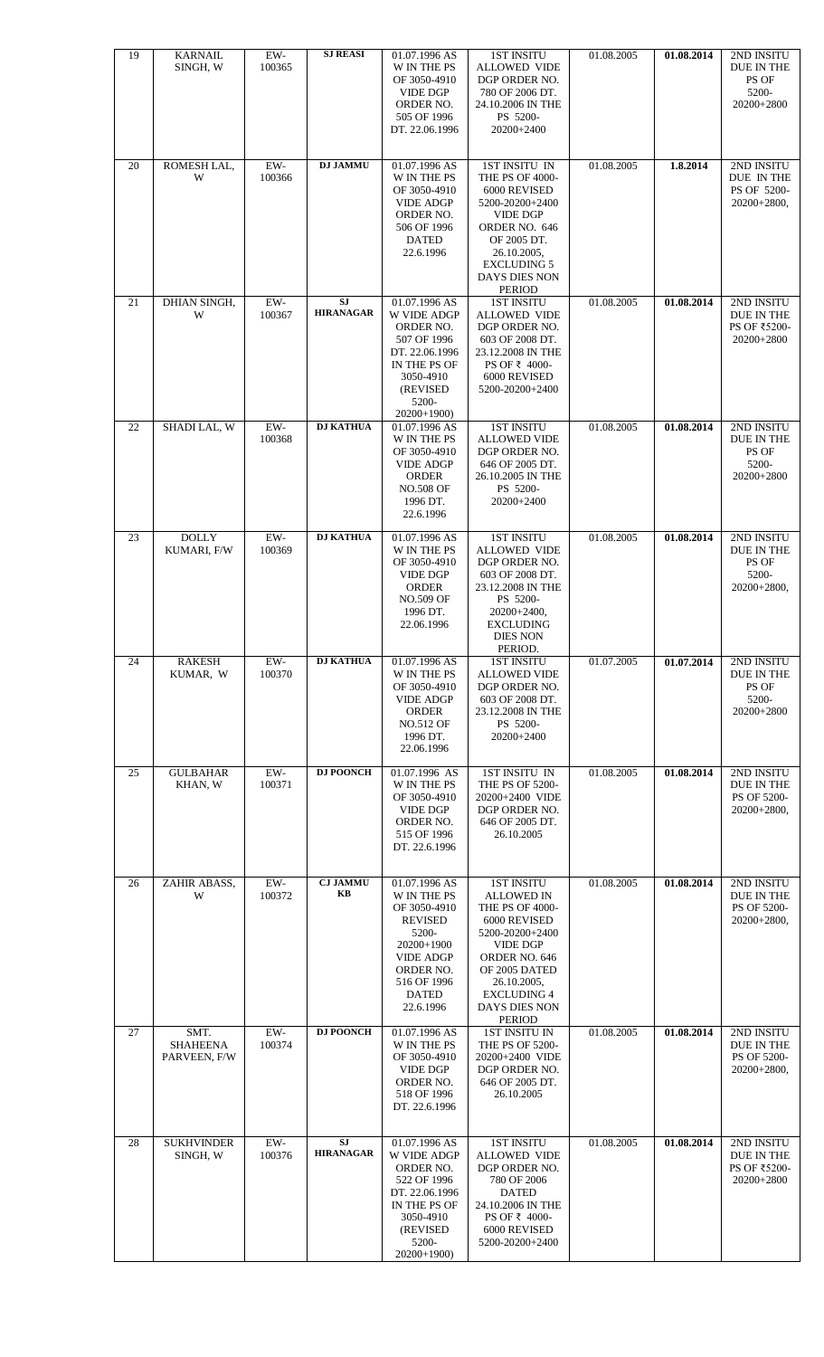| 19 | <b>KARNAIL</b><br>SINGH, W              | EW-<br>100365   | <b>SJ REASI</b>               | 01.07.1996 AS<br><b>W IN THE PS</b><br>OF 3050-4910<br><b>VIDE DGP</b><br>ORDER NO.<br>505 OF 1996<br>DT. 22.06.1996                                               | <b>1ST INSITU</b><br><b>ALLOWED VIDE</b><br>DGP ORDER NO.<br>780 OF 2006 DT.<br>24.10.2006 IN THE<br>PS 5200-<br>20200+2400                                                                                              | 01.08.2005 | 01.08.2014 | 2ND INSITU<br>DUE IN THE<br>PS OF<br>5200-<br>20200+2800        |
|----|-----------------------------------------|-----------------|-------------------------------|--------------------------------------------------------------------------------------------------------------------------------------------------------------------|--------------------------------------------------------------------------------------------------------------------------------------------------------------------------------------------------------------------------|------------|------------|-----------------------------------------------------------------|
| 20 | ROMESH LAL,<br>W                        | EW-<br>100366   | <b>DJ JAMMU</b>               | 01.07.1996 AS<br>W IN THE PS<br>OF 3050-4910<br><b>VIDE ADGP</b><br>ORDER NO.<br>506 OF 1996<br><b>DATED</b><br>22.6.1996                                          | 1ST INSITU IN<br>THE PS OF 4000-<br>6000 REVISED<br>5200-20200+2400<br><b>VIDE DGP</b><br>ORDER NO. 646<br>OF 2005 DT.<br>26.10.2005,<br><b>EXCLUDING 5</b><br>DAYS DIES NON<br>PERIOD                                   | 01.08.2005 | 1.8.2014   | 2ND INSITU<br>DUE IN THE<br>PS OF 5200-<br>20200+2800,          |
| 21 | DHIAN SINGH,<br>W                       | EW-<br>100367   | <b>SJ</b><br><b>HIRANAGAR</b> | 01.07.1996 AS<br>W VIDE ADGP<br>ORDER NO.<br>507 OF 1996<br>DT. 22.06.1996<br>IN THE PS OF<br>3050-4910<br>(REVISED<br>5200-<br>$20200+1900$                       | <b>1ST INSITU</b><br><b>ALLOWED VIDE</b><br>DGP ORDER NO.<br>603 OF 2008 DT.<br>23.12.2008 IN THE<br>PS OF ₹ 4000-<br>6000 REVISED<br>5200-20200+2400                                                                    | 01.08.2005 | 01.08.2014 | 2ND INSITU<br>DUE IN THE<br>PS OF ₹5200-<br>20200+2800          |
| 22 | <b>SHADILAL, W</b>                      | EW-<br>100368   | <b>DJ KATHUA</b>              | 01.07.1996 AS<br>W IN THE PS<br>OF 3050-4910<br><b>VIDE ADGP</b><br><b>ORDER</b><br><b>NO.508 OF</b><br>1996 DT.<br>22.6.1996                                      | <b>1ST INSITU</b><br><b>ALLOWED VIDE</b><br>DGP ORDER NO.<br>646 OF 2005 DT.<br>26.10.2005 IN THE<br>PS 5200-<br>20200+2400                                                                                              | 01.08.2005 | 01.08.2014 | 2ND INSITU<br>DUE IN THE<br>PS OF<br>5200-<br>20200+2800        |
| 23 | <b>DOLLY</b><br>KUMARI, F/W             | $EW-$<br>100369 | <b>DJ KATHUA</b>              | 01.07.1996 AS<br>W IN THE PS<br>OF 3050-4910<br><b>VIDE DGP</b><br><b>ORDER</b><br><b>NO.509 OF</b><br>1996 DT.<br>22.06.1996                                      | <b>1ST INSITU</b><br><b>ALLOWED VIDE</b><br>DGP ORDER NO.<br>603 OF 2008 DT.<br>23.12.2008 IN THE<br>PS 5200-<br>$20200+2400,$<br><b>EXCLUDING</b><br><b>DIES NON</b><br>PERIOD.                                         | 01.08.2005 | 01.08.2014 | 2ND INSITU<br>DUE IN THE<br>PS OF<br>5200-<br>$20200+2800,$     |
| 24 | <b>RAKESH</b><br>KUMAR, W               | $EW-$<br>100370 | <b>DJ KATHUA</b>              | 01.07.1996 AS<br>W IN THE PS<br>OF 3050-4910<br><b>VIDE ADGP</b><br><b>ORDER</b><br><b>NO.512 OF</b><br>1996 DT.<br>22.06.1996                                     | <b>1ST INSITU</b><br><b>ALLOWED VIDE</b><br>DGP ORDER NO.<br>603 OF 2008 DT.<br>23.12.2008 IN THE<br>PS 5200-<br>20200+2400                                                                                              | 01.07.2005 | 01.07.2014 | 2ND INSITU<br><b>DUE IN THE</b><br>PS OF<br>5200-<br>20200+2800 |
| 25 | <b>GULBAHAR</b><br>KHAN, W              | EW-<br>100371   | <b>DJ POONCH</b>              | 01.07.1996 AS<br>W IN THE PS<br>OF 3050-4910<br><b>VIDE DGP</b><br>ORDER NO.<br>515 OF 1996<br>DT. 22.6.1996                                                       | 1ST INSITU IN<br><b>THE PS OF 5200-</b><br>20200+2400 VIDE<br>DGP ORDER NO.<br>646 OF 2005 DT.<br>26.10.2005                                                                                                             | 01.08.2005 | 01.08.2014 | 2ND INSITU<br>DUE IN THE<br>PS OF 5200-<br>20200+2800,          |
| 26 | ZAHIR ABASS,<br>W                       | $EW-$<br>100372 | <b>CJ JAMMU</b><br>KB         | 01.07.1996 AS<br>W IN THE PS<br>OF 3050-4910<br><b>REVISED</b><br>5200-<br>20200+1900<br><b>VIDE ADGP</b><br>ORDER NO.<br>516 OF 1996<br><b>DATED</b><br>22.6.1996 | <b>1ST INSITU</b><br><b>ALLOWED IN</b><br>THE PS OF 4000-<br>6000 REVISED<br>5200-20200+2400<br><b>VIDE DGP</b><br>ORDER NO. 646<br>OF 2005 DATED<br>26.10.2005,<br><b>EXCLUDING 4</b><br>DAYS DIES NON<br><b>PERIOD</b> | 01.08.2005 | 01.08.2014 | 2ND INSITU<br>DUE IN THE<br>PS OF 5200-<br>20200+2800,          |
| 27 | SMT.<br><b>SHAHEENA</b><br>PARVEEN, F/W | $EW-$<br>100374 | <b>DJ POONCH</b>              | 01.07.1996 AS<br>W IN THE PS<br>OF 3050-4910<br><b>VIDE DGP</b><br>ORDER NO.<br>518 OF 1996<br>DT. 22.6.1996                                                       | <b>1ST INSITU IN</b><br>THE PS OF 5200-<br>20200+2400 VIDE<br>DGP ORDER NO.<br>646 OF 2005 DT.<br>26.10.2005                                                                                                             | 01.08.2005 | 01.08.2014 | 2ND INSITU<br>DUE IN THE<br>PS OF 5200-<br>20200+2800,          |
| 28 | <b>SUKHVINDER</b><br>SINGH, W           | $EW-$<br>100376 | <b>SJ</b><br><b>HIRANAGAR</b> | 01.07.1996 AS<br>W VIDE ADGP<br>ORDER NO.<br>522 OF 1996                                                                                                           | <b>1ST INSITU</b><br><b>ALLOWED VIDE</b><br>DGP ORDER NO.<br>780 OF 2006                                                                                                                                                 | 01.08.2005 | 01.08.2014 | 2ND INSITU<br>DUE IN THE<br>PS OF ₹5200-<br>20200+2800          |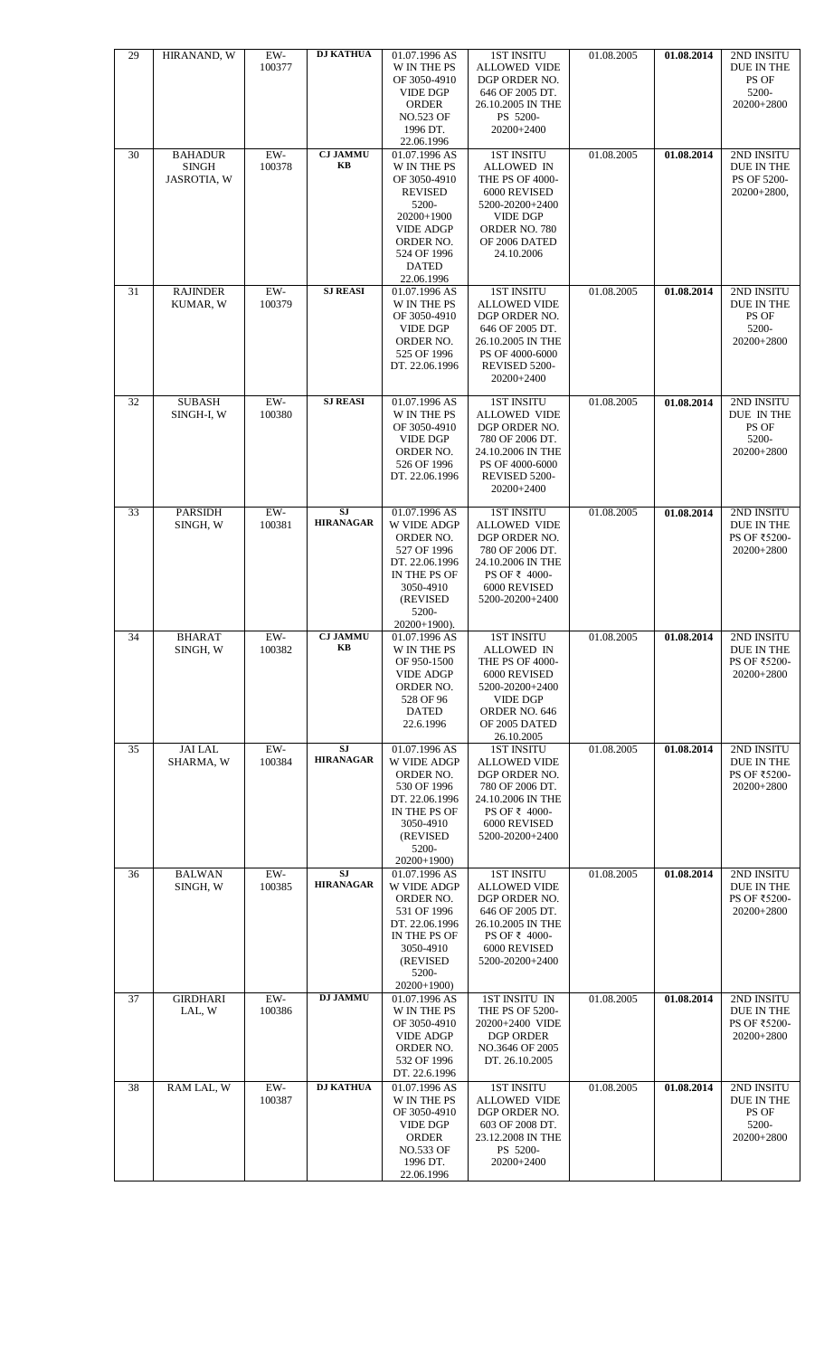| 29 | HIRANAND, W                                   | $EW-$           | <b>DJ KATHUA</b>              | 01.07.1996 AS                                                                                                                                                       | <b>1ST INSITU</b>                                                                                                                                               | 01.08.2005 | 01.08.2014 | 2ND INSITU                                               |
|----|-----------------------------------------------|-----------------|-------------------------------|---------------------------------------------------------------------------------------------------------------------------------------------------------------------|-----------------------------------------------------------------------------------------------------------------------------------------------------------------|------------|------------|----------------------------------------------------------|
|    |                                               | 100377          |                               | W IN THE PS<br>OF 3050-4910<br><b>VIDE DGP</b><br><b>ORDER</b><br><b>NO.523 OF</b><br>1996 DT.                                                                      | <b>ALLOWED VIDE</b><br>DGP ORDER NO.<br>646 OF 2005 DT.<br>26.10.2005 IN THE<br>PS 5200-<br>20200+2400                                                          |            |            | DUE IN THE<br>PS OF<br>5200-<br>20200+2800               |
|    |                                               |                 |                               | 22.06.1996                                                                                                                                                          |                                                                                                                                                                 |            |            |                                                          |
| 30 | <b>BAHADUR</b><br><b>SINGH</b><br>JASROTIA, W | EW-<br>100378   | <b>CJ JAMMU</b><br>KB         | 01.07.1996 AS<br>W IN THE PS<br>OF 3050-4910<br><b>REVISED</b><br>5200-<br>20200+1900<br><b>VIDE ADGP</b><br>ORDER NO.<br>524 OF 1996<br><b>DATED</b><br>22.06.1996 | <b>1ST INSITU</b><br><b>ALLOWED IN</b><br>THE PS OF 4000-<br>6000 REVISED<br>5200-20200+2400<br><b>VIDE DGP</b><br>ORDER NO. 780<br>OF 2006 DATED<br>24.10.2006 | 01.08.2005 | 01.08.2014 | 2ND INSITU<br>DUE IN THE<br>PS OF 5200-<br>20200+2800,   |
| 31 | <b>RAJINDER</b><br>KUMAR, W                   | $EW-$<br>100379 | <b>SJ REASI</b>               | 01.07.1996 AS<br><b>W IN THE PS</b><br>OF 3050-4910<br><b>VIDE DGP</b><br>ORDER NO.<br>525 OF 1996<br>DT. 22.06.1996                                                | <b>1ST INSITU</b><br><b>ALLOWED VIDE</b><br>DGP ORDER NO.<br>646 OF 2005 DT.<br>26.10.2005 IN THE<br>PS OF 4000-6000<br>REVISED 5200-<br>20200+2400             | 01.08.2005 | 01.08.2014 | 2ND INSITU<br>DUE IN THE<br>PS OF<br>5200-<br>20200+2800 |
| 32 | <b>SUBASH</b><br>SINGH-I, W                   | $EW-$<br>100380 | <b>SJ REASI</b>               | 01.07.1996 AS<br>W IN THE PS<br>OF 3050-4910<br><b>VIDE DGP</b><br>ORDER NO.<br>526 OF 1996<br>DT. 22.06.1996                                                       | <b>1ST INSITU</b><br><b>ALLOWED VIDE</b><br>DGP ORDER NO.<br>780 OF 2006 DT.<br>24.10.2006 IN THE<br>PS OF 4000-6000<br>REVISED 5200-<br>20200+2400             | 01.08.2005 | 01.08.2014 | 2ND INSITU<br>DUE IN THE<br>PS OF<br>5200-<br>20200+2800 |
| 33 | <b>PARSIDH</b><br>SINGH, W                    | EW-<br>100381   | <b>SJ</b><br><b>HIRANAGAR</b> | 01.07.1996 AS<br>W VIDE ADGP<br>ORDER NO.<br>527 OF 1996<br>DT. 22.06.1996<br>IN THE PS OF<br>3050-4910<br>(REVISED)<br>5200-<br>$20200+1900$ ).                    | <b>1ST INSITU</b><br><b>ALLOWED VIDE</b><br>DGP ORDER NO.<br>780 OF 2006 DT.<br>24.10.2006 IN THE<br>PS OF ₹ 4000-<br>6000 REVISED<br>5200-20200+2400           | 01.08.2005 | 01.08.2014 | 2ND INSITU<br>DUE IN THE<br>PS OF ₹5200-<br>20200+2800   |
| 34 | <b>BHARAT</b><br>SINGH, W                     | $EW-$<br>100382 | <b>CJ JAMMU</b><br>KВ         | 01.07.1996 AS<br>W IN THE PS<br>OF 950-1500<br><b>VIDE ADGP</b><br>ORDER NO.<br>528 OF 96<br><b>DATED</b><br>22.6.1996                                              | <b>1ST INSITU</b><br><b>ALLOWED IN</b><br>THE PS OF 4000-<br>6000 REVISED<br>5200-20200+2400<br><b>VIDE DGP</b><br>ORDER NO. 646<br>OF 2005 DATED<br>26.10.2005 | 01.08.2005 | 01.08.2014 | 2ND INSITU<br>DUE IN THE<br>PS OF ₹5200-<br>20200+2800   |
| 35 | <b>JAI LAL</b><br>SHARMA, W                   | EW-<br>100384   | SJ<br><b>HIRANAGAR</b>        | 01.07.1996 AS<br>W VIDE ADGP<br>ORDER NO.<br>530 OF 1996<br>DT. 22.06.1996<br>IN THE PS OF<br>3050-4910<br>(REVISED<br>5200-<br>$20200+1900$                        | <b>1ST INSITU</b><br><b>ALLOWED VIDE</b><br>DGP ORDER NO.<br>780 OF 2006 DT.<br>24.10.2006 IN THE<br>PS OF ₹ 4000-<br>6000 REVISED<br>5200-20200+2400           | 01.08.2005 | 01.08.2014 | 2ND INSITU<br>DUE IN THE<br>PS OF ₹5200-<br>20200+2800   |
| 36 | <b>BALWAN</b><br>SINGH, W                     | EW-<br>100385   | SJ<br><b>HIRANAGAR</b>        | 01.07.1996 AS<br>W VIDE ADGP<br>ORDER NO.<br>531 OF 1996<br>DT. 22.06.1996<br>IN THE PS OF<br>3050-4910<br>(REVISED)<br>5200-<br>$20200+1900$                       | <b>1ST INSITU</b><br><b>ALLOWED VIDE</b><br>DGP ORDER NO.<br>646 OF 2005 DT.<br>26.10.2005 IN THE<br>PS OF ₹ 4000-<br>6000 REVISED<br>5200-20200+2400           | 01.08.2005 | 01.08.2014 | 2ND INSITU<br>DUE IN THE<br>PS OF ₹5200-<br>20200+2800   |
| 37 | <b>GIRDHARI</b><br>LAL, W                     | $EW-$<br>100386 | <b>DJ JAMMU</b>               | 01.07.1996 AS<br>W IN THE PS<br>OF 3050-4910<br><b>VIDE ADGP</b><br>ORDER NO.<br>532 OF 1996<br>DT. 22.6.1996                                                       | 1ST INSITU IN<br>THE PS OF 5200-<br>20200+2400 VIDE<br><b>DGP ORDER</b><br>NO.3646 OF 2005<br>DT. 26.10.2005                                                    | 01.08.2005 | 01.08.2014 | 2ND INSITU<br>DUE IN THE<br>PS OF ₹5200-<br>20200+2800   |
| 38 | RAM LAL, W                                    | EW-<br>100387   | <b>DJ KATHUA</b>              | 01.07.1996 AS<br>W IN THE PS<br>OF 3050-4910<br><b>VIDE DGP</b><br><b>ORDER</b><br><b>NO.533 OF</b><br>1996 DT.<br>22.06.1996                                       | <b>1ST INSITU</b><br><b>ALLOWED VIDE</b><br>DGP ORDER NO.<br>603 OF 2008 DT.<br>23.12.2008 IN THE<br>PS 5200-<br>20200+2400                                     | 01.08.2005 | 01.08.2014 | 2ND INSITU<br>DUE IN THE<br>PS OF<br>5200-<br>20200+2800 |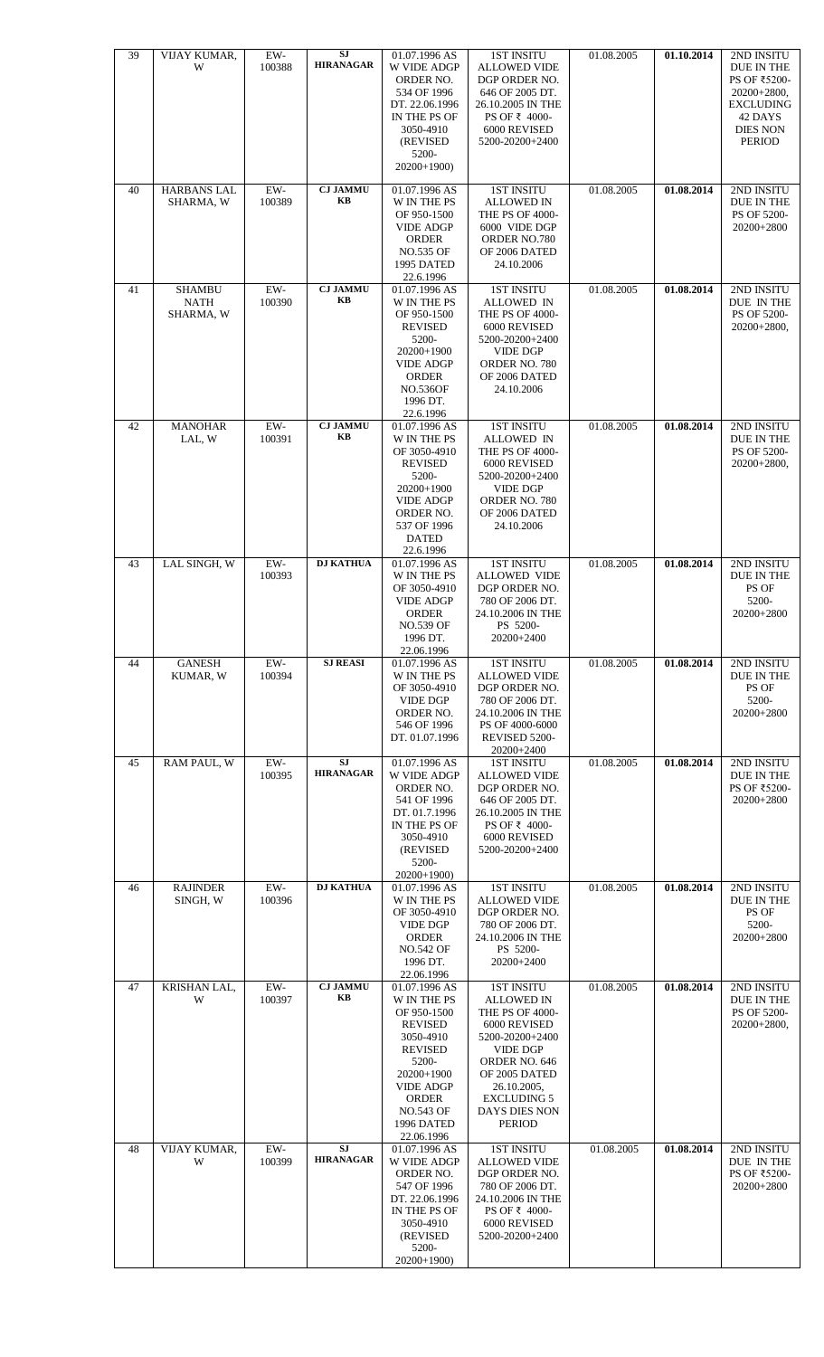| 39 | VIJAY KUMAR,<br>W                         | $EW-$<br>100388 | <b>SJ</b><br><b>HIRANAGAR</b> | 01.07.1996 AS<br>W VIDE ADGP<br>ORDER NO.<br>534 OF 1996<br>DT. 22.06.1996<br>IN THE PS OF<br>3050-4910<br>(REVISED<br>5200-<br>$20200+1900$                                                            | <b>1ST INSITU</b><br><b>ALLOWED VIDE</b><br>DGP ORDER NO.<br>646 OF 2005 DT.<br>26.10.2005 IN THE<br>PS OF ₹ 4000-<br>6000 REVISED<br>5200-20200+2400                                                                    | 01.08.2005 | 01.10.2014 | 2ND INSITU<br>DUE IN THE<br>PS OF ₹5200-<br>20200+2800,<br><b>EXCLUDING</b><br>42 DAYS<br><b>DIES NON</b><br><b>PERIOD</b> |
|----|-------------------------------------------|-----------------|-------------------------------|---------------------------------------------------------------------------------------------------------------------------------------------------------------------------------------------------------|--------------------------------------------------------------------------------------------------------------------------------------------------------------------------------------------------------------------------|------------|------------|----------------------------------------------------------------------------------------------------------------------------|
| 40 | <b>HARBANS LAL</b><br>SHARMA, W           | EW-<br>100389   | <b>CJ JAMMU</b><br>KB         | 01.07.1996 AS<br>W IN THE PS<br>OF 950-1500<br><b>VIDE ADGP</b><br><b>ORDER</b><br><b>NO.535 OF</b><br>1995 DATED<br>22.6.1996                                                                          | <b>1ST INSITU</b><br><b>ALLOWED IN</b><br>THE PS OF 4000-<br>6000 VIDE DGP<br>ORDER NO.780<br>OF 2006 DATED<br>24.10.2006                                                                                                | 01.08.2005 | 01.08.2014 | 2ND INSITU<br>DUE IN THE<br>PS OF 5200-<br>20200+2800                                                                      |
| 41 | <b>SHAMBU</b><br><b>NATH</b><br>SHARMA, W | $EW-$<br>100390 | <b>CJ JAMMU</b><br>KB         | 01.07.1996 AS<br>W IN THE PS<br>OF 950-1500<br><b>REVISED</b><br>5200-<br>20200+1900<br><b>VIDE ADGP</b><br><b>ORDER</b><br><b>NO.536OF</b><br>1996 DT.<br>22.6.1996                                    | <b>1ST INSITU</b><br><b>ALLOWED IN</b><br>THE PS OF 4000-<br>6000 REVISED<br>5200-20200+2400<br><b>VIDE DGP</b><br>ORDER NO. 780<br>OF 2006 DATED<br>24.10.2006                                                          | 01.08.2005 | 01.08.2014 | 2ND INSITU<br>DUE IN THE<br>PS OF 5200-<br>20200+2800,                                                                     |
| 42 | <b>MANOHAR</b><br>LAL, W                  | EW-<br>100391   | <b>CJ JAMMU</b><br>KB         | 01.07.1996 AS<br>W IN THE PS<br>OF 3050-4910<br><b>REVISED</b><br>5200-<br>20200+1900<br><b>VIDE ADGP</b><br>ORDER NO.<br>537 OF 1996<br><b>DATED</b><br>22.6.1996                                      | <b>1ST INSITU</b><br>ALLOWED IN<br>THE PS OF 4000-<br>6000 REVISED<br>5200-20200+2400<br><b>VIDE DGP</b><br>ORDER NO. 780<br>OF 2006 DATED<br>24.10.2006                                                                 | 01.08.2005 | 01.08.2014 | 2ND INSITU<br>DUE IN THE<br>PS OF 5200-<br>$20200+2800,$                                                                   |
| 43 | LAL SINGH, W                              | EW-<br>100393   | <b>DJ KATHUA</b>              | 01.07.1996 AS<br>W IN THE PS<br>OF 3050-4910<br><b>VIDE ADGP</b><br><b>ORDER</b><br><b>NO.539 OF</b><br>1996 DT.<br>22.06.1996                                                                          | <b>1ST INSITU</b><br><b>ALLOWED VIDE</b><br>DGP ORDER NO.<br>780 OF 2006 DT.<br>24.10.2006 IN THE<br>PS 5200-<br>20200+2400                                                                                              | 01.08.2005 | 01.08.2014 | 2ND INSITU<br>DUE IN THE<br>PS OF<br>5200-<br>20200+2800                                                                   |
| 44 | <b>GANESH</b><br>KUMAR, W                 | $EW-$<br>100394 | <b>SJ REASI</b>               | 01.07.1996 AS<br>W IN THE PS<br>OF 3050-4910<br><b>VIDE DGP</b><br>ORDER NO.<br>546 OF 1996<br>DT. 01.07.1996                                                                                           | <b>1ST INSITU</b><br><b>ALLOWED VIDE</b><br>DGP ORDER NO.<br>780 OF 2006 DT.<br>24.10.2006 IN THE<br>PS OF 4000-6000<br>REVISED 5200-<br>20200+2400                                                                      | 01.08.2005 | 01.08.2014 | 2ND INSITU<br><b>DUE IN THE</b><br>PS OF<br>5200-<br>20200+2800                                                            |
| 45 | RAM PAUL, W                               | $EW-$<br>100395 | <b>SJ</b><br><b>HIRANAGAR</b> | 01.07.1996 AS<br>W VIDE ADGP<br>ORDER NO.<br>541 OF 1996<br>DT. 01.7.1996<br>IN THE PS OF<br>3050-4910<br>(REVISED)<br>5200-<br>$20200+1900$                                                            | <b>1ST INSITU</b><br><b>ALLOWED VIDE</b><br>DGP ORDER NO.<br>646 OF 2005 DT.<br>26.10.2005 IN THE<br>PS OF ₹ 4000-<br>6000 REVISED<br>5200-20200+2400                                                                    | 01.08.2005 | 01.08.2014 | 2ND INSITU<br>DUE IN THE<br>PS OF ₹5200-<br>20200+2800                                                                     |
| 46 | <b>RAJINDER</b><br>SINGH, W               | EW-<br>100396   | <b>DJ KATHUA</b>              | 01.07.1996 AS<br>W IN THE PS<br>OF 3050-4910<br><b>VIDE DGP</b><br><b>ORDER</b><br><b>NO.542 OF</b><br>1996 DT.<br>22.06.1996                                                                           | <b>1ST INSITU</b><br><b>ALLOWED VIDE</b><br>DGP ORDER NO.<br>780 OF 2006 DT.<br>24.10.2006 IN THE<br>PS 5200-<br>20200+2400                                                                                              | 01.08.2005 | 01.08.2014 | 2ND INSITU<br>DUE IN THE<br>PS OF<br>5200-<br>20200+2800                                                                   |
| 47 | KRISHAN LAL,<br>W                         | $EW-$<br>100397 | <b>CJ JAMMU</b><br>KB         | 01.07.1996 AS<br>W IN THE PS<br>OF 950-1500<br><b>REVISED</b><br>3050-4910<br><b>REVISED</b><br>5200-<br>20200+1900<br><b>VIDE ADGP</b><br><b>ORDER</b><br><b>NO.543 OF</b><br>1996 DATED<br>22.06.1996 | <b>1ST INSITU</b><br><b>ALLOWED IN</b><br>THE PS OF 4000-<br>6000 REVISED<br>5200-20200+2400<br><b>VIDE DGP</b><br>ORDER NO. 646<br>OF 2005 DATED<br>26.10.2005,<br><b>EXCLUDING 5</b><br>DAYS DIES NON<br><b>PERIOD</b> | 01.08.2005 | 01.08.2014 | 2ND INSITU<br>DUE IN THE<br>PS OF 5200-<br>20200+2800,                                                                     |
| 48 | VIJAY KUMAR,<br>W                         | $EW-$<br>100399 | <b>SJ</b><br><b>HIRANAGAR</b> | 01.07.1996 AS<br>W VIDE ADGP<br>ORDER NO.<br>547 OF 1996<br>DT. 22.06.1996<br>IN THE PS OF<br>3050-4910<br>(REVISED<br>5200-<br>20200+1900)                                                             | <b>1ST INSITU</b><br><b>ALLOWED VIDE</b><br>DGP ORDER NO.<br>780 OF 2006 DT.<br>24.10.2006 IN THE<br>PS OF ₹ 4000-<br>6000 REVISED<br>5200-20200+2400                                                                    | 01.08.2005 | 01.08.2014 | 2ND INSITU<br>DUE IN THE<br>PS OF ₹5200-<br>20200+2800                                                                     |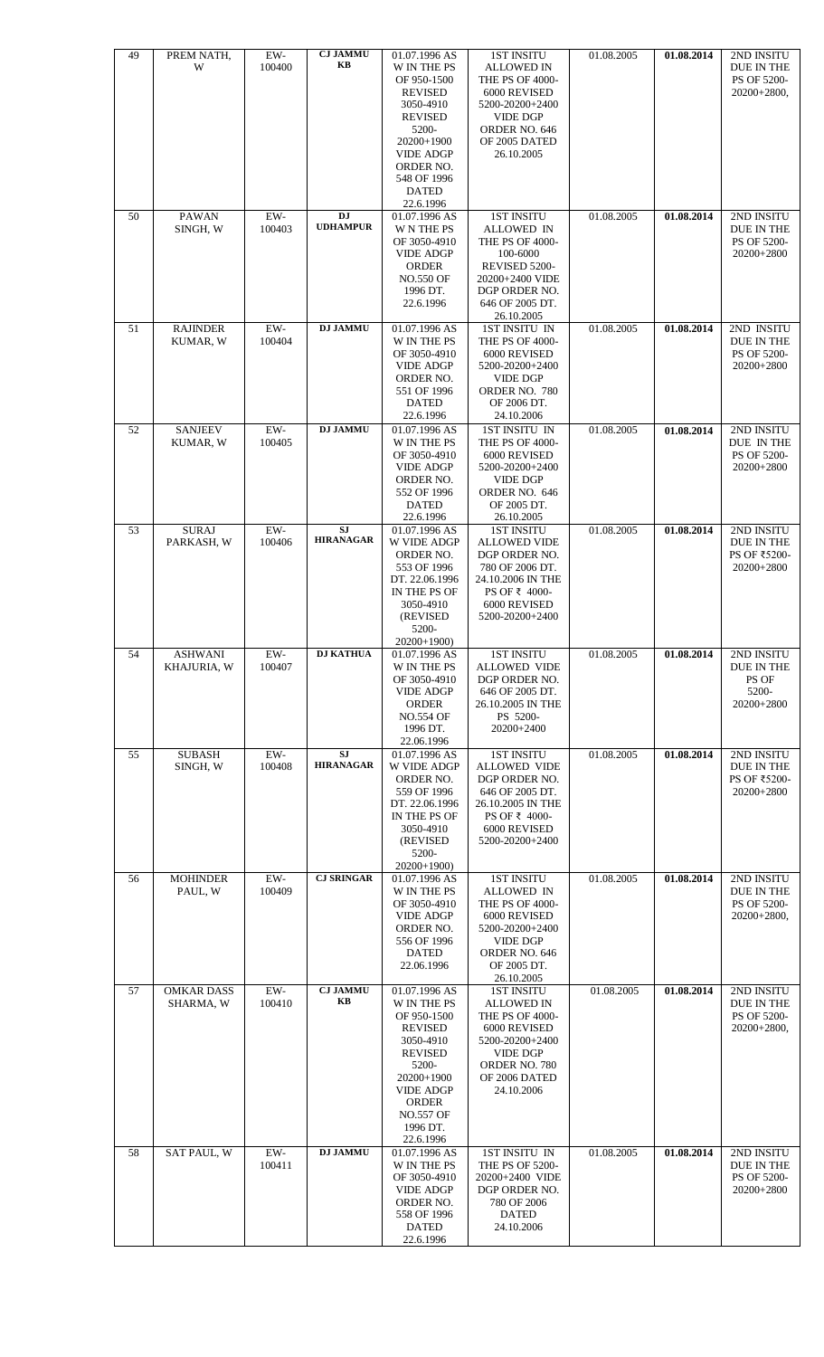| 49 | PREM NATH,<br>W                | EW-<br>100400                  | <b>CJ JAMMU</b><br>KB         | 01.07.1996 AS<br>W IN THE PS<br>OF 950-1500<br><b>REVISED</b><br>3050-4910<br><b>REVISED</b><br>5200-<br>20200+1900<br><b>VIDE ADGP</b><br>ORDER NO.<br>548 OF 1996<br><b>DATED</b><br>22.6.1996 | <b>1ST INSITU</b><br><b>ALLOWED IN</b><br>THE PS OF 4000-<br>6000 REVISED<br>5200-20200+2400<br><b>VIDE DGP</b><br>ORDER NO. 646<br>OF 2005 DATED<br>26.10.2005                  | 01.08.2005 | 01.08.2014 | 2ND INSITU<br>DUE IN THE<br>PS OF 5200-<br>$20200+2800,$        |
|----|--------------------------------|--------------------------------|-------------------------------|--------------------------------------------------------------------------------------------------------------------------------------------------------------------------------------------------|----------------------------------------------------------------------------------------------------------------------------------------------------------------------------------|------------|------------|-----------------------------------------------------------------|
| 50 | <b>PAWAN</b><br>SINGH, W       | EW-<br>100403                  | <b>DJ</b><br><b>UDHAMPUR</b>  | 01.07.1996 AS<br><b>W N THE PS</b><br>OF 3050-4910<br><b>VIDE ADGP</b><br><b>ORDER</b><br><b>NO.550 OF</b><br>1996 DT.<br>22.6.1996                                                              | <b>1ST INSITU</b><br><b>ALLOWED IN</b><br><b>THE PS OF 4000-</b><br>100-6000<br>REVISED 5200-<br>20200+2400 VIDE<br>DGP ORDER NO.<br>646 OF 2005 DT.<br>26.10.2005               | 01.08.2005 | 01.08.2014 | 2ND INSITU<br>DUE IN THE<br>PS OF 5200-<br>20200+2800           |
| 51 | <b>RAJINDER</b><br>KUMAR, W    | $EW-$<br>100404                | <b>DJ JAMMU</b>               | 01.07.1996 AS<br>W IN THE PS<br>OF 3050-4910<br><b>VIDE ADGP</b><br>ORDER NO.<br>551 OF 1996<br><b>DATED</b><br>22.6.1996                                                                        | <b>1ST INSITU IN</b><br>THE PS OF 4000-<br>6000 REVISED<br>5200-20200+2400<br><b>VIDE DGP</b><br>ORDER NO. 780<br>OF 2006 DT.<br>24.10.2006                                      | 01.08.2005 | 01.08.2014 | 2ND INSITU<br>DUE IN THE<br>PS OF 5200-<br>20200+2800           |
| 52 | <b>SANJEEV</b><br>KUMAR, W     | EW-<br>100405                  | <b>DJ JAMMU</b>               | 01.07.1996 AS<br>W IN THE PS<br>OF 3050-4910<br><b>VIDE ADGP</b><br>ORDER NO.<br>552 OF 1996<br><b>DATED</b><br>22.6.1996                                                                        | 1ST INSITU IN<br>THE PS OF 4000-<br>6000 REVISED<br>5200-20200+2400<br><b>VIDE DGP</b><br>ORDER NO. 646<br>OF 2005 DT.<br>26.10.2005                                             | 01.08.2005 | 01.08.2014 | 2ND INSITU<br>DUE IN THE<br>PS OF 5200-<br>20200+2800           |
| 53 | <b>SURAJ</b><br>PARKASH, W     | EW-<br>100406                  | <b>SJ</b><br><b>HIRANAGAR</b> | 01.07.1996 AS<br>W VIDE ADGP<br>ORDER NO.<br>553 OF 1996<br>DT. 22.06.1996<br>IN THE PS OF<br>3050-4910<br>(REVISED<br>5200-<br>20200+1900)                                                      | <b>1ST INSITU</b><br><b>ALLOWED VIDE</b><br>DGP ORDER NO.<br>780 OF 2006 DT.<br>24.10.2006 IN THE<br>PS OF ₹ 4000-<br>6000 REVISED<br>5200-20200+2400                            | 01.08.2005 | 01.08.2014 | 2ND INSITU<br>DUE IN THE<br>PS OF ₹5200-<br>20200+2800          |
| 54 | <b>ASHWANI</b><br>KHAJURIA, W  | ${\rm EW}\textrm{-}$<br>100407 | <b>DJ KATHUA</b>              | 01.07.1996 AS<br>W IN THE PS<br>OF 3050-4910<br><b>VIDE ADGP</b><br>ORDER<br><b>NO.554 OF</b><br>1996 DT.<br>22.06.1996                                                                          | <b>1ST INSITU</b><br><b>ALLOWED VIDE</b><br>DGP ORDER NO.<br>646 OF 2005 DT.<br>26.10.2005 IN THE<br>PS 5200-<br>20200+2400                                                      | 01.08.2005 | 01.08.2014 | 2ND INSITU<br><b>DUE IN THE</b><br>PS OF<br>5200-<br>20200+2800 |
| 55 | <b>SUBASH</b><br>SINGH, W      | $EW-$<br>100408                | <b>SJ</b><br><b>HIRANAGAR</b> | 01.07.1996 AS<br>W VIDE ADGP<br>ORDER NO.<br>559 OF 1996<br>DT. 22.06.1996<br>IN THE PS OF<br>3050-4910<br>(REVISED<br>5200-<br>20200+1900)                                                      | <b>1ST INSITU</b><br><b>ALLOWED VIDE</b><br>DGP ORDER NO.<br>646 OF 2005 DT.<br>26.10.2005 IN THE<br>PS OF ₹ 4000-<br>6000 REVISED<br>5200-20200+2400                            | 01.08.2005 | 01.08.2014 | 2ND INSITU<br>DUE IN THE<br>PS OF ₹5200-<br>20200+2800          |
| 56 | <b>MOHINDER</b><br>PAUL, W     | EW-<br>100409                  | <b>CJ SRINGAR</b>             | 01.07.1996 AS<br>W IN THE PS<br>OF 3050-4910<br><b>VIDE ADGP</b><br>ORDER NO.<br>556 OF 1996<br><b>DATED</b><br>22.06.1996                                                                       | <b>1ST INSITU</b><br>ALLOWED IN<br>THE PS OF 4000-<br>6000 REVISED<br>5200-20200+2400<br><b>VIDE DGP</b><br>ORDER NO. 646<br>OF 2005 DT.<br>26.10.2005                           | 01.08.2005 | 01.08.2014 | 2ND INSITU<br>DUE IN THE<br>PS OF 5200-<br>$20200+2800,$        |
| 57 | <b>OMKAR DASS</b><br>SHARMA, W | $EW-$<br>100410                | <b>CJ JAMMU</b><br>KB         | 01.07.1996 AS<br>W IN THE PS<br>OF 950-1500<br><b>REVISED</b><br>3050-4910<br><b>REVISED</b><br>5200-<br>20200+1900<br><b>VIDE ADGP</b><br>ORDER<br><b>NO.557 OF</b><br>1996 DT.<br>22.6.1996    | <b>1ST INSITU</b><br><b>ALLOWED IN</b><br>THE PS OF 4000-<br>6000 REVISED<br>5200-20200+2400<br>$\ensuremath{\mathsf{VIDE}}$ DGP<br>ORDER NO. 780<br>OF 2006 DATED<br>24.10.2006 | 01.08.2005 | 01.08.2014 | 2ND INSITU<br>DUE IN THE<br>PS OF 5200-<br>$20200+2800,$        |
| 58 | <b>SAT PAUL, W</b>             | EW-<br>100411                  | <b>DJ JAMMU</b>               | 01.07.1996 AS<br>W IN THE PS<br>OF 3050-4910<br><b>VIDE ADGP</b><br>ORDER NO.<br>558 OF 1996<br><b>DATED</b><br>22.6.1996                                                                        | 1ST INSITU IN<br>THE PS OF 5200-<br>20200+2400 VIDE<br>DGP ORDER NO.<br>780 OF 2006<br><b>DATED</b><br>24.10.2006                                                                | 01.08.2005 | 01.08.2014 | 2ND INSITU<br>DUE IN THE<br>PS OF 5200-<br>20200+2800           |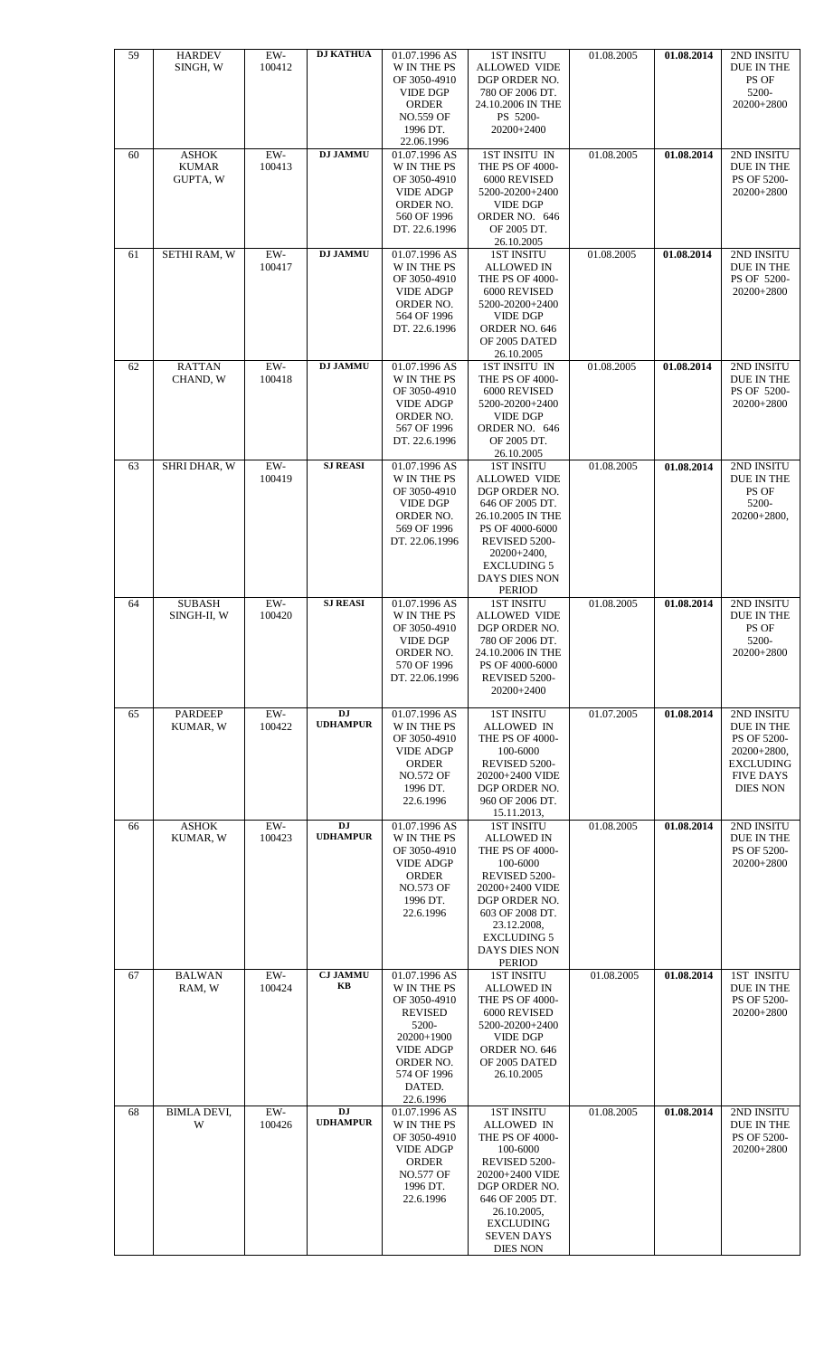| 59 | <b>HARDEV</b>              | $EW-$  | <b>DJ KATHUA</b> | 01.07.1996 AS                       | <b>1ST INSITU</b>                    | 01.08.2005 | 01.08.2014              | 2ND INSITU                        |
|----|----------------------------|--------|------------------|-------------------------------------|--------------------------------------|------------|-------------------------|-----------------------------------|
|    | SINGH, W                   | 100412 |                  | W IN THE PS<br>OF 3050-4910         | <b>ALLOWED VIDE</b><br>DGP ORDER NO. |            |                         | DUE IN THE<br>PS OF               |
|    |                            |        |                  | <b>VIDE DGP</b>                     | 780 OF 2006 DT.                      |            |                         | 5200-                             |
|    |                            |        |                  | <b>ORDER</b>                        | 24.10.2006 IN THE                    |            |                         | 20200+2800                        |
|    |                            |        |                  | <b>NO.559 OF</b><br>1996 DT.        | PS 5200-<br>20200+2400               |            |                         |                                   |
|    |                            |        |                  | 22.06.1996                          |                                      |            |                         |                                   |
| 60 | <b>ASHOK</b>               | $EW-$  | <b>DJ JAMMU</b>  | 01.07.1996 AS                       | 1ST INSITU IN                        | 01.08.2005 | 01.08.2014              | 2ND INSITU                        |
|    | <b>KUMAR</b><br>GUPTA, W   | 100413 |                  | W IN THE PS<br>OF 3050-4910         | THE PS OF 4000-                      |            |                         | DUE IN THE<br>PS OF 5200-         |
|    |                            |        |                  | <b>VIDE ADGP</b>                    | 6000 REVISED<br>5200-20200+2400      |            |                         | 20200+2800                        |
|    |                            |        |                  | ORDER NO.                           | <b>VIDE DGP</b>                      |            |                         |                                   |
|    |                            |        |                  | 560 OF 1996                         | ORDER NO. 646                        |            |                         |                                   |
|    |                            |        |                  | DT. 22.6.1996                       | OF 2005 DT.<br>26.10.2005            |            |                         |                                   |
| 61 | SETHI RAM, W               | $EW-$  | <b>DJ JAMMU</b>  | 01.07.1996 AS                       | <b>1ST INSITU</b>                    | 01.08.2005 | 01.08.2014              | 2ND INSITU                        |
|    |                            | 100417 |                  | W IN THE PS                         | ALLOWED IN                           |            |                         | DUE IN THE                        |
|    |                            |        |                  | OF 3050-4910<br><b>VIDE ADGP</b>    | THE PS OF 4000-<br>6000 REVISED      |            |                         | PS OF 5200-<br>20200+2800         |
|    |                            |        |                  | ORDER NO.                           | 5200-20200+2400                      |            |                         |                                   |
|    |                            |        |                  | 564 OF 1996                         | VIDE DGP                             |            |                         |                                   |
|    |                            |        |                  | DT. 22.6.1996                       | ORDER NO. 646<br>OF 2005 DATED       |            |                         |                                   |
|    |                            |        |                  |                                     | 26.10.2005                           |            |                         |                                   |
| 62 | <b>RATTAN</b>              | $EW-$  | <b>DJ JAMMU</b>  | 01.07.1996 AS                       | 1ST INSITU IN                        | 01.08.2005 | 01.08.2014              | 2ND INSITU                        |
|    | CHAND, W                   | 100418 |                  | W IN THE PS<br>OF 3050-4910         | THE PS OF 4000-<br>6000 REVISED      |            |                         | DUE IN THE<br>PS OF 5200-         |
|    |                            |        |                  | <b>VIDE ADGP</b>                    | 5200-20200+2400                      |            |                         | 20200+2800                        |
|    |                            |        |                  | ORDER NO.                           | <b>VIDE DGP</b>                      |            |                         |                                   |
|    |                            |        |                  | 567 OF 1996<br>DT. 22.6.1996        | ORDER NO. 646<br>OF 2005 DT.         |            |                         |                                   |
|    |                            |        |                  |                                     | 26.10.2005                           |            |                         |                                   |
| 63 | SHRI DHAR, W               | $EW-$  | <b>SJ REASI</b>  | 01.07.1996 AS                       | <b>1ST INSITU</b>                    | 01.08.2005 | 01.08.2014              | 2ND INSITU                        |
|    |                            | 100419 |                  | W IN THE PS<br>OF 3050-4910         | <b>ALLOWED VIDE</b><br>DGP ORDER NO. |            |                         | DUE IN THE<br>PS OF               |
|    |                            |        |                  | <b>VIDE DGP</b>                     | 646 OF 2005 DT.                      |            |                         | 5200-                             |
|    |                            |        |                  | ORDER NO.                           | 26.10.2005 IN THE                    |            |                         | 20200+2800,                       |
|    |                            |        |                  | 569 OF 1996<br>DT. 22.06.1996       | PS OF 4000-6000<br>REVISED 5200-     |            |                         |                                   |
|    |                            |        |                  |                                     | $20200+2400,$                        |            |                         |                                   |
|    |                            |        |                  |                                     | <b>EXCLUDING 5</b>                   |            |                         |                                   |
|    |                            |        |                  |                                     | DAYS DIES NON<br><b>PERIOD</b>       |            |                         |                                   |
| 64 | <b>SUBASH</b>              | EW-    | <b>SJ REASI</b>  | 01.07.1996 AS                       | <b>1ST INSITU</b>                    | 01.08.2005 | 01.08.2014              | 2ND INSITU                        |
|    | SINGH-II, W                | 100420 |                  | <b>W IN THE PS</b>                  | <b>ALLOWED VIDE</b>                  |            |                         | DUE IN THE                        |
|    |                            |        |                  | OF 3050-4910<br><b>VIDE DGP</b>     | DGP ORDER NO.<br>780 OF 2006 DT.     |            |                         | PS OF<br>5200-                    |
|    |                            |        |                  | ORDER NO.                           | 24.10.2006 IN THE                    |            |                         | 20200+2800                        |
|    |                            |        |                  | 570 OF 1996<br>DT. 22.06.1996       | PS OF 4000-6000<br>REVISED 5200-     |            |                         |                                   |
|    |                            |        |                  |                                     | 20200+2400                           |            |                         |                                   |
|    |                            | EW-    | <b>DJ</b>        |                                     | <b>1ST INSITU</b>                    |            | 01.08.2014              |                                   |
| 65 | <b>PARDEEP</b><br>KUMAR, W | 100422 | <b>UDHAMPUR</b>  | 01.07.1996 AS<br><b>W IN THE PS</b> | ALLOWED IN                           | 01.07.2005 |                         | 2ND INSITU<br>DUE IN THE          |
|    |                            |        |                  | OF 3050-4910                        | THE PS OF 4000-                      |            |                         | PS OF 5200-                       |
|    |                            |        |                  | <b>VIDE ADGP</b><br><b>ORDER</b>    | 100-6000<br>REVISED 5200-            |            |                         | $20200+2800,$<br><b>EXCLUDING</b> |
|    |                            |        |                  | <b>NO.572 OF</b>                    | 20200+2400 VIDE                      |            |                         | <b>FIVE DAYS</b>                  |
|    |                            |        |                  | 1996 DT.                            | DGP ORDER NO.                        |            |                         | <b>DIES NON</b>                   |
|    |                            |        |                  | 22.6.1996                           | 960 OF 2006 DT.<br>15.11.2013,       |            |                         |                                   |
| 66 | <b>ASHOK</b>               | EW-    | <b>DJ</b>        | 01.07.1996 AS                       | <b>1ST INSITU</b>                    | 01.08.2005 | 01.08.2014              | 2ND INSITU                        |
|    | KUMAR, W                   | 100423 | <b>UDHAMPUR</b>  | W IN THE PS                         | <b>ALLOWED IN</b>                    |            |                         | DUE IN THE                        |
|    |                            |        |                  | OF 3050-4910<br><b>VIDE ADGP</b>    | THE PS OF 4000-<br>100-6000          |            |                         | PS OF 5200-<br>20200+2800         |
|    |                            |        |                  | <b>ORDER</b>                        | REVISED 5200-                        |            |                         |                                   |
|    |                            |        |                  | <b>NO.573 OF</b>                    | 20200+2400 VIDE                      |            |                         |                                   |
|    |                            |        |                  | 1996 DT.<br>22.6.1996               | DGP ORDER NO.<br>603 OF 2008 DT.     |            |                         |                                   |
|    |                            |        |                  |                                     | 23.12.2008,                          |            |                         |                                   |
|    |                            |        |                  |                                     | <b>EXCLUDING 5</b>                   |            |                         |                                   |
|    |                            |        |                  |                                     | DAYS DIES NON<br><b>PERIOD</b>       |            |                         |                                   |
| 67 | <b>BALWAN</b>              | EW-    | <b>CJ JAMMU</b>  | 01.07.1996 AS                       | <b>1ST INSITU</b>                    | 01.08.2005 | $\overline{01.08.2014}$ | <b>1ST INSITU</b>                 |
|    | RAM, W                     | 100424 | KB               | W IN THE PS                         | <b>ALLOWED IN</b>                    |            |                         | DUE IN THE                        |
|    |                            |        |                  | OF 3050-4910<br><b>REVISED</b>      | THE PS OF 4000-<br>6000 REVISED      |            |                         | PS OF 5200-<br>20200+2800         |
|    |                            |        |                  | 5200-                               | 5200-20200+2400                      |            |                         |                                   |
|    |                            |        |                  | 20200+1900                          | <b>VIDE DGP</b>                      |            |                         |                                   |
|    |                            |        |                  | <b>VIDE ADGP</b><br>ORDER NO.       | ORDER NO. 646<br>OF 2005 DATED       |            |                         |                                   |
|    |                            |        |                  | 574 OF 1996                         | 26.10.2005                           |            |                         |                                   |
|    |                            |        |                  | DATED.                              |                                      |            |                         |                                   |
| 68 | <b>BIMLA DEVI,</b>         | EW-    | <b>DJ</b>        | 22.6.1996<br>01.07.1996 AS          | <b>1ST INSITU</b>                    | 01.08.2005 | 01.08.2014              | 2ND INSITU                        |
|    | W                          | 100426 | <b>UDHAMPUR</b>  | W IN THE PS                         | <b>ALLOWED IN</b>                    |            |                         | DUE IN THE                        |
|    |                            |        |                  | OF 3050-4910<br><b>VIDE ADGP</b>    | THE PS OF 4000-<br>100-6000          |            |                         | PS OF 5200-<br>20200+2800         |
|    |                            |        |                  | <b>ORDER</b>                        | REVISED 5200-                        |            |                         |                                   |
|    |                            |        |                  | <b>NO.577 OF</b>                    | 20200+2400 VIDE                      |            |                         |                                   |
|    |                            |        |                  | 1996 DT.<br>22.6.1996               | DGP ORDER NO.<br>646 OF 2005 DT.     |            |                         |                                   |
|    |                            |        |                  |                                     | 26.10.2005,                          |            |                         |                                   |
|    |                            |        |                  |                                     | <b>EXCLUDING</b>                     |            |                         |                                   |
|    |                            |        |                  |                                     | <b>SEVEN DAYS</b><br><b>DIES NON</b> |            |                         |                                   |
|    |                            |        |                  |                                     |                                      |            |                         |                                   |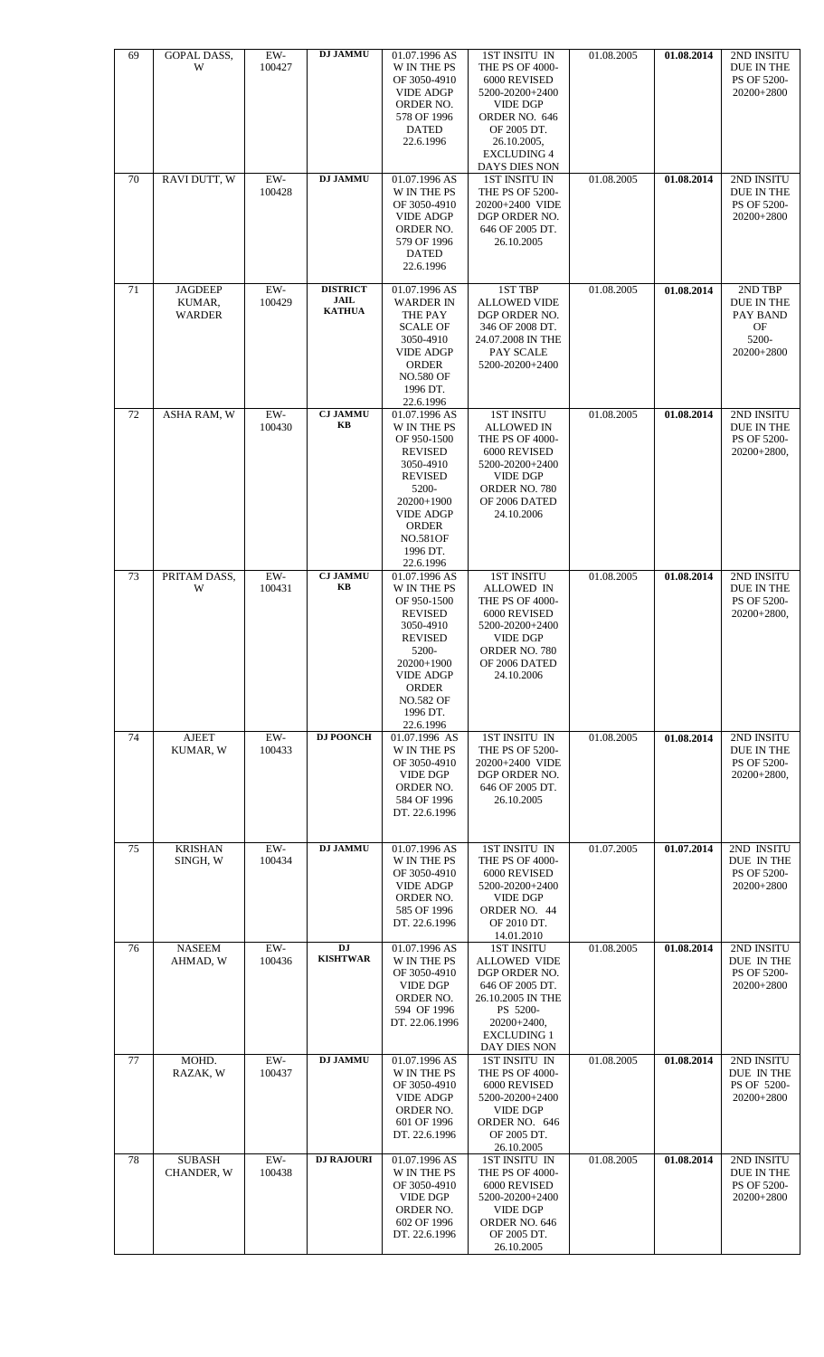| 69 | GOPAL DASS,<br>W                          | EW-<br>100427   | <b>DJ JAMMU</b>                                 | 01.07.1996 AS<br><b>W IN THE PS</b><br>OF 3050-4910<br><b>VIDE ADGP</b><br>ORDER NO.<br>578 OF 1996<br><b>DATED</b><br>22.6.1996                                                                            | 1ST INSITU IN<br>THE PS OF 4000-<br>6000 REVISED<br>5200-20200+2400<br><b>VIDE DGP</b><br>ORDER NO. 646<br>OF 2005 DT.<br>26.10.2005,<br><b>EXCLUDING 4</b><br>DAYS DIES NON | 01.08.2005 | 01.08.2014 | 2ND INSITU<br>DUE IN THE<br>PS OF 5200-<br>20200+2800          |
|----|-------------------------------------------|-----------------|-------------------------------------------------|-------------------------------------------------------------------------------------------------------------------------------------------------------------------------------------------------------------|------------------------------------------------------------------------------------------------------------------------------------------------------------------------------|------------|------------|----------------------------------------------------------------|
| 70 | RAVI DUTT, W                              | EW-<br>100428   | <b>DJ JAMMU</b>                                 | 01.07.1996 AS<br><b>W IN THE PS</b><br>OF 3050-4910<br><b>VIDE ADGP</b><br>ORDER NO.<br>579 OF 1996<br><b>DATED</b><br>22.6.1996                                                                            | <b>1ST INSITU IN</b><br>THE PS OF 5200-<br>20200+2400 VIDE<br>DGP ORDER NO.<br>646 OF 2005 DT.<br>26.10.2005                                                                 | 01.08.2005 | 01.08.2014 | 2ND INSITU<br>DUE IN THE<br>PS OF 5200-<br>20200+2800          |
| 71 | <b>JAGDEEP</b><br>KUMAR,<br><b>WARDER</b> | EW-<br>100429   | <b>DISTRICT</b><br><b>JAIL</b><br><b>KATHUA</b> | 01.07.1996 AS<br><b>WARDER IN</b><br>THE PAY<br><b>SCALE OF</b><br>3050-4910<br><b>VIDE ADGP</b><br><b>ORDER</b><br><b>NO.580 OF</b><br>1996 DT.<br>22.6.1996                                               | 1ST TBP<br><b>ALLOWED VIDE</b><br>DGP ORDER NO.<br>346 OF 2008 DT.<br>24.07.2008 IN THE<br>PAY SCALE<br>5200-20200+2400                                                      | 01.08.2005 | 01.08.2014 | 2ND TBP<br>DUE IN THE<br>PAY BAND<br>OF<br>5200-<br>20200+2800 |
| 72 | ASHA RAM, W                               | $EW-$<br>100430 | <b>CJ JAMMU</b><br>KB                           | 01.07.1996 AS<br>W IN THE PS<br>OF 950-1500<br><b>REVISED</b><br>3050-4910<br><b>REVISED</b><br>5200-<br>20200+1900<br><b>VIDE ADGP</b><br><b>ORDER</b><br><b>NO.581OF</b><br>1996 DT.<br>22.6.1996         | <b>1ST INSITU</b><br><b>ALLOWED IN</b><br>THE PS OF 4000-<br>6000 REVISED<br>5200-20200+2400<br><b>VIDE DGP</b><br>ORDER NO. 780<br>OF 2006 DATED<br>24.10.2006              | 01.08.2005 | 01.08.2014 | 2ND INSITU<br>DUE IN THE<br>PS OF 5200-<br>$20200+2800,$       |
| 73 | PRITAM DASS,<br>W                         | $EW-$<br>100431 | <b>CJ JAMMU</b><br>KB                           | 01.07.1996 AS<br><b>W IN THE PS</b><br>OF 950-1500<br><b>REVISED</b><br>3050-4910<br><b>REVISED</b><br>5200-<br>20200+1900<br><b>VIDE ADGP</b><br><b>ORDER</b><br><b>NO.582 OF</b><br>1996 DT.<br>22.6.1996 | <b>1ST INSITU</b><br><b>ALLOWED IN</b><br>THE PS OF 4000-<br>6000 REVISED<br>5200-20200+2400<br><b>VIDE DGP</b><br>ORDER NO. 780<br>OF 2006 DATED<br>24.10.2006              | 01.08.2005 | 01.08.2014 | 2ND INSITU<br>DUE IN THE<br>PS OF 5200-<br>$20200+2800,$       |
| 74 | <b>AJEET</b><br>KUMAR, W                  | EW-<br>100433   | <b>DJ POONCH</b>                                | 01.07.1996 AS<br><b>W IN THE PS</b><br>OF 3050-4910<br><b>VIDE DGP</b><br>ORDER NO.<br>584 OF 1996<br>DT. 22.6.1996                                                                                         | 1ST INSITU IN<br><b>THE PS OF 5200-</b><br>20200+2400 VIDE<br>DGP ORDER NO.<br>646 OF 2005 DT.<br>26.10.2005                                                                 | 01.08.2005 | 01.08.2014 | 2ND INSITU<br>DUE IN THE<br>PS OF 5200-<br>20200+2800,         |
| 75 | <b>KRISHAN</b><br>SINGH, W                | $EW-$<br>100434 | <b>DJ JAMMU</b>                                 | 01.07.1996 AS<br>W IN THE PS<br>OF 3050-4910<br><b>VIDE ADGP</b><br>ORDER NO.<br>585 OF 1996<br>DT. 22.6.1996                                                                                               | 1ST INSITU IN<br>THE PS OF 4000-<br>6000 REVISED<br>5200-20200+2400<br><b>VIDE DGP</b><br>ORDER NO. 44<br>OF 2010 DT.<br>14.01.2010                                          | 01.07.2005 | 01.07.2014 | 2ND INSITU<br>DUE IN THE<br>PS OF 5200-<br>20200+2800          |
| 76 | <b>NASEEM</b><br>AHMAD, W                 | EW-<br>100436   | <b>DJ</b><br><b>KISHTWAR</b>                    | 01.07.1996 AS<br>W IN THE PS<br>OF 3050-4910<br><b>VIDE DGP</b><br>ORDER NO.<br>594 OF 1996<br>DT. 22.06.1996                                                                                               | <b>1ST INSITU</b><br><b>ALLOWED VIDE</b><br>DGP ORDER NO.<br>646 OF 2005 DT.<br>26.10.2005 IN THE<br>PS 5200-<br>20200+2400,<br><b>EXCLUDING 1</b><br>DAY DIES NON           | 01.08.2005 | 01.08.2014 | 2ND INSITU<br>DUE IN THE<br>PS OF 5200-<br>20200+2800          |
| 77 | MOHD.<br>RAZAK, W                         | $EW-$<br>100437 | <b>DJ JAMMU</b>                                 | 01.07.1996 AS<br>W IN THE PS<br>OF 3050-4910<br><b>VIDE ADGP</b><br>ORDER NO.<br>601 OF 1996<br>DT. 22.6.1996                                                                                               | 1ST INSITU IN<br>THE PS OF 4000-<br>6000 REVISED<br>5200-20200+2400<br><b>VIDE DGP</b><br>ORDER NO. 646<br>OF 2005 DT.<br>26.10.2005                                         | 01.08.2005 | 01.08.2014 | 2ND INSITU<br>DUE IN THE<br>PS OF 5200-<br>20200+2800          |
| 78 | <b>SUBASH</b><br>CHANDER, W               | EW-<br>100438   | <b>DJ RAJOURI</b>                               | 01.07.1996 AS<br><b>W IN THE PS</b><br>OF 3050-4910<br><b>VIDE DGP</b><br>ORDER NO.<br>602 OF 1996<br>DT. 22.6.1996                                                                                         | 1ST INSITU IN<br><b>THE PS OF 4000-</b><br>6000 REVISED<br>5200-20200+2400<br><b>VIDE DGP</b><br>ORDER NO. 646<br>OF 2005 DT.<br>26.10.2005                                  | 01.08.2005 | 01.08.2014 | 2ND INSITU<br>DUE IN THE<br>PS OF 5200-<br>20200+2800          |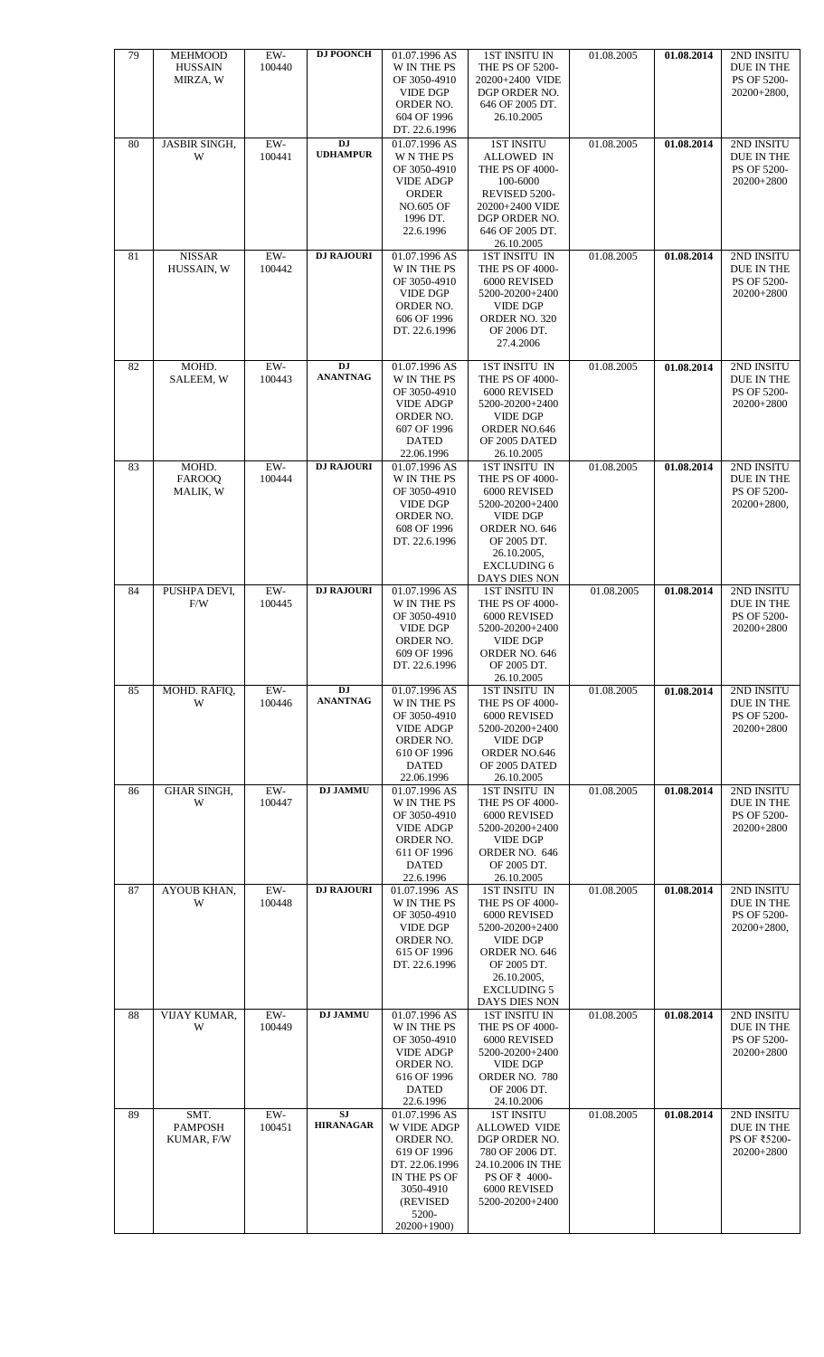| 79 | MEHMOOD<br><b>HUSSAIN</b><br>MIRZA, W | $EW-$<br>100440 | <b>DJ POONCH</b>              | 01.07.1996 AS<br>W IN THE PS<br>OF 3050-4910<br><b>VIDE DGP</b><br>ORDER NO.<br>604 OF 1996<br>DT. 22.6.1996                                | <b>1ST INSITU IN</b><br>THE PS OF 5200-<br>20200+2400 VIDE<br>DGP ORDER NO.<br>646 OF 2005 DT.<br>26.10.2005                                                                 | 01.08.2005 | 01.08.2014 | 2ND INSITU<br>DUE IN THE<br>PS OF 5200-<br>20200+2800,   |
|----|---------------------------------------|-----------------|-------------------------------|---------------------------------------------------------------------------------------------------------------------------------------------|------------------------------------------------------------------------------------------------------------------------------------------------------------------------------|------------|------------|----------------------------------------------------------|
| 80 | <b>JASBIR SINGH,</b><br>W             | EW-<br>100441   | DJ<br><b>UDHAMPUR</b>         | 01.07.1996 AS<br><b>W N THE PS</b><br>OF 3050-4910<br><b>VIDE ADGP</b><br><b>ORDER</b><br><b>NO.605 OF</b><br>1996 DT.<br>22.6.1996         | <b>1ST INSITU</b><br><b>ALLOWED IN</b><br>THE PS OF 4000-<br>100-6000<br>REVISED 5200-<br>20200+2400 VIDE<br>DGP ORDER NO.<br>646 OF 2005 DT.<br>26.10.2005                  | 01.08.2005 | 01.08.2014 | 2ND INSITU<br>DUE IN THE<br>PS OF 5200-<br>20200+2800    |
| 81 | <b>NISSAR</b><br>HUSSAIN, W           | EW-<br>100442   | <b>DJ RAJOURI</b>             | 01.07.1996 AS<br>W IN THE PS<br>OF 3050-4910<br><b>VIDE DGP</b><br>ORDER NO.<br>606 OF 1996<br>DT. 22.6.1996                                | 1ST INSITU IN<br>THE PS OF 4000-<br>6000 REVISED<br>5200-20200+2400<br><b>VIDE DGP</b><br>ORDER NO. 320<br>OF 2006 DT.<br>27.4.2006                                          | 01.08.2005 | 01.08.2014 | 2ND INSITU<br>DUE IN THE<br>PS OF 5200-<br>20200+2800    |
| 82 | MOHD.<br>SALEEM, W                    | $EW-$<br>100443 | <b>DJ</b><br><b>ANANTNAG</b>  | 01.07.1996 AS<br>W IN THE PS<br>OF 3050-4910<br><b>VIDE ADGP</b><br>ORDER NO.<br>607 OF 1996<br><b>DATED</b><br>22.06.1996                  | 1ST INSITU IN<br>THE PS OF 4000-<br>6000 REVISED<br>5200-20200+2400<br><b>VIDE DGP</b><br>ORDER NO.646<br>OF 2005 DATED<br>26.10.2005                                        | 01.08.2005 | 01.08.2014 | 2ND INSITU<br>DUE IN THE<br>PS OF 5200-<br>20200+2800    |
| 83 | MOHD.<br><b>FAROOQ</b><br>MALIK, W    | EW-<br>100444   | <b>DJ RAJOURI</b>             | 01.07.1996 AS<br>W IN THE PS<br>OF 3050-4910<br><b>VIDE DGP</b><br>ORDER NO.<br>608 OF 1996<br>DT. 22.6.1996                                | 1ST INSITU IN<br>THE PS OF 4000-<br>6000 REVISED<br>5200-20200+2400<br><b>VIDE DGP</b><br>ORDER NO. 646<br>OF 2005 DT.<br>26.10.2005,<br><b>EXCLUDING 6</b><br>DAYS DIES NON | 01.08.2005 | 01.08.2014 | 2ND INSITU<br>DUE IN THE<br>PS OF 5200-<br>20200+2800,   |
| 84 | PUSHPA DEVI,<br>F/W                   | $EW-$<br>100445 | <b>DJ RAJOURI</b>             | 01.07.1996 AS<br>W IN THE PS<br>OF 3050-4910<br><b>VIDE DGP</b><br>ORDER NO.<br>609 OF 1996<br>DT. 22.6.1996                                | <b>1ST INSITU IN</b><br>THE PS OF 4000-<br>6000 REVISED<br>5200-20200+2400<br><b>VIDE DGP</b><br>ORDER NO. 646<br>OF 2005 DT.<br>26.10.2005                                  | 01.08.2005 | 01.08.2014 | 2ND INSITU<br>DUE IN THE<br>PS OF 5200-<br>20200+2800    |
| 85 | MOHD. RAFIQ,<br>W                     | EW-<br>100446   | <b>DJ</b><br><b>ANANTNAG</b>  | 01.07.1996 AS<br>W IN THE PS<br>OF 3050-4910<br><b>VIDE ADGP</b><br>ORDER NO.<br>610 OF 1996<br><b>DATED</b><br>22.06.1996                  | 1ST INSITU IN<br>THE PS OF 4000-<br>6000 REVISED<br>5200-20200+2400<br><b>VIDE DGP</b><br>ORDER NO.646<br>OF 2005 DATED<br>26.10.2005                                        | 01.08.2005 | 01.08.2014 | 2ND INSITU<br>DUE IN THE<br>PS OF 5200-<br>20200+2800    |
| 86 | <b>GHAR SINGH,</b><br>W               | $EW-$<br>100447 | <b>DJ JAMMU</b>               | 01.07.1996 AS<br>W IN THE PS<br>OF 3050-4910<br><b>VIDE ADGP</b><br>ORDER NO.<br>611 OF 1996<br><b>DATED</b><br>22.6.1996                   | 1ST INSITU IN<br>THE PS OF 4000-<br>6000 REVISED<br>5200-20200+2400<br><b>VIDE DGP</b><br>ORDER NO. 646<br>OF 2005 DT.<br>26.10.2005                                         | 01.08.2005 | 01.08.2014 | 2ND INSITU<br>DUE IN THE<br>PS OF 5200-<br>20200+2800    |
| 87 | AYOUB KHAN,<br>W                      | $EW-$<br>100448 | <b>DJ RAJOURI</b>             | 01.07.1996 AS<br>W IN THE PS<br>OF 3050-4910<br><b>VIDE DGP</b><br>ORDER NO.<br>615 OF 1996<br>DT. 22.6.1996                                | 1ST INSITU IN<br>THE PS OF 4000-<br>6000 REVISED<br>5200-20200+2400<br><b>VIDE DGP</b><br>ORDER NO. 646<br>OF 2005 DT.<br>26.10.2005,<br><b>EXCLUDING 5</b><br>DAYS DIES NON | 01.08.2005 | 01.08.2014 | 2ND INSITU<br>DUE IN THE<br>PS OF 5200-<br>$20200+2800,$ |
| 88 | VIJAY KUMAR,<br>W                     | $EW-$<br>100449 | <b>DJ JAMMU</b>               | 01.07.1996 AS<br>W IN THE PS<br>OF 3050-4910<br><b>VIDE ADGP</b><br>ORDER NO.<br>616 OF 1996<br><b>DATED</b><br>22.6.1996                   | <b>1ST INSITU IN</b><br>THE PS OF 4000-<br>6000 REVISED<br>5200-20200+2400<br><b>VIDE DGP</b><br>ORDER NO. 780<br>OF 2006 DT.<br>24.10.2006                                  | 01.08.2005 | 01.08.2014 | 2ND INSITU<br>DUE IN THE<br>PS OF 5200-<br>20200+2800    |
| 89 | SMT.<br><b>PAMPOSH</b><br>KUMAR, F/W  | EW-<br>100451   | <b>SJ</b><br><b>HIRANAGAR</b> | 01.07.1996 AS<br>W VIDE ADGP<br>ORDER NO.<br>619 OF 1996<br>DT. 22.06.1996<br>IN THE PS OF<br>3050-4910<br>(REVISED<br>5200-<br>20200+1900) | <b>1ST INSITU</b><br><b>ALLOWED VIDE</b><br>DGP ORDER NO.<br>780 OF 2006 DT.<br>24.10.2006 IN THE<br>PS OF ₹ 4000-<br>6000 REVISED<br>5200-20200+2400                        | 01.08.2005 | 01.08.2014 | 2ND INSITU<br>DUE IN THE<br>PS OF ₹5200-<br>20200+2800   |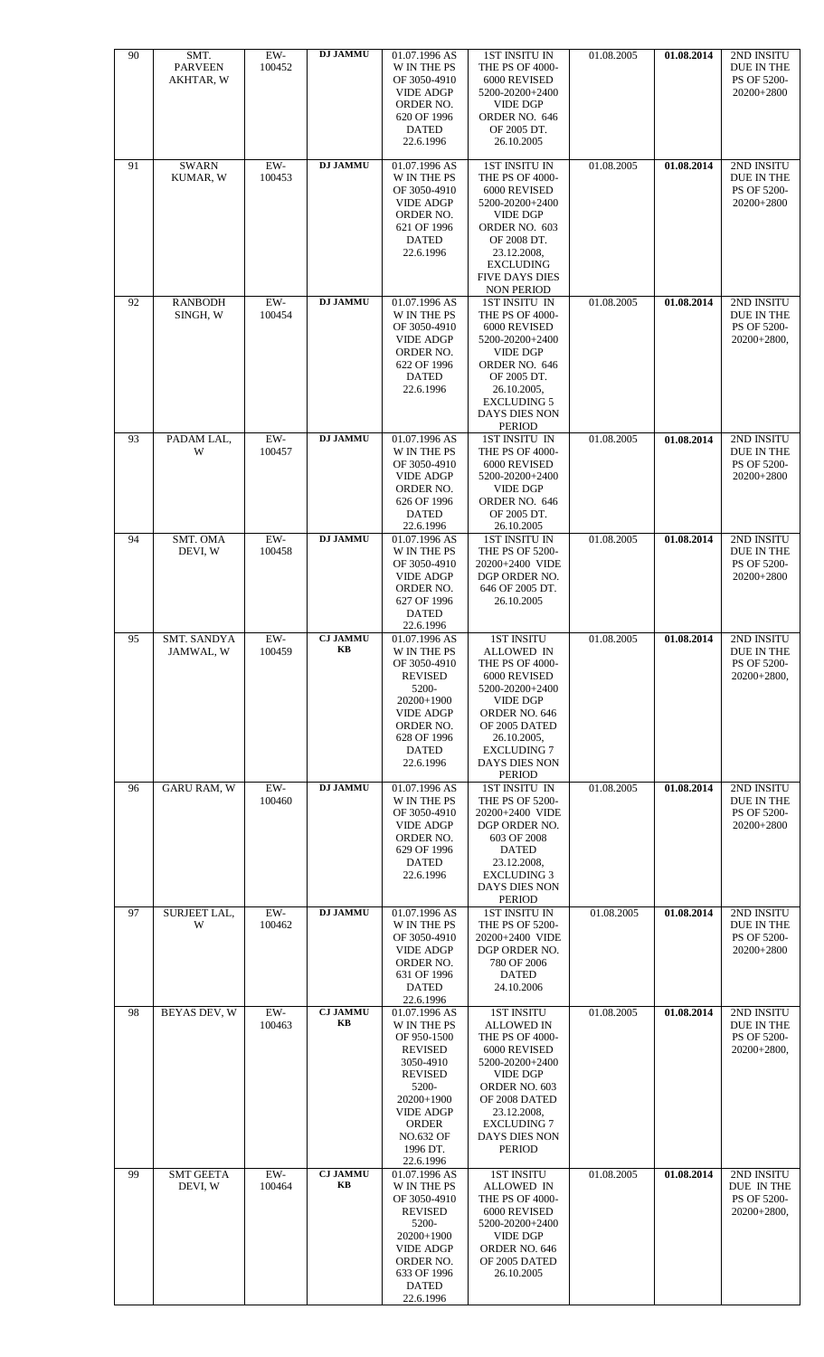| 90 | SMT.<br><b>PARVEEN</b><br>AKHTAR, W | $EW-$<br>100452 | <b>DJ JAMMU</b>       | 01.07.1996 AS<br>W IN THE PS<br>OF 3050-4910<br><b>VIDE ADGP</b><br>ORDER NO.<br>620 OF 1996<br><b>DATED</b><br>22.6.1996                                                                     | <b>1ST INSITU IN</b><br>THE PS OF 4000-<br>6000 REVISED<br>5200-20200+2400<br><b>VIDE DGP</b><br>ORDER NO. 646<br>OF 2005 DT.<br>26.10.2005                                                                              | 01.08.2005 | 01.08.2014 | 2ND INSITU<br>DUE IN THE<br>PS OF 5200-<br>20200+2800    |
|----|-------------------------------------|-----------------|-----------------------|-----------------------------------------------------------------------------------------------------------------------------------------------------------------------------------------------|--------------------------------------------------------------------------------------------------------------------------------------------------------------------------------------------------------------------------|------------|------------|----------------------------------------------------------|
| 91 | <b>SWARN</b><br>KUMAR, W            | EW-<br>100453   | <b>DJ JAMMU</b>       | 01.07.1996 AS<br>W IN THE PS<br>OF 3050-4910<br><b>VIDE ADGP</b><br>ORDER NO.<br>621 OF 1996<br><b>DATED</b><br>22.6.1996                                                                     | <b>1ST INSITU IN</b><br>THE PS OF 4000-<br>6000 REVISED<br>5200-20200+2400<br><b>VIDE DGP</b><br>ORDER NO. 603<br>OF 2008 DT.<br>23.12.2008,<br><b>EXCLUDING</b><br><b>FIVE DAYS DIES</b><br><b>NON PERIOD</b>           | 01.08.2005 | 01.08.2014 | 2ND INSITU<br>DUE IN THE<br>PS OF 5200-<br>20200+2800    |
| 92 | <b>RANBODH</b><br>SINGH, W          | EW-<br>100454   | <b>DJ JAMMU</b>       | 01.07.1996 AS<br>W IN THE PS<br>OF 3050-4910<br><b>VIDE ADGP</b><br>ORDER NO.<br>622 OF 1996<br><b>DATED</b><br>22.6.1996                                                                     | 1ST INSITU IN<br>THE PS OF 4000-<br>6000 REVISED<br>5200-20200+2400<br><b>VIDE DGP</b><br>ORDER NO. 646<br>OF 2005 DT.<br>26.10.2005,<br><b>EXCLUDING 5</b><br>DAYS DIES NON<br>PERIOD                                   | 01.08.2005 | 01.08.2014 | 2ND INSITU<br>DUE IN THE<br>PS OF 5200-<br>$20200+2800,$ |
| 93 | PADAM LAL,<br>W                     | $EW-$<br>100457 | <b>DJ JAMMU</b>       | 01.07.1996 AS<br>W IN THE PS<br>OF 3050-4910<br><b>VIDE ADGP</b><br>ORDER NO.<br>626 OF 1996<br><b>DATED</b><br>22.6.1996                                                                     | 1ST INSITU IN<br>THE PS OF 4000-<br>6000 REVISED<br>5200-20200+2400<br><b>VIDE DGP</b><br>ORDER NO. 646<br>OF 2005 DT.<br>26.10.2005                                                                                     | 01.08.2005 | 01.08.2014 | 2ND INSITU<br>DUE IN THE<br>PS OF 5200-<br>20200+2800    |
| 94 | SMT. OMA<br>DEVI, W                 | EW-<br>100458   | <b>DJ JAMMU</b>       | 01.07.1996 AS<br>W IN THE PS<br>OF 3050-4910<br><b>VIDE ADGP</b><br>ORDER NO.<br>627 OF 1996<br><b>DATED</b><br>22.6.1996                                                                     | <b>1ST INSITU IN</b><br>THE PS OF 5200-<br>20200+2400 VIDE<br>DGP ORDER NO.<br>646 OF 2005 DT.<br>26.10.2005                                                                                                             | 01.08.2005 | 01.08.2014 | 2ND INSITU<br>DUE IN THE<br>PS OF 5200-<br>20200+2800    |
| 95 | <b>SMT. SANDYA</b><br>JAMWAL, W     | EW-<br>100459   | <b>CJ JAMMU</b><br>KВ | 01.07.1996 AS<br>W IN THE PS<br>OF 3050-4910<br><b>REVISED</b><br>5200-<br>20200+1900<br><b>VIDE ADGP</b><br>ORDER NO.<br>628 OF 1996<br><b>DATED</b><br>22.6.1996                            | <b>1ST INSITU</b><br>ALLOWED IN<br>THE PS OF 4000-<br>6000 REVISED<br>5200-20200+2400<br><b>VIDE DGP</b><br>ORDER NO. 646<br>OF 2005 DATED<br>26.10.2005,<br><b>EXCLUDING 7</b><br>DAYS DIES NON<br><b>PERIOD</b>        | 01.08.2005 | 01.08.2014 | 2ND INSITU<br>DUE IN THE<br>PS OF 5200-<br>20200+2800,   |
| 96 | <b>GARU RAM, W</b>                  | $EW-$<br>100460 | <b>DJ JAMMU</b>       | 01.07.1996 AS<br>W IN THE PS<br>OF 3050-4910<br><b>VIDE ADGP</b><br>ORDER NO.<br>629 OF 1996<br><b>DATED</b><br>22.6.1996                                                                     | 1ST INSITU IN<br>THE PS OF 5200-<br>20200+2400 VIDE<br>DGP ORDER NO.<br>603 OF 2008<br><b>DATED</b><br>23.12.2008,<br><b>EXCLUDING 3</b><br>DAYS DIES NON<br><b>PERIOD</b>                                               | 01.08.2005 | 01.08.2014 | 2ND INSITU<br>DUE IN THE<br>PS OF 5200-<br>20200+2800    |
| 97 | SURJEET LAL,<br>W                   | EW-<br>100462   | <b>DJ JAMMU</b>       | 01.07.1996 AS<br>W IN THE PS<br>OF 3050-4910<br><b>VIDE ADGP</b><br>ORDER NO.<br>631 OF 1996<br><b>DATED</b><br>22.6.1996                                                                     | <b>1ST INSITU IN</b><br>THE PS OF 5200-<br>20200+2400 VIDE<br>DGP ORDER NO.<br>780 OF 2006<br>DATED<br>24.10.2006                                                                                                        | 01.08.2005 | 01.08.2014 | 2ND INSITU<br>DUE IN THE<br>PS OF 5200-<br>20200+2800    |
| 98 | <b>BEYAS DEV, W</b>                 | EW-<br>100463   | <b>CJ JAMMU</b><br>KB | 01.07.1996 AS<br>W IN THE PS<br>OF 950-1500<br><b>REVISED</b><br>3050-4910<br><b>REVISED</b><br>5200-<br>20200+1900<br><b>VIDE ADGP</b><br>ORDER<br><b>NO.632 OF</b><br>1996 DT.<br>22.6.1996 | 1ST INSITU<br><b>ALLOWED IN</b><br>THE PS OF 4000-<br>6000 REVISED<br>5200-20200+2400<br><b>VIDE DGP</b><br>ORDER NO. 603<br>OF 2008 DATED<br>23.12.2008,<br><b>EXCLUDING 7</b><br><b>DAYS DIES NON</b><br><b>PERIOD</b> | 01.08.2005 | 01.08.2014 | 2ND INSITU<br>DUE IN THE<br>PS OF 5200-<br>20200+2800,   |
| 99 | <b>SMT GEETA</b><br>DEVI, W         | $EW-$<br>100464 | <b>CJ JAMMU</b><br>KВ | 01.07.1996 AS<br>W IN THE PS<br>OF 3050-4910<br><b>REVISED</b><br>5200-<br>20200+1900<br><b>VIDE ADGP</b><br>ORDER NO.<br>633 OF 1996<br><b>DATED</b><br>22.6.1996                            | <b>1ST INSITU</b><br><b>ALLOWED IN</b><br>THE PS OF 4000-<br>6000 REVISED<br>5200-20200+2400<br><b>VIDE DGP</b><br>ORDER NO. 646<br>OF 2005 DATED<br>26.10.2005                                                          | 01.08.2005 | 01.08.2014 | 2ND INSITU<br>DUE IN THE<br>PS OF 5200-<br>20200+2800,   |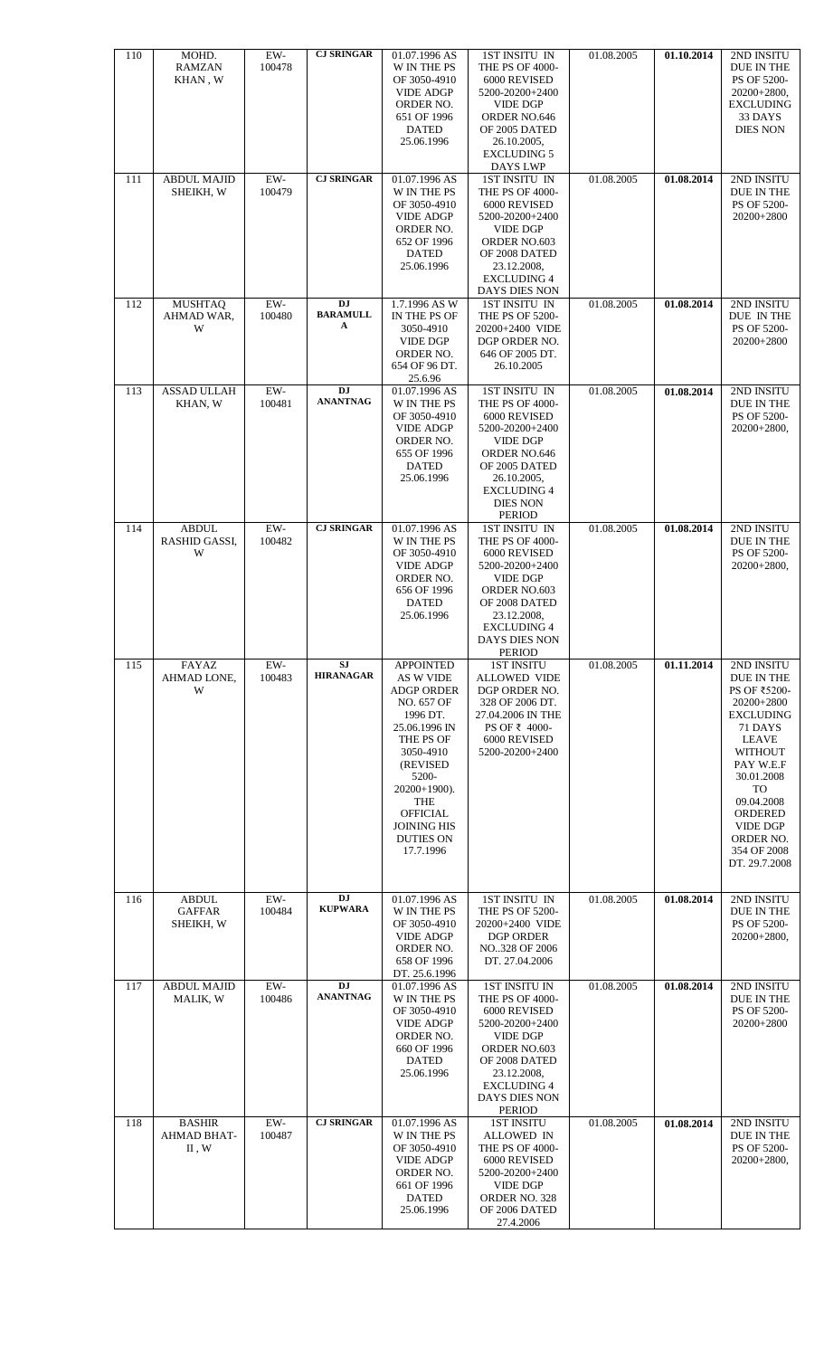| 110 | MOHD.<br><b>RAMZAN</b><br>KHAN, W          | EW-<br>100478   | <b>CJ SRINGAR</b>                 | 01.07.1996 AS<br>W IN THE PS<br>OF 3050-4910<br><b>VIDE ADGP</b><br>ORDER NO.<br>651 OF 1996<br><b>DATED</b><br>25.06.1996                                                                                                                        | 1ST INSITU IN<br>THE PS OF 4000-<br>6000 REVISED<br>5200-20200+2400<br><b>VIDE DGP</b><br>ORDER NO.646<br>OF 2005 DATED<br>26.10.2005,<br><b>EXCLUDING 5</b><br>DAYS LWP                                | 01.08.2005 | 01.10.2014 | 2ND INSITU<br>DUE IN THE<br>PS OF 5200-<br>$20200+2800,$<br><b>EXCLUDING</b><br>33 DAYS<br><b>DIES NON</b>                                                                                                                                               |
|-----|--------------------------------------------|-----------------|-----------------------------------|---------------------------------------------------------------------------------------------------------------------------------------------------------------------------------------------------------------------------------------------------|---------------------------------------------------------------------------------------------------------------------------------------------------------------------------------------------------------|------------|------------|----------------------------------------------------------------------------------------------------------------------------------------------------------------------------------------------------------------------------------------------------------|
| 111 | <b>ABDUL MAJID</b><br>SHEIKH, W            | EW-<br>100479   | <b>CJ SRINGAR</b>                 | 01.07.1996 AS<br><b>W IN THE PS</b><br>OF 3050-4910<br><b>VIDE ADGP</b><br>ORDER NO.<br>652 OF 1996<br><b>DATED</b><br>25.06.1996                                                                                                                 | 1ST INSITU IN<br>THE PS OF 4000-<br>6000 REVISED<br>5200-20200+2400<br><b>VIDE DGP</b><br>ORDER NO.603<br>OF 2008 DATED<br>23.12.2008,<br><b>EXCLUDING 4</b><br>DAYS DIES NON                           | 01.08.2005 | 01.08.2014 | 2ND INSITU<br>DUE IN THE<br>PS OF 5200-<br>20200+2800                                                                                                                                                                                                    |
| 112 | <b>MUSHTAQ</b><br>AHMAD WAR,<br>W          | EW-<br>100480   | <b>DJ</b><br><b>BARAMULL</b><br>A | 1.7.1996 AS W<br>IN THE PS OF<br>3050-4910<br><b>VIDE DGP</b><br>ORDER NO.<br>654 OF 96 DT.<br>25.6.96                                                                                                                                            | 1ST INSITU IN<br>THE PS OF 5200-<br>20200+2400 VIDE<br>DGP ORDER NO.<br>646 OF 2005 DT.<br>26.10.2005                                                                                                   | 01.08.2005 | 01.08.2014 | 2ND INSITU<br>DUE IN THE<br>PS OF 5200-<br>20200+2800                                                                                                                                                                                                    |
| 113 | <b>ASSAD ULLAH</b><br>KHAN, W              | $EW-$<br>100481 | <b>DJ</b><br><b>ANANTNAG</b>      | 01.07.1996 AS<br>W IN THE PS<br>OF 3050-4910<br><b>VIDE ADGP</b><br>ORDER NO.<br>655 OF 1996<br><b>DATED</b><br>25.06.1996                                                                                                                        | 1ST INSITU IN<br><b>THE PS OF 4000-</b><br>6000 REVISED<br>5200-20200+2400<br><b>VIDE DGP</b><br>ORDER NO.646<br>OF 2005 DATED<br>26.10.2005,<br><b>EXCLUDING 4</b><br><b>DIES NON</b><br><b>PERIOD</b> | 01.08.2005 | 01.08.2014 | 2ND INSITU<br>DUE IN THE<br>PS OF 5200-<br>20200+2800,                                                                                                                                                                                                   |
| 114 | <b>ABDUL</b><br><b>RASHID GASSI,</b><br>W  | $EW-$<br>100482 | <b>CJ SRINGAR</b>                 | 01.07.1996 AS<br><b>W IN THE PS</b><br>OF 3050-4910<br><b>VIDE ADGP</b><br>ORDER NO.<br>656 OF 1996<br><b>DATED</b><br>25.06.1996                                                                                                                 | 1ST INSITU IN<br>THE PS OF 4000-<br>6000 REVISED<br>5200-20200+2400<br><b>VIDE DGP</b><br>ORDER NO.603<br>OF 2008 DATED<br>23.12.2008,<br>EXCLUDING 4<br><b>DAYS DIES NON</b><br>PERIOD                 | 01.08.2005 | 01.08.2014 | 2ND INSITU<br>DUE IN THE<br>PS OF 5200-<br>20200+2800,                                                                                                                                                                                                   |
| 115 | FAYAZ<br>AHMAD LONE,<br>W                  | EW-<br>100483   | <b>SJ</b><br><b>HIRANAGAR</b>     | <b>APPOINTED</b><br>AS W VIDE<br><b>ADGP ORDER</b><br>NO. 657 OF<br>1996 DT.<br>25.06.1996 IN<br>THE PS OF<br>3050-4910<br>(REVISED)<br>5200-<br>$20200+1900$ ).<br>THE<br><b>OFFICIAL</b><br><b>JOINING HIS</b><br><b>DUTIES ON</b><br>17.7.1996 | <b>1ST INSITU</b><br><b>ALLOWED VIDE</b><br>DGP ORDER NO.<br>328 OF 2006 DT.<br>27.04.2006 IN THE<br>PS OF ₹ 4000-<br>6000 REVISED<br>5200-20200+2400                                                   | 01.08.2005 | 01.11.2014 | 2ND INSITU<br>DUE IN THE<br>PS OF ₹5200-<br>20200+2800<br><b>EXCLUDING</b><br>71 DAYS<br><b>LEAVE</b><br><b>WITHOUT</b><br>PAY W.E.F<br>30.01.2008<br>TO<br>09.04.2008<br><b>ORDERED</b><br><b>VIDE DGP</b><br>ORDER NO.<br>354 OF 2008<br>DT. 29.7.2008 |
| 116 | <b>ABDUL</b><br><b>GAFFAR</b><br>SHEIKH, W | EW-<br>100484   | <b>DJ</b><br><b>KUPWARA</b>       | 01.07.1996 AS<br>W IN THE PS<br>OF 3050-4910<br><b>VIDE ADGP</b><br>ORDER NO.<br>658 OF 1996<br>DT. 25.6.1996                                                                                                                                     | 1ST INSITU IN<br>THE PS OF 5200-<br>20200+2400 VIDE<br><b>DGP ORDER</b><br>NO328 OF 2006<br>DT. 27.04.2006                                                                                              | 01.08.2005 | 01.08.2014 | 2ND INSITU<br>DUE IN THE<br>PS OF 5200-<br>$20200+2800,$                                                                                                                                                                                                 |
| 117 | <b>ABDUL MAJID</b><br>MALIK, W             | $EW-$<br>100486 | <b>DJ</b><br><b>ANANTNAG</b>      | 01.07.1996 AS<br>W IN THE PS<br>OF 3050-4910<br><b>VIDE ADGP</b><br>ORDER NO.<br>660 OF 1996<br><b>DATED</b><br>25.06.1996                                                                                                                        | <b>1ST INSITU IN</b><br>THE PS OF 4000-<br>6000 REVISED<br>5200-20200+2400<br><b>VIDE DGP</b><br>ORDER NO.603<br>OF 2008 DATED<br>23.12.2008,<br><b>EXCLUDING 4</b><br>DAYS DIES NON<br><b>PERIOD</b>   | 01.08.2005 | 01.08.2014 | 2ND INSITU<br>DUE IN THE<br>PS OF 5200-<br>20200+2800                                                                                                                                                                                                    |
| 118 | <b>BASHIR</b><br>AHMAD BHAT-<br>II, W      | EW-<br>100487   | <b>CJ SRINGAR</b>                 | 01.07.1996 AS<br>W IN THE PS<br>OF 3050-4910<br><b>VIDE ADGP</b><br>ORDER NO.<br>661 OF 1996<br><b>DATED</b><br>25.06.1996                                                                                                                        | <b>1ST INSITU</b><br><b>ALLOWED IN</b><br>THE PS OF 4000-<br>6000 REVISED<br>5200-20200+2400<br><b>VIDE DGP</b><br>ORDER NO. 328<br>OF 2006 DATED<br>27.4.2006                                          | 01.08.2005 | 01.08.2014 | 2ND INSITU<br>DUE IN THE<br>PS OF 5200-<br>$20200+2800,$                                                                                                                                                                                                 |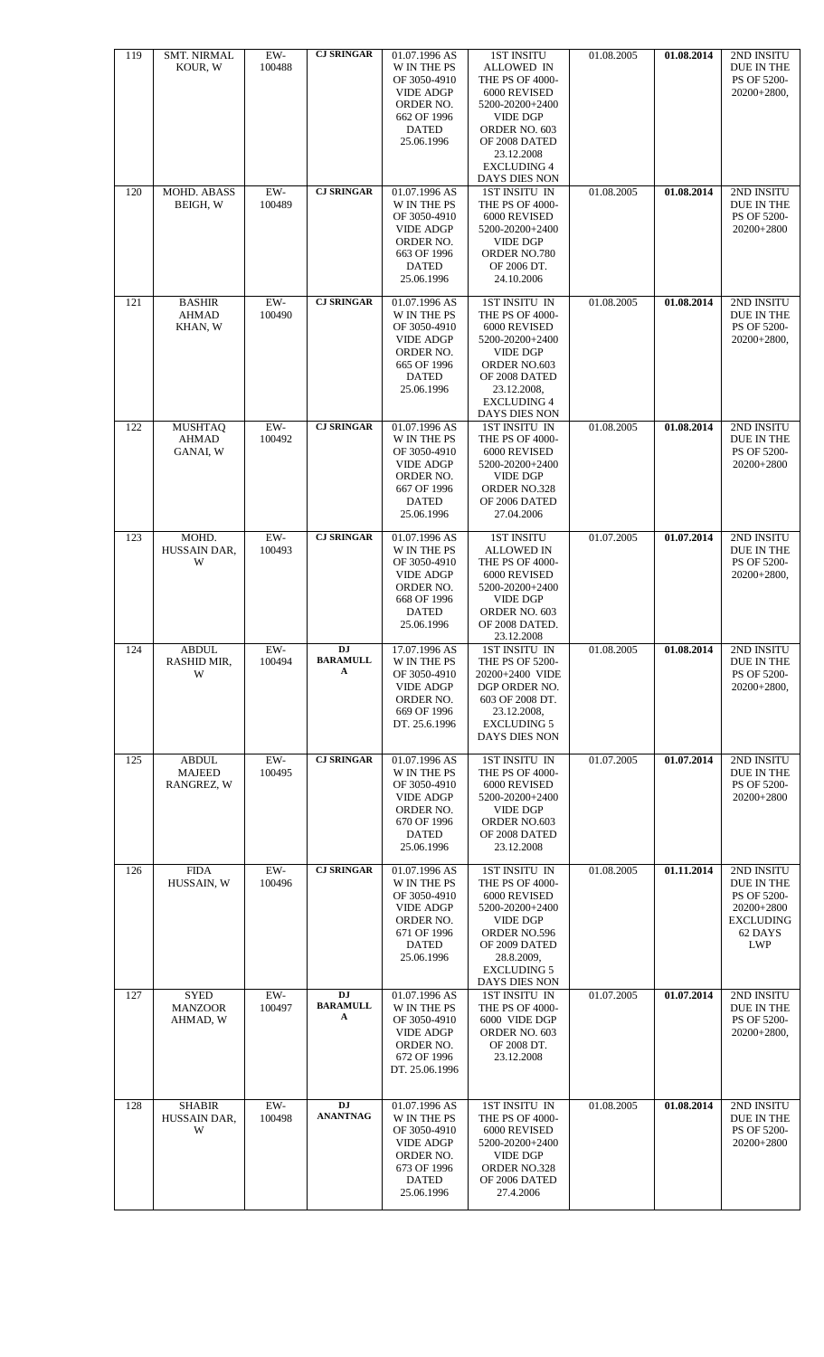| 119 | <b>SMT. NIRMAL</b><br>KOUR, W               | $EW-$<br>100488                | <b>CJ SRINGAR</b>                 | 01.07.1996 AS<br>W IN THE PS<br>OF 3050-4910<br><b>VIDE ADGP</b><br>ORDER NO.<br>662 OF 1996<br><b>DATED</b><br>25.06.1996        | <b>1ST INSITU</b><br><b>ALLOWED IN</b><br>THE PS OF 4000-<br>6000 REVISED<br>5200-20200+2400<br><b>VIDE DGP</b><br>ORDER NO. 603<br>OF 2008 DATED<br>23.12.2008<br><b>EXCLUDING 4</b><br>DAYS DIES NON | 01.08.2005 | 01.08.2014 | 2ND INSITU<br>DUE IN THE<br>PS OF 5200-<br>20200+2800,                                             |
|-----|---------------------------------------------|--------------------------------|-----------------------------------|-----------------------------------------------------------------------------------------------------------------------------------|--------------------------------------------------------------------------------------------------------------------------------------------------------------------------------------------------------|------------|------------|----------------------------------------------------------------------------------------------------|
| 120 | MOHD. ABASS<br>BEIGH, W                     | EW-<br>100489                  | <b>CJ SRINGAR</b>                 | 01.07.1996 AS<br><b>W IN THE PS</b><br>OF 3050-4910<br><b>VIDE ADGP</b><br>ORDER NO.<br>663 OF 1996<br><b>DATED</b><br>25.06.1996 | <b>1ST INSITU IN</b><br>THE PS OF 4000-<br>6000 REVISED<br>5200-20200+2400<br><b>VIDE DGP</b><br>ORDER NO.780<br>OF 2006 DT.<br>24.10.2006                                                             | 01.08.2005 | 01.08.2014 | 2ND INSITU<br>DUE IN THE<br>PS OF 5200-<br>20200+2800                                              |
| 121 | <b>BASHIR</b><br><b>AHMAD</b><br>KHAN, W    | EW-<br>100490                  | <b>CJ SRINGAR</b>                 | 01.07.1996 AS<br><b>W IN THE PS</b><br>OF 3050-4910<br><b>VIDE ADGP</b><br>ORDER NO.<br>665 OF 1996<br><b>DATED</b><br>25.06.1996 | 1ST INSITU IN<br>THE PS OF 4000-<br>6000 REVISED<br>5200-20200+2400<br><b>VIDE DGP</b><br>ORDER NO.603<br>OF 2008 DATED<br>23.12.2008,<br><b>EXCLUDING 4</b><br>DAYS DIES NON                          | 01.08.2005 | 01.08.2014 | 2ND INSITU<br>DUE IN THE<br>PS OF 5200-<br>$20200+2800,$                                           |
| 122 | <b>MUSHTAQ</b><br><b>AHMAD</b><br>GANAI, W  | ${\rm EW}\textrm{-}$<br>100492 | <b>CJ SRINGAR</b>                 | 01.07.1996 AS<br>W IN THE PS<br>OF 3050-4910<br><b>VIDE ADGP</b><br>ORDER NO.<br>667 OF 1996<br><b>DATED</b><br>25.06.1996        | 1ST INSITU IN<br>THE PS OF 4000-<br>6000 REVISED<br>5200-20200+2400<br><b>VIDE DGP</b><br>ORDER NO.328<br>OF 2006 DATED<br>27.04.2006                                                                  | 01.08.2005 | 01.08,2014 | 2ND INSITU<br>DUE IN THE<br>PS OF 5200-<br>20200+2800                                              |
| 123 | MOHD.<br>HUSSAIN DAR,<br>W                  | $EW-$<br>100493                | <b>CJ SRINGAR</b>                 | 01.07.1996 AS<br>W IN THE PS<br>OF 3050-4910<br><b>VIDE ADGP</b><br>ORDER NO.<br>668 OF 1996<br><b>DATED</b><br>25.06.1996        | <b>1ST INSITU</b><br><b>ALLOWED IN</b><br>THE PS OF 4000-<br>6000 REVISED<br>5200-20200+2400<br><b>VIDE DGP</b><br>ORDER NO. 603<br>OF 2008 DATED.<br>23.12.2008                                       | 01.07.2005 | 01.07.2014 | 2ND INSITU<br>DUE IN THE<br>PS OF 5200-<br>20200+2800,                                             |
| 124 | ABDUL<br>RASHID MIR,<br>W                   | EW-<br>100494                  | <b>DJ</b><br><b>BARAMULL</b><br>A | 17.07.1996 AS<br>W IN THE PS<br>OF 3050-4910<br><b>VIDE ADGP</b><br>ORDER NO.<br>669 OF 1996<br>DT. 25.6.1996                     | 1ST INSITU IN<br><b>THE PS OF 5200-</b><br>20200+2400 VIDE<br>DGP ORDER NO.<br>603 OF 2008 DT.<br>23.12.2008,<br><b>EXCLUDING 5</b><br>DAYS DIES NON                                                   | 01.08.2005 | 01.08.2014 | 2ND INSITU<br>DUE IN THE<br>PS OF 5200-<br>20200+2800,                                             |
| 125 | <b>ABDUL</b><br><b>MAJEED</b><br>RANGREZ, W | $EW-$<br>100495                | <b>CJ SRINGAR</b>                 | 01.07.1996 AS<br><b>W IN THE PS</b><br>OF 3050-4910<br><b>VIDE ADGP</b><br>ORDER NO.<br>670 OF 1996<br><b>DATED</b><br>25.06.1996 | 1ST INSITU IN<br><b>THE PS OF 4000-</b><br>6000 REVISED<br>5200-20200+2400<br><b>VIDE DGP</b><br>ORDER NO.603<br>OF 2008 DATED<br>23.12.2008                                                           | 01.07.2005 | 01.07.2014 | 2ND INSITU<br>DUE IN THE<br>PS OF 5200-<br>20200+2800                                              |
| 126 | <b>FIDA</b><br>HUSSAIN, W                   | $EW-$<br>100496                | <b>CJ SRINGAR</b>                 | 01.07.1996 AS<br>W IN THE PS<br>OF 3050-4910<br><b>VIDE ADGP</b><br>ORDER NO.<br>671 OF 1996<br><b>DATED</b><br>25.06.1996        | 1ST INSITU IN<br>THE PS OF 4000-<br>6000 REVISED<br>5200-20200+2400<br><b>VIDE DGP</b><br>ORDER NO.596<br>OF 2009 DATED<br>28.8.2009,<br><b>EXCLUDING 5</b><br>DAYS DIES NON                           | 01.08.2005 | 01.11.2014 | 2ND INSITU<br>DUE IN THE<br>PS OF 5200-<br>20200+2800<br><b>EXCLUDING</b><br>62 DAYS<br><b>LWP</b> |
| 127 | <b>SYED</b><br><b>MANZOOR</b><br>AHMAD, W   | EW-<br>100497                  | <b>DJ</b><br><b>BARAMULL</b><br>A | 01.07.1996 AS<br>W IN THE PS<br>OF 3050-4910<br><b>VIDE ADGP</b><br>ORDER NO.<br>672 OF 1996<br>DT. 25.06.1996                    | 1ST INSITU IN<br>THE PS OF 4000-<br>6000 VIDE DGP<br>ORDER NO. 603<br>OF 2008 DT.<br>23.12.2008                                                                                                        | 01.07.2005 | 01.07.2014 | 2ND INSITU<br>DUE IN THE<br>PS OF 5200-<br>20200+2800,                                             |
| 128 | <b>SHABIR</b><br>HUSSAIN DAR,<br>W          | $EW-$<br>100498                | <b>DJ</b><br><b>ANANTNAG</b>      | 01.07.1996 AS<br>W IN THE PS<br>OF 3050-4910<br><b>VIDE ADGP</b><br>ORDER NO.<br>673 OF 1996<br><b>DATED</b><br>25.06.1996        | 1ST INSITU IN<br>THE PS OF 4000-<br>6000 REVISED<br>5200-20200+2400<br><b>VIDE DGP</b><br>ORDER NO.328<br>OF 2006 DATED<br>27.4.2006                                                                   | 01.08.2005 | 01.08.2014 | 2ND INSITU<br>DUE IN THE<br>PS OF 5200-<br>20200+2800                                              |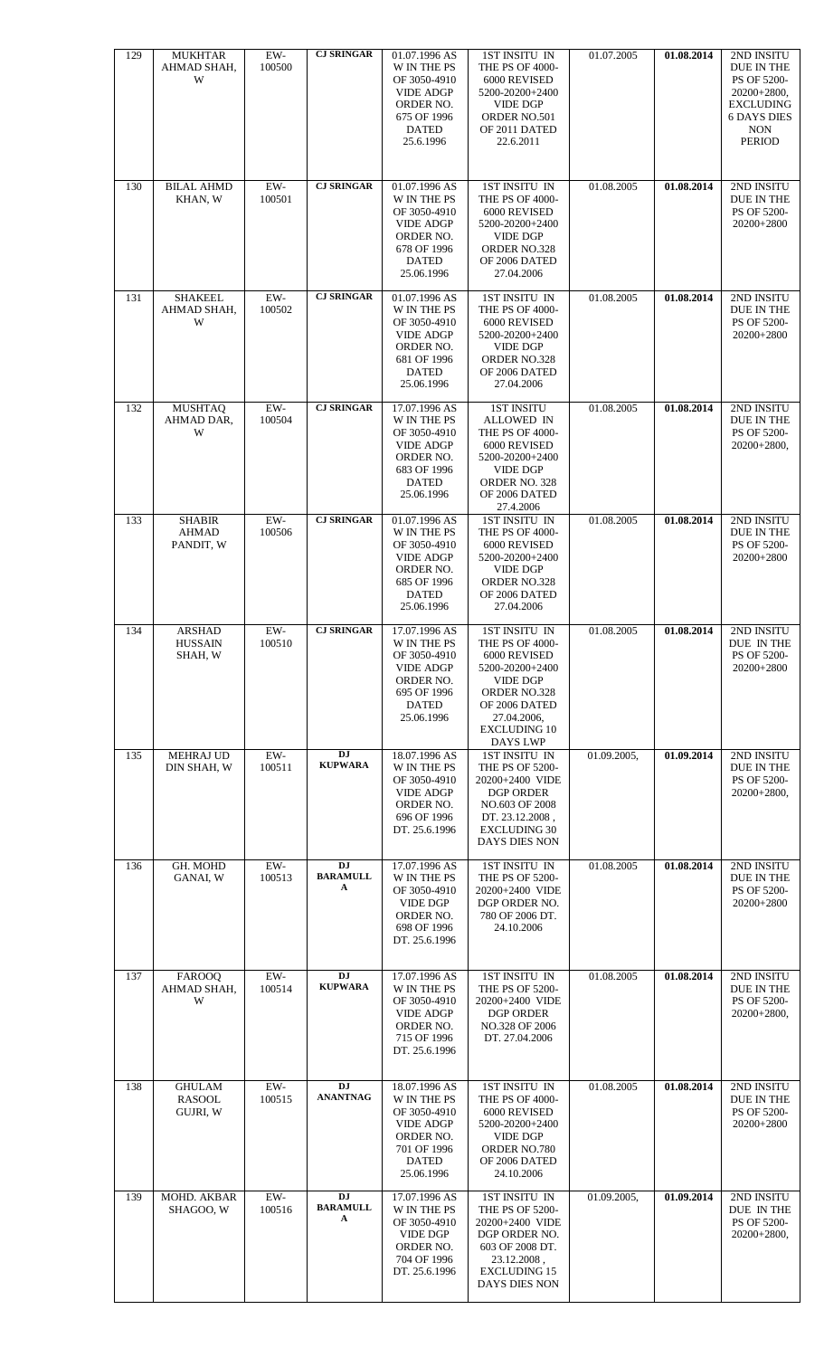| 129 | <b>MUKHTAR</b><br>AHMAD SHAH,<br>W         | $EW-$<br>100500 | <b>CJ SRINGAR</b>                 | 01.07.1996 AS<br>W IN THE PS<br>OF 3050-4910<br><b>VIDE ADGP</b><br>ORDER NO.<br>675 OF 1996<br><b>DATED</b><br>25.6.1996  | 1ST INSITU IN<br>THE PS OF 4000-<br>6000 REVISED<br>5200-20200+2400<br><b>VIDE DGP</b><br>ORDER NO.501<br>OF 2011 DATED<br>22.6.2011                                             | 01.07.2005  | 01.08.2014 | 2ND INSITU<br>DUE IN THE<br>PS OF 5200-<br>$20200+2800,$<br><b>EXCLUDING</b><br><b>6 DAYS DIES</b><br><b>NON</b><br><b>PERIOD</b> |
|-----|--------------------------------------------|-----------------|-----------------------------------|----------------------------------------------------------------------------------------------------------------------------|----------------------------------------------------------------------------------------------------------------------------------------------------------------------------------|-------------|------------|-----------------------------------------------------------------------------------------------------------------------------------|
| 130 | <b>BILAL AHMD</b><br>KHAN, W               | $EW-$<br>100501 | <b>CJ SRINGAR</b>                 | 01.07.1996 AS<br>W IN THE PS<br>OF 3050-4910<br><b>VIDE ADGP</b><br>ORDER NO.<br>678 OF 1996<br><b>DATED</b><br>25.06.1996 | <b>1ST INSITU IN</b><br>THE PS OF 4000-<br>6000 REVISED<br>5200-20200+2400<br><b>VIDE DGP</b><br>ORDER NO.328<br>OF 2006 DATED<br>27.04.2006                                     | 01.08.2005  | 01.08.2014 | 2ND INSITU<br>DUE IN THE<br>PS OF 5200-<br>20200+2800                                                                             |
| 131 | <b>SHAKEEL</b><br>AHMAD SHAH,<br>W         | $EW-$<br>100502 | <b>CJ SRINGAR</b>                 | 01.07.1996 AS<br>W IN THE PS<br>OF 3050-4910<br><b>VIDE ADGP</b><br>ORDER NO.<br>681 OF 1996<br><b>DATED</b><br>25.06.1996 | 1ST INSITU IN<br>THE PS OF 4000-<br>6000 REVISED<br>5200-20200+2400<br><b>VIDE DGP</b><br>ORDER NO.328<br>OF 2006 DATED<br>27.04.2006                                            | 01.08.2005  | 01.08.2014 | 2ND INSITU<br>DUE IN THE<br>PS OF 5200-<br>20200+2800                                                                             |
| 132 | <b>MUSHTAQ</b><br>AHMAD DAR,<br>W          | $EW-$<br>100504 | <b>CJ SRINGAR</b>                 | 17.07.1996 AS<br>W IN THE PS<br>OF 3050-4910<br><b>VIDE ADGP</b><br>ORDER NO.<br>683 OF 1996<br><b>DATED</b><br>25.06.1996 | <b>1ST INSITU</b><br><b>ALLOWED IN</b><br>THE PS OF 4000-<br>6000 REVISED<br>5200-20200+2400<br><b>VIDE DGP</b><br>ORDER NO. 328<br>OF 2006 DATED<br>27.4.2006                   | 01.08.2005  | 01.08.2014 | 2ND INSITU<br>DUE IN THE<br>PS OF 5200-<br>$20200+2800,$                                                                          |
| 133 | <b>SHABIR</b><br><b>AHMAD</b><br>PANDIT, W | EW-<br>100506   | <b>CJ SRINGAR</b>                 | 01.07.1996 AS<br>W IN THE PS<br>OF 3050-4910<br><b>VIDE ADGP</b><br>ORDER NO.<br>685 OF 1996<br><b>DATED</b><br>25.06.1996 | 1ST INSITU IN<br>THE PS OF 4000-<br>6000 REVISED<br>5200-20200+2400<br><b>VIDE DGP</b><br>ORDER NO.328<br>OF 2006 DATED<br>27.04.2006                                            | 01.08.2005  | 01.08.2014 | 2ND INSITU<br>DUE IN THE<br>PS OF 5200-<br>20200+2800                                                                             |
| 134 | <b>ARSHAD</b><br><b>HUSSAIN</b><br>SHAH, W | $EW-$<br>100510 | <b>CJ SRINGAR</b>                 | 17.07.1996 AS<br>W IN THE PS<br>OF 3050-4910<br><b>VIDE ADGP</b><br>ORDER NO.<br>695 OF 1996<br><b>DATED</b><br>25.06.1996 | 1ST INSITU IN<br>THE PS OF 4000-<br>6000 REVISED<br>5200-20200+2400<br><b>VIDE DGP</b><br>ORDER NO.328<br>OF 2006 DATED<br>27.04.2006,<br><b>EXCLUDING 10</b><br><b>DAYS LWP</b> | 01.08.2005  | 01.08.2014 | 2ND INSITU<br>DUE IN THE<br>PS OF 5200-<br>20200+2800                                                                             |
| 135 | <b>MEHRAJ UD</b><br>DIN SHAH, W            | $EW-$<br>100511 | <b>DJ</b><br><b>KUPWARA</b>       | 18.07.1996 AS<br>W IN THE PS<br>OF 3050-4910<br><b>VIDE ADGP</b><br>ORDER NO.<br>696 OF 1996<br>DT. 25.6.1996              | 1ST INSITU IN<br>THE PS OF 5200-<br>20200+2400 VIDE<br>DGP ORDER<br>NO.603 OF 2008<br>DT. 23.12.2008,<br><b>EXCLUDING 30</b><br>DAYS DIES NON                                    | 01.09.2005, | 01.09.2014 | 2ND INSITU<br>DUE IN THE<br>PS OF 5200-<br>$20200+2800,$                                                                          |
| 136 | GH. MOHD<br>GANAI, W                       | EW-<br>100513   | <b>DJ</b><br><b>BARAMULL</b><br>A | 17.07.1996 AS<br>W IN THE PS<br>OF 3050-4910<br><b>VIDE DGP</b><br>ORDER NO.<br>698 OF 1996<br>DT. 25.6.1996               | 1ST INSITU IN<br>THE PS OF 5200-<br>20200+2400 VIDE<br>DGP ORDER NO.<br>780 OF 2006 DT.<br>24.10.2006                                                                            | 01.08.2005  | 01.08.2014 | 2ND INSITU<br>DUE IN THE<br>PS OF 5200-<br>20200+2800                                                                             |
| 137 | <b>FAROOQ</b><br>AHMAD SHAH,<br>W          | $EW-$<br>100514 | $\overline{DJ}$<br><b>KUPWARA</b> | 17.07.1996 AS<br>W IN THE PS<br>OF 3050-4910<br><b>VIDE ADGP</b><br>ORDER NO.<br>715 OF 1996<br>DT. 25.6.1996              | <b>1ST INSITU IN</b><br>THE PS OF 5200-<br>20200+2400 VIDE<br><b>DGP ORDER</b><br>NO.328 OF 2006<br>DT. 27.04.2006                                                               | 01.08.2005  | 01.08.2014 | 2ND INSITU<br>DUE IN THE<br>PS OF 5200-<br>20200+2800,                                                                            |
| 138 | <b>GHULAM</b><br><b>RASOOL</b><br>GUJRI, W | $EW-$<br>100515 | <b>DJ</b><br><b>ANANTNAG</b>      | 18.07.1996 AS<br>W IN THE PS<br>OF 3050-4910<br><b>VIDE ADGP</b><br>ORDER NO.<br>701 OF 1996<br><b>DATED</b><br>25.06.1996 | 1ST INSITU IN<br>THE PS OF 4000-<br>6000 REVISED<br>5200-20200+2400<br><b>VIDE DGP</b><br>ORDER NO.780<br>OF 2006 DATED<br>24.10.2006                                            | 01.08.2005  | 01.08.2014 | 2ND INSITU<br>DUE IN THE<br>PS OF 5200-<br>20200+2800                                                                             |
| 139 | MOHD. AKBAR<br>SHAGOO, W                   | EW-<br>100516   | <b>DJ</b><br><b>BARAMULL</b><br>A | 17.07.1996 AS<br>W IN THE PS<br>OF 3050-4910<br><b>VIDE DGP</b><br>ORDER NO.<br>704 OF 1996<br>DT. 25.6.1996               | 1ST INSITU IN<br>THE PS OF 5200-<br>20200+2400 VIDE<br>DGP ORDER NO.<br>603 OF 2008 DT.<br>23.12.2008,<br><b>EXCLUDING 15</b><br>DAYS DIES NON                                   | 01.09.2005, | 01.09.2014 | 2ND INSITU<br>DUE IN THE<br>PS OF 5200-<br>$20200+2800$ ,                                                                         |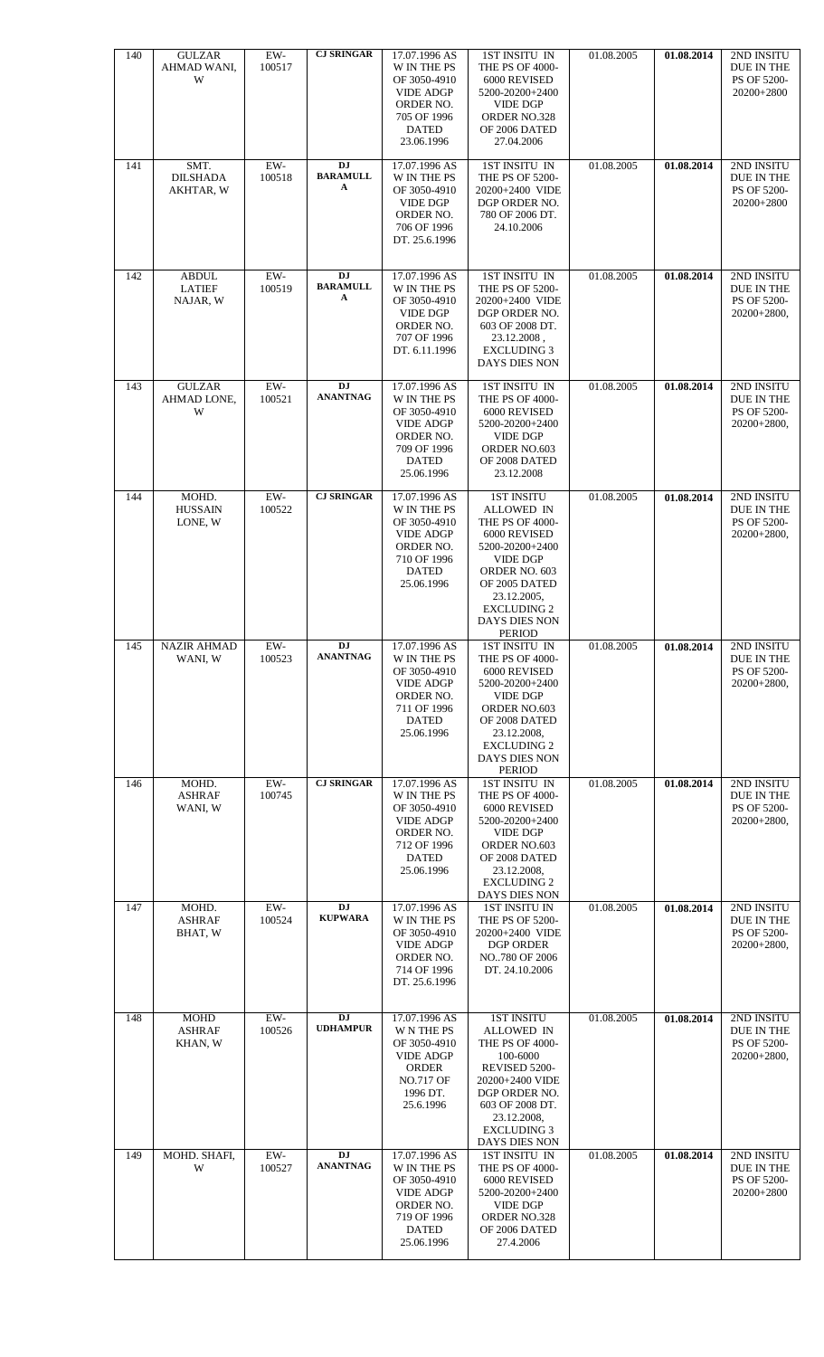| 140 | <b>GULZAR</b><br>AHMAD WANI,<br>W         | $EW-$<br>100517 | <b>CJ SRINGAR</b>                 | 17.07.1996 AS<br>W IN THE PS<br>OF 3050-4910<br><b>VIDE ADGP</b><br>ORDER NO.<br>705 OF 1996<br><b>DATED</b><br>23.06.1996        | 1ST INSITU IN<br>THE PS OF 4000-<br>6000 REVISED<br>5200-20200+2400<br><b>VIDE DGP</b><br>ORDER NO.328<br>OF 2006 DATED<br>27.04.2006                                                                             | 01.08.2005 | 01.08.2014 | 2ND INSITU<br>DUE IN THE<br>PS OF 5200-<br>20200+2800           |
|-----|-------------------------------------------|-----------------|-----------------------------------|-----------------------------------------------------------------------------------------------------------------------------------|-------------------------------------------------------------------------------------------------------------------------------------------------------------------------------------------------------------------|------------|------------|-----------------------------------------------------------------|
| 141 | SMT.<br><b>DILSHADA</b><br>AKHTAR, W      | $EW-$<br>100518 | DJ<br><b>BARAMULL</b><br>A        | 17.07.1996 AS<br>W IN THE PS<br>OF 3050-4910<br><b>VIDE DGP</b><br>ORDER NO.<br>706 OF 1996<br>DT. 25.6.1996                      | 1ST INSITU IN<br>THE PS OF 5200-<br>20200+2400 VIDE<br>DGP ORDER NO.<br>780 OF 2006 DT.<br>24.10.2006                                                                                                             | 01.08.2005 | 01.08.2014 | 2ND INSITU<br>DUE IN THE<br>PS OF 5200-<br>20200+2800           |
| 142 | <b>ABDUL</b><br><b>LATIEF</b><br>NAJAR, W | $EW-$<br>100519 | <b>DJ</b><br><b>BARAMULL</b><br>A | 17.07.1996 AS<br>W IN THE PS<br>OF 3050-4910<br><b>VIDE DGP</b><br>ORDER NO.<br>707 OF 1996<br>DT. 6.11.1996                      | 1ST INSITU IN<br>THE PS OF 5200-<br>20200+2400 VIDE<br>DGP ORDER NO.<br>603 OF 2008 DT.<br>23.12.2008,<br><b>EXCLUDING 3</b><br>DAYS DIES NON                                                                     | 01.08.2005 | 01.08.2014 | 2ND INSITU<br>DUE IN THE<br>PS OF 5200-<br>$20200+2800,$        |
| 143 | <b>GULZAR</b><br>AHMAD LONE,<br>W         | $EW-$<br>100521 | <b>DJ</b><br><b>ANANTNAG</b>      | 17.07.1996 AS<br>W IN THE PS<br>OF 3050-4910<br><b>VIDE ADGP</b><br>ORDER NO.<br>709 OF 1996<br><b>DATED</b><br>25.06.1996        | 1ST INSITU IN<br>THE PS OF 4000-<br>6000 REVISED<br>5200-20200+2400<br><b>VIDE DGP</b><br>ORDER NO.603<br>OF 2008 DATED<br>23.12.2008                                                                             | 01.08.2005 | 01.08.2014 | 2ND INSITU<br><b>DUE IN THE</b><br>PS OF 5200-<br>$20200+2800,$ |
| 144 | MOHD.<br><b>HUSSAIN</b><br>LONE, W        | EW-<br>100522   | <b>CJ SRINGAR</b>                 | 17.07.1996 AS<br>W IN THE PS<br>OF 3050-4910<br><b>VIDE ADGP</b><br>ORDER NO.<br>710 OF 1996<br><b>DATED</b><br>25.06.1996        | <b>1ST INSITU</b><br>ALLOWED IN<br>THE PS OF 4000-<br>6000 REVISED<br>5200-20200+2400<br><b>VIDE DGP</b><br>ORDER NO. 603<br>OF 2005 DATED<br>23.12.2005,<br><b>EXCLUDING 2</b><br>DAYS DIES NON<br><b>PERIOD</b> | 01.08.2005 | 01.08.2014 | 2ND INSITU<br>DUE IN THE<br>PS OF 5200-<br>$20200+2800,$        |
| 145 | <b>NAZIR AHMAD</b><br>WANI, W             | $EW-$<br>100523 | <b>DJ</b><br><b>ANANTNAG</b>      | 17.07.1996 AS<br>W IN THE PS<br>OF 3050-4910<br><b>VIDE ADGP</b><br>ORDER NO.<br>711 OF 1996<br><b>DATED</b><br>25.06.1996        | 1ST INSITU IN<br><b>THE PS OF 4000-</b><br>6000 REVISED<br>5200-20200+2400<br><b>VIDE DGP</b><br>ORDER NO.603<br>OF 2008 DATED<br>23.12.2008,<br><b>EXCLUDING 2</b><br>DAYS DIES NON<br><b>PERIOD</b>             | 01.08.2005 | 01.08.2014 | 2ND INSITU<br>DUE IN THE<br>PS OF 5200-<br>20200+2800,          |
| 146 | MOHD.<br><b>ASHRAF</b><br>WANI, W         | EW-<br>100745   | <b>CJ SRINGAR</b>                 | 17.07.1996 AS<br>W IN THE PS<br>OF 3050-4910<br><b>VIDE ADGP</b><br>ORDER NO.<br>712 OF 1996<br><b>DATED</b><br>25.06.1996        | <b>1ST INSITU IN</b><br>THE PS OF 4000-<br>6000 REVISED<br>5200-20200+2400<br><b>VIDE DGP</b><br>ORDER NO.603<br>OF 2008 DATED<br>23.12.2008,<br><b>EXCLUDING 2</b><br>DAYS DIES NON                              | 01.08.2005 | 01.08.2014 | 2ND INSITU<br>DUE IN THE<br>PS OF 5200-<br>$20200+2800,$        |
| 147 | MOHD.<br><b>ASHRAF</b><br>BHAT, W         | EW-<br>100524   | <b>DJ</b><br><b>KUPWARA</b>       | 17.07.1996 AS<br>W IN THE PS<br>OF 3050-4910<br><b>VIDE ADGP</b><br>ORDER NO.<br>714 OF 1996<br>DT. 25.6.1996                     | <b>1ST INSITU IN</b><br>THE PS OF 5200-<br>20200+2400 VIDE<br>DGP ORDER<br>NO780 OF 2006<br>DT. 24.10.2006                                                                                                        | 01.08.2005 | 01.08.2014 | 2ND INSITU<br>DUE IN THE<br>PS OF 5200-<br>$20200+2800,$        |
| 148 | <b>MOHD</b><br><b>ASHRAF</b><br>KHAN, W   | EW-<br>100526   | <b>DJ</b><br><b>UDHAMPUR</b>      | 17.07.1996 AS<br><b>WNTHEPS</b><br>OF 3050-4910<br><b>VIDE ADGP</b><br>ORDER<br><b>NO.717 OF</b><br>1996 DT.<br>25.6.1996         | <b>1ST INSITU</b><br><b>ALLOWED IN</b><br>THE PS OF 4000-<br>100-6000<br>REVISED 5200-<br>20200+2400 VIDE<br>DGP ORDER NO.<br>603 OF 2008 DT.<br>23.12.2008,<br><b>EXCLUDING 3</b><br>DAYS DIES NON               | 01.08.2005 | 01.08.2014 | 2ND INSITU<br>DUE IN THE<br>PS OF 5200-<br>$20200+2800,$        |
| 149 | MOHD. SHAFI,<br>W                         | EW-<br>100527   | DJ<br><b>ANANTNAG</b>             | 17.07.1996 AS<br><b>W IN THE PS</b><br>OF 3050-4910<br><b>VIDE ADGP</b><br>ORDER NO.<br>719 OF 1996<br><b>DATED</b><br>25.06.1996 | 1ST INSITU IN<br>THE PS OF 4000-<br>6000 REVISED<br>5200-20200+2400<br><b>VIDE DGP</b><br>ORDER NO.328<br>OF 2006 DATED<br>27.4.2006                                                                              | 01.08.2005 | 01.08.2014 | 2ND INSITU<br><b>DUE IN THE</b><br>PS OF 5200-<br>20200+2800    |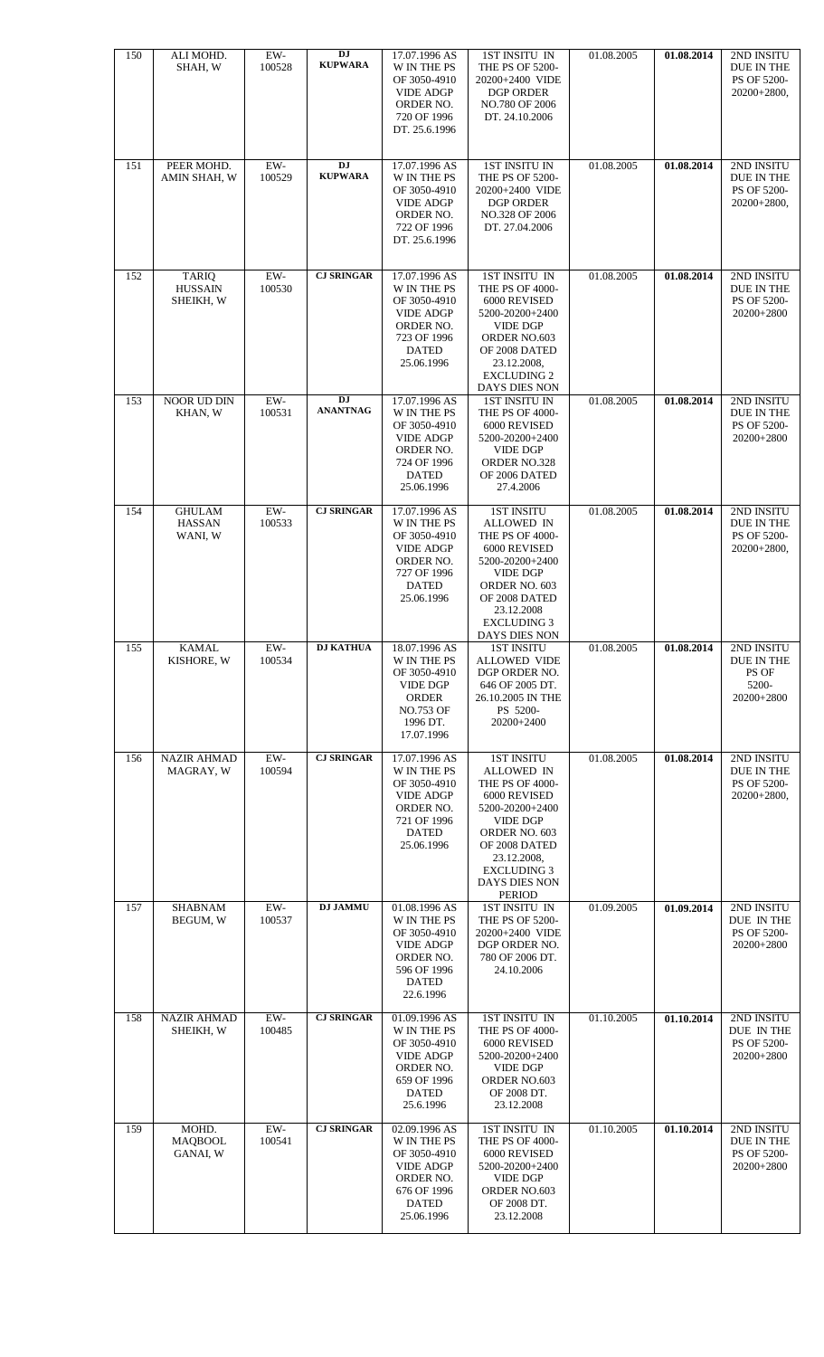| 150 | ALI MOHD.<br>SHAH, W                        | EW-<br>100528   | DJ<br><b>KUPWARA</b>                      | 17.07.1996 AS<br>W IN THE PS<br>OF 3050-4910<br><b>VIDE ADGP</b><br>ORDER NO.<br>720 OF 1996<br>DT. 25.6.1996                 | 1ST INSITU IN<br>THE PS OF 5200-<br>20200+2400 VIDE<br><b>DGP ORDER</b><br>NO.780 OF 2006<br>DT. 24.10.2006                                                                                                              | 01.08.2005 | 01.08.2014 | 2ND INSITU<br>DUE IN THE<br>PS OF 5200-<br>20200+2800,   |
|-----|---------------------------------------------|-----------------|-------------------------------------------|-------------------------------------------------------------------------------------------------------------------------------|--------------------------------------------------------------------------------------------------------------------------------------------------------------------------------------------------------------------------|------------|------------|----------------------------------------------------------|
| 151 | PEER MOHD.<br>AMIN SHAH, W                  | $EW-$<br>100529 | $\mathbf{D} \mathbf{J}$<br><b>KUPWARA</b> | 17.07.1996 AS<br><b>W IN THE PS</b><br>OF 3050-4910<br><b>VIDE ADGP</b><br>ORDER NO.<br>722 OF 1996<br>DT. 25.6.1996          | <b>1ST INSITU IN</b><br>THE PS OF 5200-<br>20200+2400 VIDE<br><b>DGP ORDER</b><br>NO.328 OF 2006<br>DT. 27.04.2006                                                                                                       | 01.08.2005 | 01.08.2014 | 2ND INSITU<br>DUE IN THE<br>PS OF 5200-<br>20200+2800,   |
| 152 | <b>TARIQ</b><br><b>HUSSAIN</b><br>SHEIKH, W | $EW-$<br>100530 | <b>CJ SRINGAR</b>                         | 17.07.1996 AS<br>W IN THE PS<br>OF 3050-4910<br><b>VIDE ADGP</b><br>ORDER NO.<br>723 OF 1996<br><b>DATED</b><br>25.06.1996    | 1ST INSITU IN<br>THE PS OF 4000-<br>6000 REVISED<br>5200-20200+2400<br><b>VIDE DGP</b><br>ORDER NO.603<br>OF 2008 DATED<br>23.12.2008,<br><b>EXCLUDING 2</b><br>DAYS DIES NON                                            | 01.08.2005 | 01.08.2014 | 2ND INSITU<br>DUE IN THE<br>PS OF 5200-<br>20200+2800    |
| 153 | NOOR UD DIN<br>KHAN, W                      | $EW-$<br>100531 | DJ<br><b>ANANTNAG</b>                     | 17.07.1996 AS<br>W IN THE PS<br>OF 3050-4910<br><b>VIDE ADGP</b><br>ORDER NO.<br>724 OF 1996<br><b>DATED</b><br>25.06.1996    | <b>1ST INSITU IN</b><br>THE PS OF 4000-<br>6000 REVISED<br>5200-20200+2400<br>VIDE DGP<br>ORDER NO.328<br>OF 2006 DATED<br>27.4.2006                                                                                     | 01.08.2005 | 01.08.2014 | 2ND INSITU<br>DUE IN THE<br>PS OF 5200-<br>20200+2800    |
| 154 | <b>GHULAM</b><br><b>HASSAN</b><br>WANI, W   | $EW-$<br>100533 | <b>CJ SRINGAR</b>                         | 17.07.1996 AS<br>W IN THE PS<br>OF 3050-4910<br><b>VIDE ADGP</b><br>ORDER NO.<br>727 OF 1996<br><b>DATED</b><br>25.06.1996    | <b>1ST INSITU</b><br><b>ALLOWED IN</b><br>THE PS OF 4000-<br>6000 REVISED<br>5200-20200+2400<br><b>VIDE DGP</b><br>ORDER NO. 603<br>OF 2008 DATED<br>23.12.2008<br><b>EXCLUDING 3</b><br>DAYS DIES NON                   | 01.08.2005 | 01.08.2014 | 2ND INSITU<br>DUE IN THE<br>PS OF 5200-<br>$20200+2800,$ |
| 155 | <b>KAMAL</b><br>KISHORE, W                  | EW-<br>100534   | <b>DJ KATHUA</b>                          | 18.07.1996 AS<br>W IN THE PS<br>OF 3050-4910<br><b>VIDE DGP</b><br><b>ORDER</b><br><b>NO.753 OF</b><br>1996 DT.<br>17.07.1996 | <b>1ST INSITU</b><br>ALLOWED VIDE<br>DGP ORDER NO.<br>646 OF 2005 DT.<br>26.10.2005 IN THE<br>PS 5200-<br>20200+2400                                                                                                     | 01.08.2005 | 01.08.2014 | 2ND INSITU<br>DUE IN THE<br>PS OF<br>5200-<br>20200+2800 |
| 156 | <b>NAZIR AHMAD</b><br>MAGRAY, W             | $EW-$<br>100594 | <b>CJ SRINGAR</b>                         | 17.07.1996 AS<br>W IN THE PS<br>OF 3050-4910<br><b>VIDE ADGP</b><br>ORDER NO.<br>721 OF 1996<br><b>DATED</b><br>25.06.1996    | <b>1ST INSITU</b><br><b>ALLOWED IN</b><br>THE PS OF 4000-<br>6000 REVISED<br>5200-20200+2400<br><b>VIDE DGP</b><br>ORDER NO. 603<br>OF 2008 DATED<br>23.12.2008,<br><b>EXCLUDING 3</b><br>DAYS DIES NON<br><b>PERIOD</b> | 01.08.2005 | 01.08.2014 | 2ND INSITU<br>DUE IN THE<br>PS OF 5200-<br>$20200+2800,$ |
| 157 | <b>SHABNAM</b><br>BEGUM, W                  | EW-<br>100537   | <b>DJ JAMMU</b>                           | 01.08.1996 AS<br>W IN THE PS<br>OF 3050-4910<br><b>VIDE ADGP</b><br>ORDER NO.<br>596 OF 1996<br><b>DATED</b><br>22.6.1996     | 1ST INSITU IN<br>THE PS OF 5200-<br>20200+2400 VIDE<br>DGP ORDER NO.<br>780 OF 2006 DT.<br>24.10.2006                                                                                                                    | 01.09.2005 | 01.09.2014 | 2ND INSITU<br>DUE IN THE<br>PS OF 5200-<br>20200+2800    |
| 158 | <b>NAZIR AHMAD</b><br>SHEIKH, W             | EW-<br>100485   | <b>CJ SRINGAR</b>                         | 01.09.1996 AS<br>W IN THE PS<br>OF 3050-4910<br><b>VIDE ADGP</b><br>ORDER NO.<br>659 OF 1996<br><b>DATED</b><br>25.6.1996     | 1ST INSITU IN<br>THE PS OF 4000-<br>6000 REVISED<br>5200-20200+2400<br><b>VIDE DGP</b><br>ORDER NO.603<br>OF 2008 DT.<br>23.12.2008                                                                                      | 01.10.2005 | 01.10.2014 | 2ND INSITU<br>DUE IN THE<br>PS OF 5200-<br>20200+2800    |
| 159 | MOHD.<br><b>MAOBOOL</b><br>GANAI, W         | $EW-$<br>100541 | <b>CJ SRINGAR</b>                         | 02.09.1996 AS<br>W IN THE PS<br>OF 3050-4910<br><b>VIDE ADGP</b><br>ORDER NO.<br>676 OF 1996<br><b>DATED</b><br>25.06.1996    | 1ST INSITU IN<br>THE PS OF 4000-<br>6000 REVISED<br>5200-20200+2400<br><b>VIDE DGP</b><br>ORDER NO.603<br>OF 2008 DT.<br>23.12.2008                                                                                      | 01.10.2005 | 01.10.2014 | 2ND INSITU<br>DUE IN THE<br>PS OF 5200-<br>20200+2800    |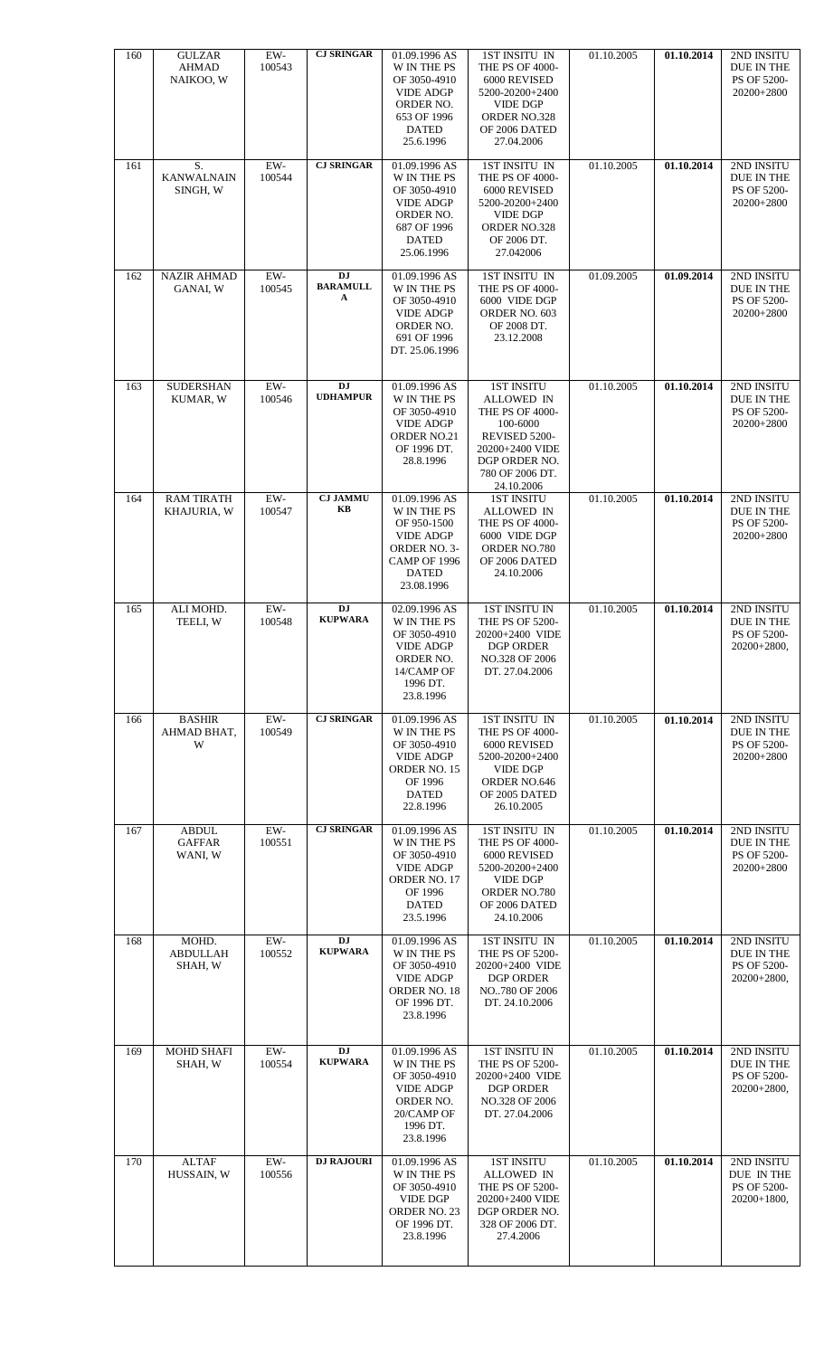| 160 | <b>GULZAR</b><br>AHMAD<br>NAIKOO, W      | $EW-$<br>100543 | <b>CJ SRINGAR</b>            | 01.09.1996 AS<br>W IN THE PS<br>OF 3050-4910<br><b>VIDE ADGP</b><br>ORDER NO.<br>653 OF 1996<br><b>DATED</b><br>25.6.1996       | 1ST INSITU IN<br>THE PS OF 4000-<br>6000 REVISED<br>5200-20200+2400<br><b>VIDE DGP</b><br>ORDER NO.328<br>OF 2006 DATED<br>27.04.2006                              | 01.10.2005 | 01.10.2014 | 2ND INSITU<br>DUE IN THE<br>PS OF 5200-<br>20200+2800     |
|-----|------------------------------------------|-----------------|------------------------------|---------------------------------------------------------------------------------------------------------------------------------|--------------------------------------------------------------------------------------------------------------------------------------------------------------------|------------|------------|-----------------------------------------------------------|
| 161 | S.<br><b>KANWALNAIN</b><br>SINGH, W      | EW-<br>100544   | <b>CJ SRINGAR</b>            | 01.09.1996 AS<br>W IN THE PS<br>OF 3050-4910<br><b>VIDE ADGP</b><br>ORDER NO.<br>687 OF 1996<br><b>DATED</b><br>25.06.1996      | 1ST INSITU IN<br>THE PS OF 4000-<br>6000 REVISED<br>5200-20200+2400<br><b>VIDE DGP</b><br>ORDER NO.328<br>OF 2006 DT.<br>27.042006                                 | 01.10.2005 | 01.10.2014 | 2ND INSITU<br>DUE IN THE<br>PS OF 5200-<br>20200+2800     |
| 162 | <b>NAZIR AHMAD</b><br>GANAI, W           | EW-<br>100545   | DJ<br><b>BARAMULL</b><br>A   | 01.09.1996 AS<br>W IN THE PS<br>OF 3050-4910<br><b>VIDE ADGP</b><br>ORDER NO.<br>691 OF 1996<br>DT. 25.06.1996                  | 1ST INSITU IN<br>THE PS OF 4000-<br>6000 VIDE DGP<br>ORDER NO. 603<br>OF 2008 DT.<br>23.12.2008                                                                    | 01.09.2005 | 01.09.2014 | 2ND INSITU<br>DUE IN THE<br>PS OF 5200-<br>20200+2800     |
| 163 | <b>SUDERSHAN</b><br>KUMAR, W             | EW-<br>100546   | <b>DJ</b><br><b>UDHAMPUR</b> | 01.09.1996 AS<br>W IN THE PS<br>OF 3050-4910<br><b>VIDE ADGP</b><br>ORDER NO.21<br>OF 1996 DT.<br>28.8.1996                     | <b>1ST INSITU</b><br><b>ALLOWED IN</b><br><b>THE PS OF 4000-</b><br>100-6000<br>REVISED 5200-<br>20200+2400 VIDE<br>DGP ORDER NO.<br>780 OF 2006 DT.<br>24.10.2006 | 01.10.2005 | 01.10.2014 | 2ND INSITU<br>DUE IN THE<br>PS OF 5200-<br>20200+2800     |
| 164 | <b>RAM TIRATH</b><br>KHAJURIA, W         | $EW-$<br>100547 | <b>CJ JAMMU</b><br>KB        | 01.09.1996 AS<br>W IN THE PS<br>OF 950-1500<br><b>VIDE ADGP</b><br>ORDER NO. 3-<br>CAMP OF 1996<br><b>DATED</b><br>23.08.1996   | <b>1ST INSITU</b><br>ALLOWED IN<br>THE PS OF 4000-<br>6000 VIDE DGP<br>ORDER NO.780<br>OF 2006 DATED<br>24.10.2006                                                 | 01.10.2005 | 01.10.2014 | 2ND INSITU<br>DUE IN THE<br>PS OF 5200-<br>20200+2800     |
| 165 | ALI MOHD.<br>TEELI, W                    | EW-<br>100548   | DJ<br><b>KUPWARA</b>         | 02.09.1996 AS<br>W IN THE PS<br>OF 3050-4910<br><b>VIDE ADGP</b><br>ORDER NO.<br>14/CAMP OF<br>1996 DT.<br>23.8.1996            | <b>1ST INSITU IN</b><br><b>THE PS OF 5200-</b><br>20200+2400 VIDE<br>DGP ORDER<br>NO.328 OF 2006<br>DT. 27.04.2006                                                 | 01.10.2005 | 01.10.2014 | 2ND INSITU<br>DUE IN THE<br>PS OF 5200-<br>20200+2800,    |
| 166 | <b>BASHIR</b><br>AHMAD BHAT.<br>W        | $EW-$<br>100549 | <b>CJ SRINGAR</b>            | 01.09.1996 AS<br><b>W IN THE PS</b><br>OF 3050-4910<br><b>VIDE ADGP</b><br>ORDER NO. 15<br>OF 1996<br><b>DATED</b><br>22.8.1996 | <b>1ST INSITU IN</b><br>THE PS OF 4000-<br>6000 REVISED<br>5200-20200+2400<br><b>VIDE DGP</b><br>ORDER NO.646<br>OF 2005 DATED<br>26.10.2005                       | 01.10.2005 | 01.10.2014 | 2ND INSITU<br>DUE IN THE<br>PS OF 5200-<br>20200+2800     |
| 167 | <b>ABDUL</b><br><b>GAFFAR</b><br>WANI, W | EW-<br>100551   | <b>CJ SRINGAR</b>            | 01.09.1996 AS<br>W IN THE PS<br>OF 3050-4910<br><b>VIDE ADGP</b><br>ORDER NO. 17<br>OF 1996<br><b>DATED</b><br>23.5.1996        | 1ST INSITU IN<br>THE PS OF 4000-<br>6000 REVISED<br>5200-20200+2400<br><b>VIDE DGP</b><br>ORDER NO.780<br>OF 2006 DATED<br>24.10.2006                              | 01.10.2005 | 01.10.2014 | 2ND INSITU<br>DUE IN THE<br>PS OF 5200-<br>20200+2800     |
| 168 | MOHD.<br><b>ABDULLAH</b><br>SHAH, W      | EW-<br>100552   | DJ<br><b>KUPWARA</b>         | 01.09.1996 AS<br>W IN THE PS<br>OF 3050-4910<br><b>VIDE ADGP</b><br>ORDER NO. 18<br>OF 1996 DT.<br>23.8.1996                    | 1ST INSITU IN<br>THE PS OF 5200-<br>20200+2400 VIDE<br><b>DGP ORDER</b><br>NO780 OF 2006<br>DT. 24.10.2006                                                         | 01.10.2005 | 01.10.2014 | 2ND INSITU<br>DUE IN THE<br>PS OF 5200-<br>$20200+2800$ , |
| 169 | <b>MOHD SHAFI</b><br>SHAH, W             | EW-<br>100554   | DJ<br><b>KUPWARA</b>         | 01.09.1996 AS<br><b>W IN THE PS</b><br>OF 3050-4910<br><b>VIDE ADGP</b><br>ORDER NO.<br>20/CAMP OF<br>1996 DT.<br>23.8.1996     | <b>1ST INSITU IN</b><br>THE PS OF 5200-<br>20200+2400 VIDE<br><b>DGP ORDER</b><br>NO.328 OF 2006<br>DT. 27.04.2006                                                 | 01.10.2005 | 01.10.2014 | 2ND INSITU<br>DUE IN THE<br>PS OF 5200-<br>20200+2800,    |
| 170 | <b>ALTAF</b><br>HUSSAIN, W               | EW-<br>100556   | <b>DJ RAJOURI</b>            | 01.09.1996 AS<br><b>W IN THE PS</b><br>OF 3050-4910<br><b>VIDE DGP</b><br>ORDER NO. 23<br>OF 1996 DT.<br>23.8.1996              | <b>1ST INSITU</b><br><b>ALLOWED IN</b><br>THE PS OF 5200-<br>20200+2400 VIDE<br>DGP ORDER NO.<br>328 OF 2006 DT.<br>27.4.2006                                      | 01.10.2005 | 01.10.2014 | 2ND INSITU<br>DUE IN THE<br>PS OF 5200-<br>$20200+1800$ , |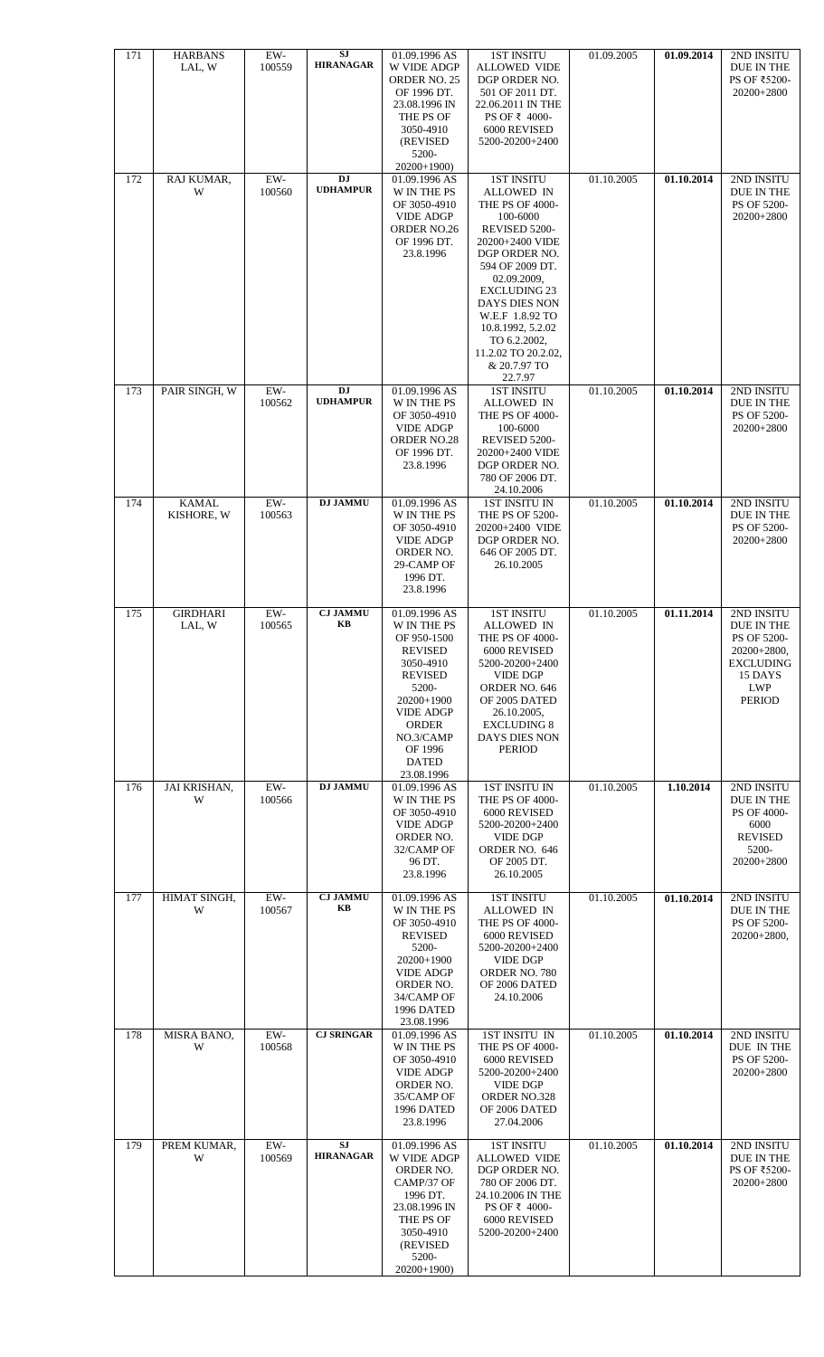| 171 | <b>HARBANS</b><br>LAL, W   | EW-<br>100559   | SJ<br><b>HIRANAGAR</b>       | 01.09.1996 AS<br>W VIDE ADGP<br>ORDER NO. 25<br>OF 1996 DT.<br>23.08.1996 IN<br>THE PS OF<br>3050-4910<br>(REVISED)<br>5200-<br>$20200+1900$                                                                  | <b>1ST INSITU</b><br><b>ALLOWED VIDE</b><br>DGP ORDER NO.<br>501 OF 2011 DT.<br>22.06.2011 IN THE<br>PS OF ₹ 4000-<br>6000 REVISED<br>5200-20200+2400                                                                                                                                                                 | 01.09.2005 | 01.09.2014 | 2ND INSITU<br>DUE IN THE<br>PS OF ₹5200-<br>20200+2800                                                          |
|-----|----------------------------|-----------------|------------------------------|---------------------------------------------------------------------------------------------------------------------------------------------------------------------------------------------------------------|-----------------------------------------------------------------------------------------------------------------------------------------------------------------------------------------------------------------------------------------------------------------------------------------------------------------------|------------|------------|-----------------------------------------------------------------------------------------------------------------|
| 172 | RAJ KUMAR,<br>W            | $EW-$<br>100560 | <b>DJ</b><br><b>UDHAMPUR</b> | 01.09.1996 AS<br>W IN THE PS<br>OF 3050-4910<br><b>VIDE ADGP</b><br>ORDER NO.26<br>OF 1996 DT.<br>23.8.1996                                                                                                   | <b>1ST INSITU</b><br><b>ALLOWED IN</b><br><b>THE PS OF 4000-</b><br>100-6000<br>REVISED 5200-<br>20200+2400 VIDE<br>DGP ORDER NO.<br>594 OF 2009 DT.<br>02.09.2009,<br><b>EXCLUDING 23</b><br>DAYS DIES NON<br>W.E.F 1.8.92 TO<br>10.8.1992, 5.2.02<br>TO 6.2.2002,<br>11.2.02 TO 20.2.02.<br>& 20.7.97 TO<br>22.7.97 | 01.10.2005 | 01.10.2014 | 2ND INSITU<br>DUE IN THE<br>PS OF 5200-<br>20200+2800                                                           |
| 173 | PAIR SINGH, W              | $EW-$<br>100562 | <b>DJ</b><br><b>UDHAMPUR</b> | 01.09.1996 AS<br>W IN THE PS<br>OF 3050-4910<br><b>VIDE ADGP</b><br>ORDER NO.28<br>OF 1996 DT.<br>23.8.1996                                                                                                   | <b>1ST INSITU</b><br><b>ALLOWED IN</b><br>THE PS OF 4000-<br>100-6000<br>REVISED 5200-<br>20200+2400 VIDE<br>DGP ORDER NO.<br>780 OF 2006 DT.<br>24.10.2006                                                                                                                                                           | 01.10.2005 | 01.10.2014 | 2ND INSITU<br>DUE IN THE<br>PS OF 5200-<br>20200+2800                                                           |
| 174 | <b>KAMAL</b><br>KISHORE, W | $EW-$<br>100563 | <b>DJ JAMMU</b>              | 01.09.1996 AS<br>W IN THE PS<br>OF 3050-4910<br><b>VIDE ADGP</b><br>ORDER NO.<br>29-CAMP OF<br>1996 DT.<br>23.8.1996                                                                                          | <b>1ST INSITU IN</b><br>THE PS OF 5200-<br>20200+2400 VIDE<br>DGP ORDER NO.<br>646 OF 2005 DT.<br>26.10.2005                                                                                                                                                                                                          | 01.10.2005 | 01.10.2014 | 2ND INSITU<br>DUE IN THE<br>PS OF 5200-<br>20200+2800                                                           |
| 175 | <b>GIRDHARI</b><br>LAL, W  | $EW-$<br>100565 | <b>CJ JAMMU</b><br>KB        | 01.09.1996 AS<br>W IN THE PS<br>OF 950-1500<br><b>REVISED</b><br>3050-4910<br><b>REVISED</b><br>5200-<br>20200+1900<br><b>VIDE ADGP</b><br><b>ORDER</b><br>NO.3/CAMP<br>OF 1996<br><b>DATED</b><br>23.08.1996 | <b>1ST INSITU</b><br>ALLOWED IN<br>THE PS OF 4000-<br>6000 REVISED<br>5200-20200+2400<br><b>VIDE DGP</b><br>ORDER NO. 646<br>OF 2005 DATED<br>26.10.2005,<br><b>EXCLUDING 8</b><br>DAYS DIES NON<br><b>PERIOD</b>                                                                                                     | 01.10.2005 | 01.11.2014 | 2ND INSITU<br>DUE IN THE<br>PS OF 5200-<br>$20200+2800,$<br><b>EXCLUDING</b><br>15 DAYS<br><b>LWP</b><br>PERIOD |
| 176 | JAI KRISHAN,<br>W          | $EW-$<br>100566 | <b>DJ JAMMU</b>              | 01.09.1996 AS<br>W IN THE PS<br>OF 3050-4910<br><b>VIDE ADGP</b><br>ORDER NO.<br>32/CAMP OF<br>96 DT.<br>23.8.1996                                                                                            | <b>1ST INSITU IN</b><br>THE PS OF 4000-<br>6000 REVISED<br>5200-20200+2400<br><b>VIDE DGP</b><br>ORDER NO. 646<br>OF 2005 DT.<br>26.10.2005                                                                                                                                                                           | 01.10.2005 | 1.10.2014  | 2ND INSITU<br>DUE IN THE<br>PS OF 4000-<br>6000<br><b>REVISED</b><br>5200-<br>20200+2800                        |
| 177 | HIMAT SINGH,<br>W          | EW-<br>100567   | <b>CJ JAMMU</b><br>KB        | 01.09.1996 AS<br>W IN THE PS<br>OF 3050-4910<br><b>REVISED</b><br>5200-<br>20200+1900<br><b>VIDE ADGP</b><br>ORDER NO.<br>34/CAMP OF<br>1996 DATED<br>23.08.1996                                              | <b>1ST INSITU</b><br><b>ALLOWED IN</b><br>THE PS OF 4000-<br>6000 REVISED<br>5200-20200+2400<br><b>VIDE DGP</b><br>ORDER NO. 780<br>OF 2006 DATED<br>24.10.2006                                                                                                                                                       | 01.10.2005 | 01.10.2014 | 2ND INSITU<br>DUE IN THE<br>PS OF 5200-<br>20200+2800,                                                          |
| 178 | MISRA BANO,<br>W           | $EW-$<br>100568 | <b>CJ SRINGAR</b>            | 01.09.1996 AS<br>W IN THE PS<br>OF 3050-4910<br><b>VIDE ADGP</b><br>ORDER NO.<br>35/CAMP OF<br>1996 DATED<br>23.8.1996                                                                                        | 1ST INSITU IN<br>THE PS OF 4000-<br>6000 REVISED<br>5200-20200+2400<br><b>VIDE DGP</b><br>ORDER NO.328<br>OF 2006 DATED<br>27.04.2006                                                                                                                                                                                 | 01.10.2005 | 01.10.2014 | 2ND INSITU<br>DUE IN THE<br>PS OF 5200-<br>20200+2800                                                           |
| 179 | PREM KUMAR,<br>W           | EW-<br>100569   | SJ<br><b>HIRANAGAR</b>       | 01.09.1996 AS<br>W VIDE ADGP<br>ORDER NO.<br>CAMP/37 OF<br>1996 DT.<br>23.08.1996 IN<br>THE PS OF<br>3050-4910<br>(REVISED<br>5200-<br>20200+1900)                                                            | <b>1ST INSITU</b><br><b>ALLOWED VIDE</b><br>DGP ORDER NO.<br>780 OF 2006 DT.<br>24.10.2006 IN THE<br>PS OF ₹ 4000-<br>6000 REVISED<br>5200-20200+2400                                                                                                                                                                 | 01.10.2005 | 01.10.2014 | 2ND INSITU<br>DUE IN THE<br>PS OF ₹5200-<br>20200+2800                                                          |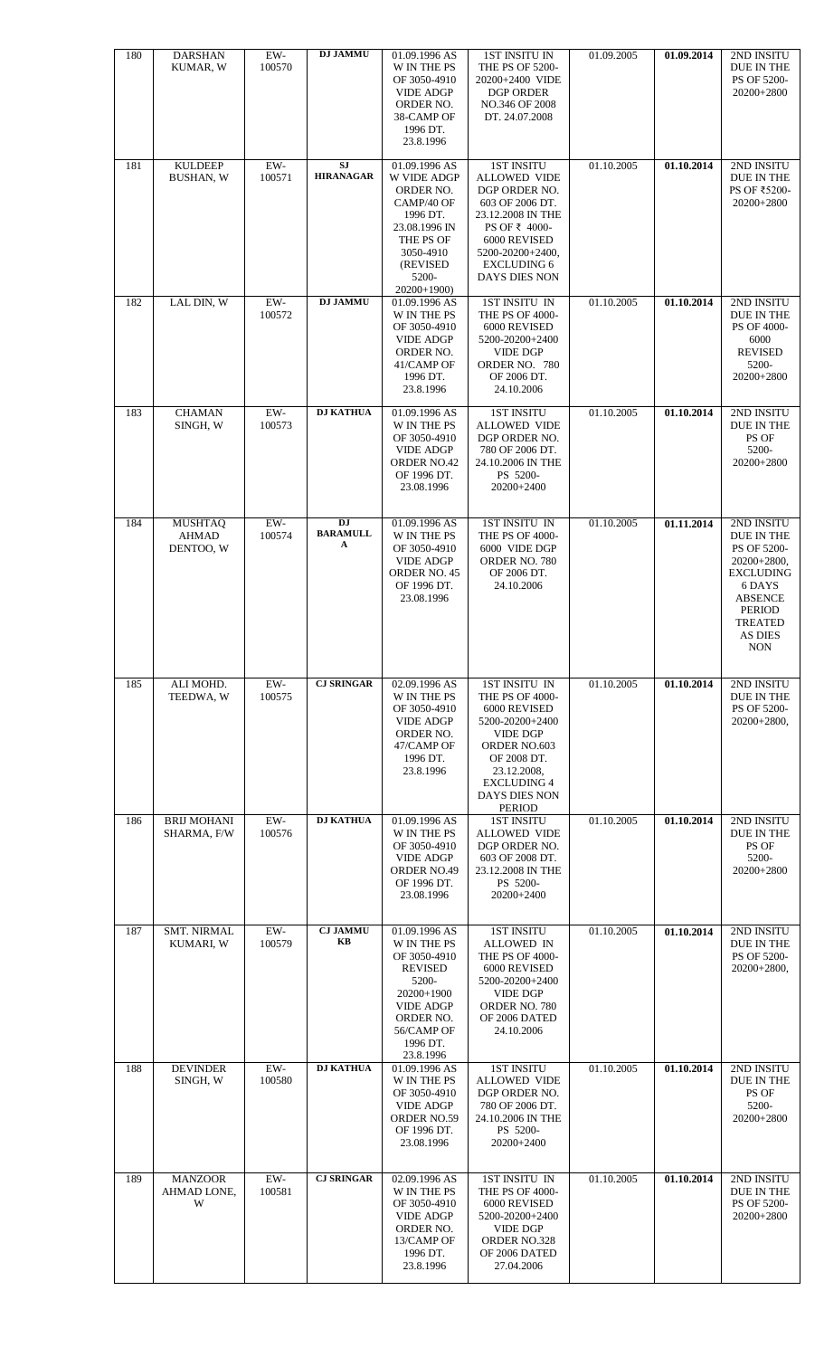| 180 | <b>DARSHAN</b><br>KUMAR, W           | $EW-$<br>100570 | <b>DJ JAMMU</b>                   | 01.09.1996 AS<br>W IN THE PS<br>OF 3050-4910<br><b>VIDE ADGP</b><br>ORDER NO.<br>38-CAMP OF<br>1996 DT.<br>23.8.1996                                          | <b>1ST INSITU IN</b><br>THE PS OF 5200-<br>20200+2400 VIDE<br><b>DGP ORDER</b><br>NO.346 OF 2008<br>DT. 24.07.2008                                                                            | 01.09.2005 | 01.09.2014 | 2ND INSITU<br>DUE IN THE<br>PS OF 5200-<br>20200+2800                                                                                                              |
|-----|--------------------------------------|-----------------|-----------------------------------|---------------------------------------------------------------------------------------------------------------------------------------------------------------|-----------------------------------------------------------------------------------------------------------------------------------------------------------------------------------------------|------------|------------|--------------------------------------------------------------------------------------------------------------------------------------------------------------------|
| 181 | <b>KULDEEP</b><br><b>BUSHAN, W</b>   | $EW-$<br>100571 | <b>SJ</b><br><b>HIRANAGAR</b>     | 01.09.1996 AS<br>W VIDE ADGP<br>ORDER NO.<br>CAMP/40 OF<br>1996 DT.<br>23.08.1996 IN<br>THE PS OF<br>3050-4910<br>(REVISED<br>5200-<br>20200+1900)            | <b>1ST INSITU</b><br><b>ALLOWED VIDE</b><br>DGP ORDER NO.<br>603 OF 2006 DT.<br>23.12.2008 IN THE<br>PS OF ₹ 4000-<br>6000 REVISED<br>5200-20200+2400,<br><b>EXCLUDING 6</b><br>DAYS DIES NON | 01.10.2005 | 01.10.2014 | 2ND INSITU<br>DUE IN THE<br>PS OF ₹5200-<br>20200+2800                                                                                                             |
| 182 | LAL DIN, W                           | $EW-$<br>100572 | <b>DJ JAMMU</b>                   | 01.09.1996 AS<br>W IN THE PS<br>OF 3050-4910<br><b>VIDE ADGP</b><br>ORDER NO.<br>41/CAMP OF<br>1996 DT.<br>23.8.1996                                          | 1ST INSITU IN<br>THE PS OF 4000-<br>6000 REVISED<br>5200-20200+2400<br><b>VIDE DGP</b><br>ORDER NO. 780<br>OF 2006 DT.<br>24.10.2006                                                          | 01.10.2005 | 01.10.2014 | 2ND INSITU<br>DUE IN THE<br>PS OF 4000-<br>6000<br><b>REVISED</b><br>5200-<br>20200+2800                                                                           |
| 183 | <b>CHAMAN</b><br>SINGH, W            | $EW-$<br>100573 | <b>DJ KATHUA</b>                  | 01.09.1996 AS<br><b>W IN THE PS</b><br>OF 3050-4910<br><b>VIDE ADGP</b><br><b>ORDER NO.42</b><br>OF 1996 DT.<br>23.08.1996                                    | <b>1ST INSITU</b><br><b>ALLOWED VIDE</b><br>DGP ORDER NO.<br>780 OF 2006 DT.<br>24.10.2006 IN THE<br>PS 5200-<br>20200+2400                                                                   | 01.10.2005 | 01.10.2014 | 2ND INSITU<br>DUE IN THE<br>PS OF<br>5200-<br>20200+2800                                                                                                           |
| 184 | <b>MUSHTAQ</b><br>AHMAD<br>DENTOO, W | EW-<br>100574   | <b>DJ</b><br><b>BARAMULL</b><br>A | 01.09.1996 AS<br>W IN THE PS<br>OF 3050-4910<br><b>VIDE ADGP</b><br>ORDER NO. 45<br>OF 1996 DT.<br>23.08.1996                                                 | 1ST INSITU IN<br>THE PS OF 4000-<br>6000 VIDE DGP<br>ORDER NO. 780<br>OF 2006 DT.<br>24.10.2006                                                                                               | 01.10.2005 | 01.11.2014 | 2ND INSITU<br>DUE IN THE<br>PS OF 5200-<br>20200+2800,<br><b>EXCLUDING</b><br>6 DAYS<br><b>ABSENCE</b><br><b>PERIOD</b><br><b>TREATED</b><br>AS DIES<br><b>NON</b> |
| 185 | ALI MOHD.<br>TEEDWA, W               | EW-<br>100575   | <b>CJ SRINGAR</b>                 | 02.09.1996 AS<br>W IN THE PS                                                                                                                                  | 1ST INSITU IN<br>THE PS OF 4000-                                                                                                                                                              | 01.10.2005 | 01.10.2014 | 2ND INSITU<br>DUE IN THE                                                                                                                                           |
|     |                                      |                 |                                   | OF 3050-4910<br><b>VIDE ADGP</b><br>ORDER NO.<br>47/CAMP OF<br>1996 DT.<br>23.8.1996                                                                          | 6000 REVISED<br>5200-20200+2400<br><b>VIDE DGP</b><br>ORDER NO.603<br>OF 2008 DT.<br>23.12.2008,<br><b>EXCLUDING 4</b><br>DAYS DIES NON                                                       |            |            | PS OF 5200-<br>20200+2800.                                                                                                                                         |
| 186 | <b>BRIJ MOHANI</b><br>SHARMA, F/W    | EW-<br>100576   | <b>DJ KATHUA</b>                  | 01.09.1996 AS<br>W IN THE PS<br>OF 3050-4910<br><b>VIDE ADGP</b><br><b>ORDER NO.49</b><br>OF 1996 DT.<br>23.08.1996                                           | <b>PERIOD</b><br><b>1ST INSITU</b><br><b>ALLOWED VIDE</b><br>DGP ORDER NO.<br>603 OF 2008 DT.<br>23.12.2008 IN THE<br>PS 5200-<br>20200+2400                                                  | 01.10.2005 | 01.10.2014 | 2ND INSITU<br>DUE IN THE<br>PS OF<br>5200-<br>20200+2800                                                                                                           |
| 187 | <b>SMT. NIRMAL</b><br>KUMARI, W      | EW-<br>100579   | <b>CJ JAMMU</b><br>KB             | 01.09.1996 AS<br>W IN THE PS<br>OF 3050-4910<br><b>REVISED</b><br>5200-<br>20200+1900<br><b>VIDE ADGP</b><br>ORDER NO.<br>56/CAMP OF<br>1996 DT.<br>23.8.1996 | <b>1ST INSITU</b><br>ALLOWED IN<br>THE PS OF 4000-<br>6000 REVISED<br>5200-20200+2400<br><b>VIDE DGP</b><br>ORDER NO. 780<br>OF 2006 DATED<br>24.10.2006                                      | 01.10.2005 | 01.10.2014 | 2ND INSITU<br>DUE IN THE<br>PS OF 5200-<br>20200+2800,                                                                                                             |
| 188 | <b>DEVINDER</b><br>SINGH, W          | $EW-$<br>100580 | <b>DJ KATHUA</b>                  | 01.09.1996 AS<br>W IN THE PS<br>OF 3050-4910<br><b>VIDE ADGP</b><br>ORDER NO.59<br>OF 1996 DT.<br>23.08.1996                                                  | <b>1ST INSITU</b><br><b>ALLOWED VIDE</b><br>DGP ORDER NO.<br>780 OF 2006 DT.<br>24.10.2006 IN THE<br>PS 5200-<br>20200+2400                                                                   | 01.10.2005 | 01.10.2014 | 2ND INSITU<br>DUE IN THE<br>PS OF<br>5200-<br>20200+2800                                                                                                           |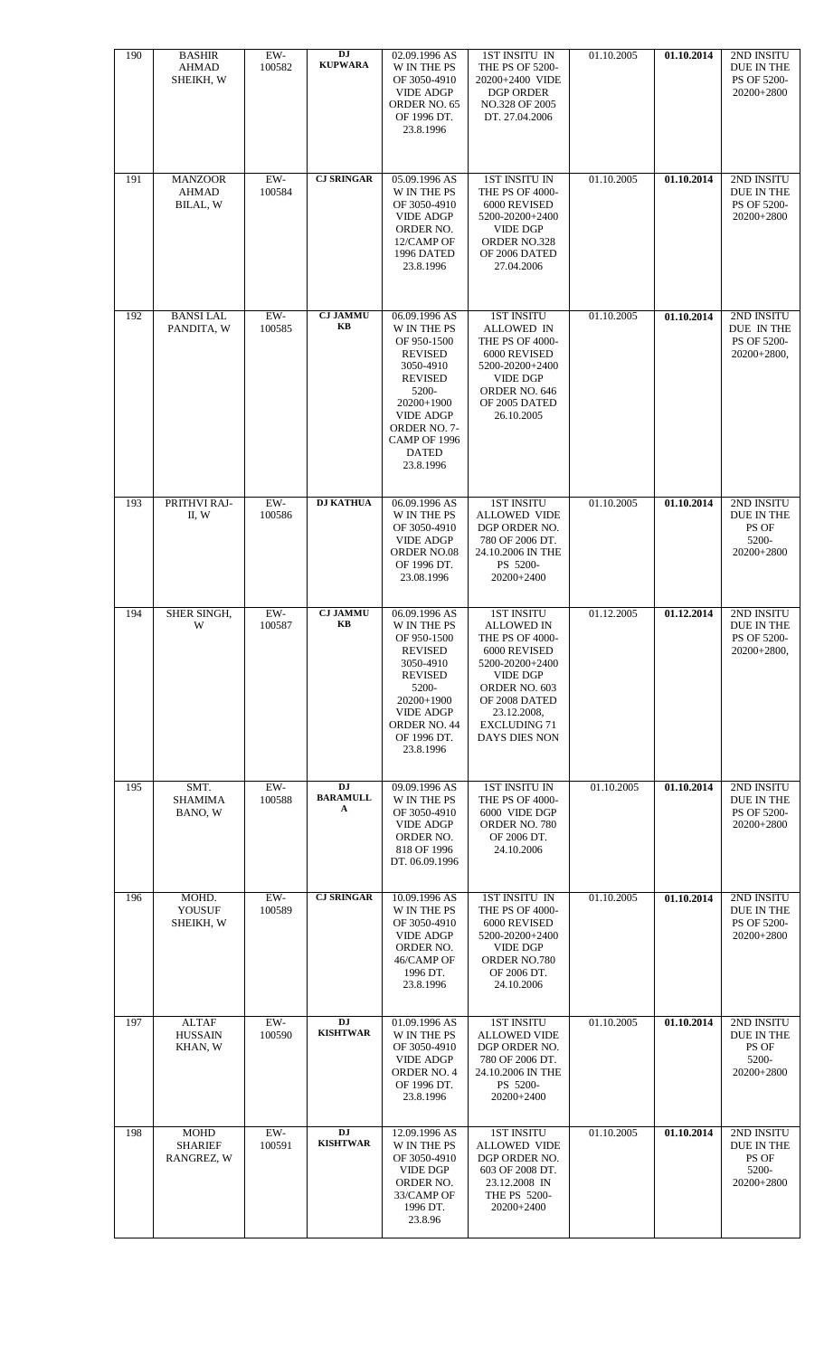| 190<br>191 | <b>BASHIR</b><br>AHMAD<br>SHEIKH, W<br><b>MANZOOR</b> | EW-<br>100582<br>EW- | DJ<br><b>KUPWARA</b><br><b>CJ SRINGAR</b> | 02.09.1996 AS<br>W IN THE PS<br>OF 3050-4910<br><b>VIDE ADGP</b><br>ORDER NO. 65<br>OF 1996 DT.<br>23.8.1996<br>05.09.1996 AS                                                                          | 1ST INSITU IN<br>THE PS OF 5200-<br>20200+2400 VIDE<br><b>DGP ORDER</b><br>NO.328 OF 2005<br>DT. 27.04.2006<br><b>1ST INSITU IN</b>                                                                             | 01.10.2005<br>01.10.2005 | 01.10.2014<br>01.10.2014 | 2ND INSITU<br>DUE IN THE<br>PS OF 5200-<br>20200+2800<br>2ND INSITU |
|------------|-------------------------------------------------------|----------------------|-------------------------------------------|--------------------------------------------------------------------------------------------------------------------------------------------------------------------------------------------------------|-----------------------------------------------------------------------------------------------------------------------------------------------------------------------------------------------------------------|--------------------------|--------------------------|---------------------------------------------------------------------|
|            | AHMAD<br>BILAL, W                                     | 100584               |                                           | W IN THE PS<br>OF 3050-4910<br><b>VIDE ADGP</b><br>ORDER NO.<br>12/CAMP OF<br>1996 DATED<br>23.8.1996                                                                                                  | THE PS OF 4000-<br>6000 REVISED<br>5200-20200+2400<br><b>VIDE DGP</b><br><b>ORDER NO.328</b><br>OF 2006 DATED<br>27.04.2006                                                                                     |                          |                          | DUE IN THE<br>PS OF 5200-<br>20200+2800                             |
| 192        | <b>BANSILAL</b><br>PANDITA, W                         | EW-<br>100585        | <b>CJ JAMMU</b><br>KB                     | 06.09.1996 AS<br>W IN THE PS<br>OF 950-1500<br><b>REVISED</b><br>3050-4910<br><b>REVISED</b><br>5200-<br>$20200+1900$<br><b>VIDE ADGP</b><br>ORDER NO. 7-<br>CAMP OF 1996<br><b>DATED</b><br>23.8.1996 | <b>1ST INSITU</b><br><b>ALLOWED IN</b><br>THE PS OF 4000-<br>6000 REVISED<br>5200-20200+2400<br><b>VIDE DGP</b><br>ORDER NO. 646<br>OF 2005 DATED<br>26.10.2005                                                 | 01.10.2005               | 01.10.2014               | 2ND INSITU<br>DUE IN THE<br>PS OF 5200-<br>$20200+2800,$            |
| 193        | PRITHVI RAJ-<br>II, W                                 | $EW-$<br>100586      | <b>DJ KATHUA</b>                          | 06.09.1996 AS<br>W IN THE PS<br>OF 3050-4910<br><b>VIDE ADGP</b><br>ORDER NO.08<br>OF 1996 DT.<br>23.08.1996                                                                                           | <b>1ST INSITU</b><br><b>ALLOWED VIDE</b><br>DGP ORDER NO.<br>780 OF 2006 DT.<br>24.10.2006 IN THE<br>PS 5200-<br>20200+2400                                                                                     | 01.10.2005               | 01.10.2014               | 2ND INSITU<br>DUE IN THE<br>PS OF<br>5200-<br>20200+2800            |
| 194        | SHER SINGH,<br>W                                      | EW-<br>100587        | <b>CJ JAMMU</b><br>KB                     | 06.09.1996 AS<br>W IN THE PS<br>OF 950-1500<br><b>REVISED</b><br>3050-4910<br><b>REVISED</b><br>5200-<br>20200+1900<br><b>VIDE ADGP</b><br>ORDER NO. 44<br>OF 1996 DT.<br>23.8.1996                    | <b>1ST INSITU</b><br>ALLOWED IN<br><b>THE PS OF 4000-</b><br>6000 REVISED<br>5200-20200+2400<br><b>VIDE DGP</b><br>ORDER NO. 603<br>OF 2008 DATED<br>23.12.2008,<br><b>EXCLUDING 71</b><br><b>DAYS DIES NON</b> | 01.12.2005               | 01.12.2014               | 2ND INSITU<br>DUE IN THE<br>PS OF 5200-<br>20200+2800,              |
| 195        | SMT.<br><b>SHAMIMA</b><br>BANO, W                     | EW-<br>100588        | DJ<br><b>BARAMULL</b><br>A                | 09.09.1996 AS<br>W IN THE PS<br>OF 3050-4910<br><b>VIDE ADGP</b><br>ORDER NO.<br>818 OF 1996<br>DT. 06.09.1996                                                                                         | <b>1ST INSITU IN</b><br>THE PS OF 4000-<br>6000 VIDE DGP<br>ORDER NO. 780<br>OF 2006 DT.<br>24.10.2006                                                                                                          | 01.10.2005               | 01.10.2014               | 2ND INSITU<br>DUE IN THE<br>PS OF 5200-<br>20200+2800               |
| 196        | MOHD.<br>YOUSUF<br>SHEIKH, W                          | EW-<br>100589        | <b>CJ SRINGAR</b>                         | 10.09.1996 AS<br>W IN THE PS<br>OF 3050-4910<br><b>VIDE ADGP</b><br>ORDER NO.<br>46/CAMP OF<br>1996 DT.<br>23.8.1996                                                                                   | 1ST INSITU IN<br>THE PS OF 4000-<br>6000 REVISED<br>5200-20200+2400<br><b>VIDE DGP</b><br>ORDER NO.780<br>OF 2006 DT.<br>24.10.2006                                                                             | 01.10.2005               | 01.10.2014               | 2ND INSITU<br>DUE IN THE<br>PS OF 5200-<br>20200+2800               |
| 197        | <b>ALTAF</b><br><b>HUSSAIN</b><br>KHAN, W             | EW-<br>100590        | <b>DJ</b><br><b>KISHTWAR</b>              | 01.09.1996 AS<br>W IN THE PS<br>OF 3050-4910<br><b>VIDE ADGP</b><br>ORDER NO. 4<br>OF 1996 DT.<br>23.8.1996                                                                                            | <b>1ST INSITU</b><br><b>ALLOWED VIDE</b><br>DGP ORDER NO.<br>780 OF 2006 DT.<br>24.10.2006 IN THE<br>PS 5200-<br>20200+2400                                                                                     | 01.10.2005               | 01.10.2014               | 2ND INSITU<br>DUE IN THE<br>PS OF<br>5200-<br>20200+2800            |
| 198        | <b>MOHD</b><br><b>SHARIEF</b><br>RANGREZ, W           | EW-<br>100591        | <b>DJ</b><br><b>KISHTWAR</b>              | 12.09.1996 AS<br>W IN THE PS<br>OF 3050-4910<br><b>VIDE DGP</b><br>ORDER NO.<br>33/CAMP OF<br>1996 DT.<br>23.8.96                                                                                      | <b>1ST INSITU</b><br><b>ALLOWED VIDE</b><br>DGP ORDER NO.<br>603 OF 2008 DT.<br>23.12.2008 IN<br>THE PS 5200-<br>20200+2400                                                                                     | 01.10.2005               | 01.10.2014               | 2ND INSITU<br>DUE IN THE<br>PS OF<br>5200-<br>20200+2800            |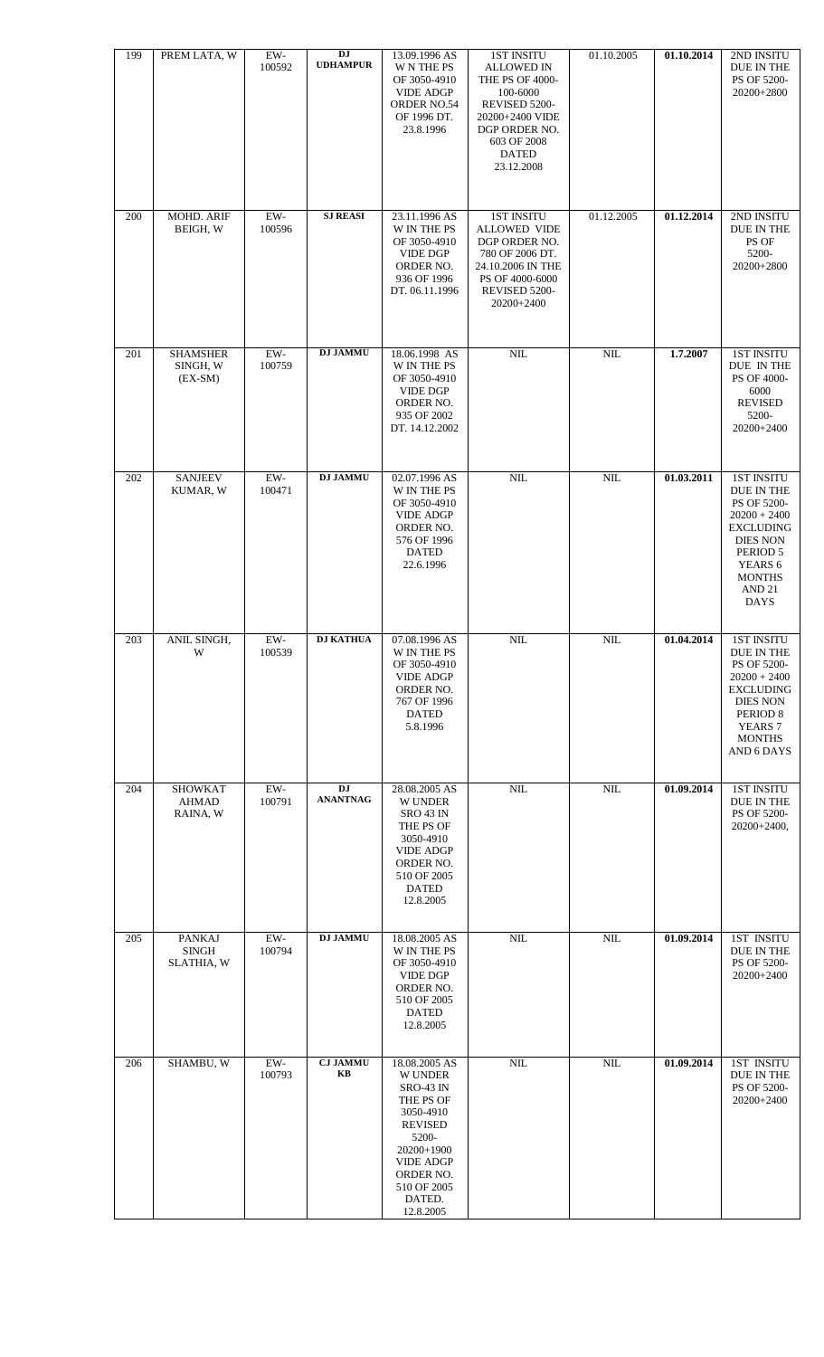| 199 | PREM LATA, W                                | EW-<br>100592   | DJ<br><b>UDHAMPUR</b> | 13.09.1996 AS<br><b>W N THE PS</b><br>OF 3050-4910<br><b>VIDE ADGP</b><br>ORDER NO.54<br>OF 1996 DT.<br>23.8.1996                                                                             | <b>1ST INSITU</b><br><b>ALLOWED IN</b><br>THE PS OF 4000-<br>100-6000<br>REVISED 5200-<br>20200+2400 VIDE<br>DGP ORDER NO.<br>603 OF 2008<br><b>DATED</b><br>23.12.2008 | 01.10.2005 | 01.10.2014 | 2ND INSITU<br>DUE IN THE<br>PS OF 5200-<br>20200+2800                                                                                                                               |
|-----|---------------------------------------------|-----------------|-----------------------|-----------------------------------------------------------------------------------------------------------------------------------------------------------------------------------------------|-------------------------------------------------------------------------------------------------------------------------------------------------------------------------|------------|------------|-------------------------------------------------------------------------------------------------------------------------------------------------------------------------------------|
| 200 | MOHD. ARIF<br>BEIGH, W                      | $EW-$<br>100596 | <b>SJ REASI</b>       | 23.11.1996 AS<br>W IN THE PS<br>OF 3050-4910<br><b>VIDE DGP</b><br>ORDER NO.<br>936 OF 1996<br>DT. 06.11.1996                                                                                 | <b>1ST INSITU</b><br>ALLOWED VIDE<br>DGP ORDER NO.<br>780 OF 2006 DT.<br>24.10.2006 IN THE<br>PS OF 4000-6000<br>REVISED 5200-<br>20200+2400                            | 01.12.2005 | 01.12.2014 | 2ND INSITU<br>DUE IN THE<br>PS OF<br>5200-<br>20200+2800                                                                                                                            |
| 201 | <b>SHAMSHER</b><br>SINGH, W<br>$(EX-SM)$    | EW-<br>100759   | <b>DJ JAMMU</b>       | 18.06.1998 AS<br><b>W IN THE PS</b><br>OF 3050-4910<br><b>VIDE DGP</b><br>ORDER NO.<br>935 OF 2002<br>DT. 14.12.2002                                                                          | NIL                                                                                                                                                                     | NIL        | 1.7.2007   | <b>1ST INSITU</b><br>DUE IN THE<br>PS OF 4000-<br>6000<br><b>REVISED</b><br>5200-<br>20200+2400                                                                                     |
| 202 | <b>SANJEEV</b><br>KUMAR, W                  | $EW-$<br>100471 | <b>DJ JAMMU</b>       | 02.07.1996 AS<br>W IN THE PS<br>OF 3050-4910<br><b>VIDE ADGP</b><br>ORDER NO.<br>576 OF 1996<br><b>DATED</b><br>22.6.1996                                                                     | $\text{NIL}$                                                                                                                                                            | NIL        | 01.03.2011 | <b>1ST INSITU</b><br>DUE IN THE<br>PS OF 5200-<br>$20200 + 2400$<br><b>EXCLUDING</b><br><b>DIES NON</b><br>PERIOD 5<br>YEARS 6<br><b>MONTHS</b><br>AND <sub>21</sub><br><b>DAYS</b> |
| 203 | ANIL SINGH,<br>W                            | EW-<br>100539   | <b>DJ KATHUA</b>      | 07.08.1996 AS<br>W IN THE PS<br>OF 3050-4910<br><b>VIDE ADGP</b><br>ORDER NO.<br>767 OF 1996<br><b>DATED</b><br>5.8.1996                                                                      | $\text{NIL}$                                                                                                                                                            | NIL        | 01.04.2014 | <b>1ST INSITU</b><br>DUE IN THE<br>PS OF 5200-<br>$20200 + 2400$<br><b>EXCLUDING</b><br><b>DIES NON</b><br>PERIOD <sub>8</sub><br>YEARS <sub>7</sub><br><b>MONTHS</b><br>AND 6 DAYS |
| 204 | <b>SHOWKAT</b><br>AHMAD<br>RAINA, W         | EW-<br>100791   | DJ<br><b>ANANTNAG</b> | 28.08.2005 AS<br><b>W UNDER</b><br>SRO 43 IN<br>THE PS OF<br>3050-4910<br><b>VIDE ADGP</b><br>ORDER NO.<br>510 OF 2005<br><b>DATED</b><br>12.8.2005                                           | $\text{NIL}$                                                                                                                                                            | NIL        | 01.09.2014 | <b>1ST INSITU</b><br>DUE IN THE<br><b>PS OF 5200-</b><br>$20200+2400,$                                                                                                              |
| 205 | <b>PANKAJ</b><br><b>SINGH</b><br>SLATHIA, W | EW-<br>100794   | <b>DJ JAMMU</b>       | 18.08.2005 AS<br>W IN THE PS<br>OF 3050-4910<br><b>VIDE DGP</b><br>ORDER NO.<br>510 OF 2005<br><b>DATED</b><br>12.8.2005                                                                      | $\text{NIL}$                                                                                                                                                            | $\rm NIL$  | 01.09.2014 | <b>1ST INSITU</b><br>DUE IN THE<br>PS OF 5200-<br>20200+2400                                                                                                                        |
| 206 | SHAMBU, W                                   | EW-<br>100793   | <b>CJ JAMMU</b><br>KB | 18.08.2005 AS<br><b>W UNDER</b><br><b>SRO-43 IN</b><br>THE PS OF<br>3050-4910<br><b>REVISED</b><br>5200-<br>20200+1900<br><b>VIDE ADGP</b><br>ORDER NO.<br>510 OF 2005<br>DATED.<br>12.8.2005 | $\text{NIL}$                                                                                                                                                            | NIL        | 01.09.2014 | <b>1ST INSITU</b><br>DUE IN THE<br>PS OF 5200-<br>20200+2400                                                                                                                        |